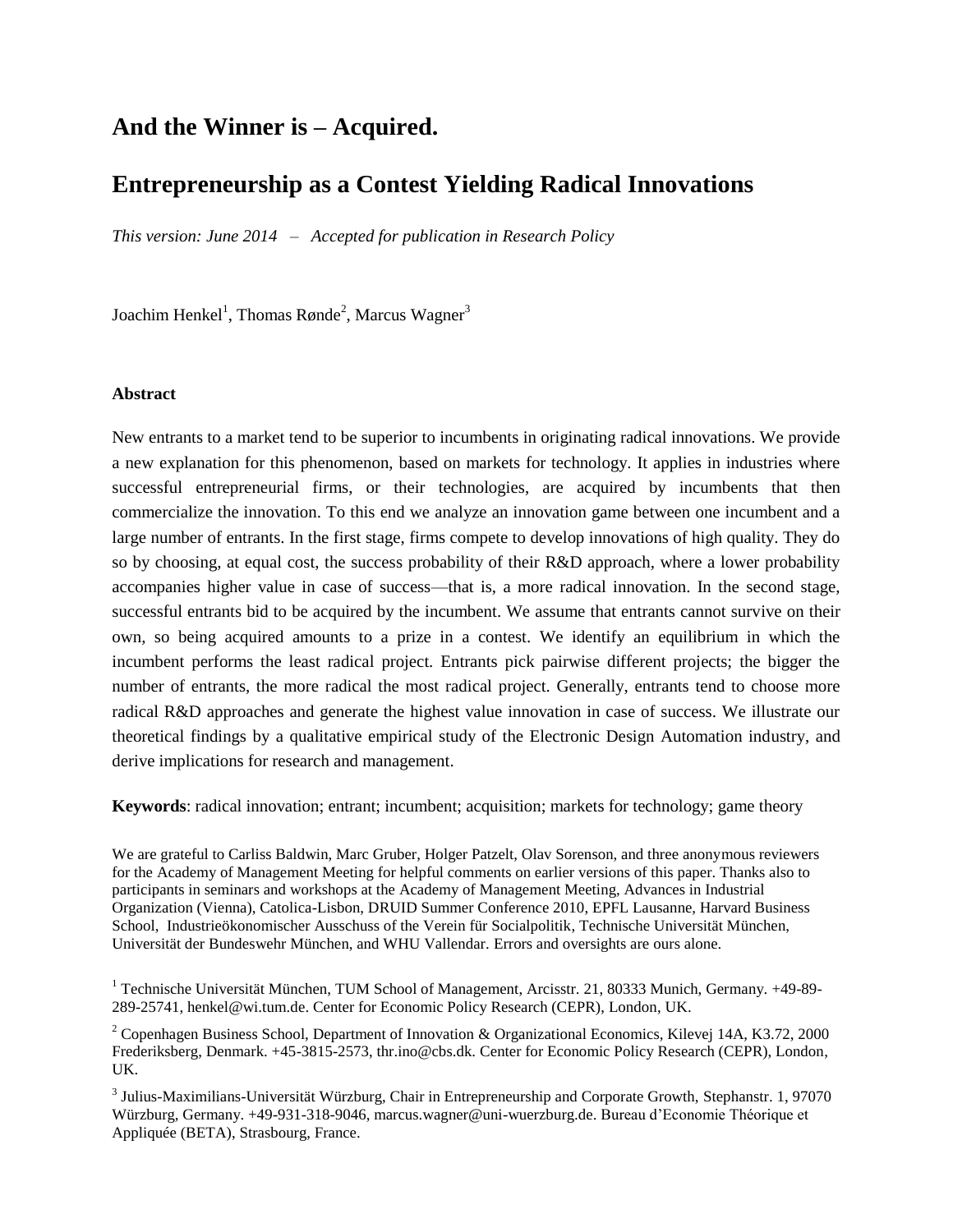# **And the Winner is – Acquired.**

## **Entrepreneurship as a Contest Yielding Radical Innovations**

*This version: June 2014 – Accepted for publication in Research Policy*

Joachim Henkel<sup>1</sup>, Thomas Rønde<sup>2</sup>, Marcus Wagner $^3$ 

#### **Abstract**

New entrants to a market tend to be superior to incumbents in originating radical innovations. We provide a new explanation for this phenomenon, based on markets for technology. It applies in industries where successful entrepreneurial firms, or their technologies, are acquired by incumbents that then commercialize the innovation. To this end we analyze an innovation game between one incumbent and a large number of entrants. In the first stage, firms compete to develop innovations of high quality. They do so by choosing, at equal cost, the success probability of their R&D approach, where a lower probability accompanies higher value in case of success—that is, a more radical innovation. In the second stage, successful entrants bid to be acquired by the incumbent. We assume that entrants cannot survive on their own, so being acquired amounts to a prize in a contest. We identify an equilibrium in which the incumbent performs the least radical project. Entrants pick pairwise different projects; the bigger the number of entrants, the more radical the most radical project. Generally, entrants tend to choose more radical R&D approaches and generate the highest value innovation in case of success. We illustrate our theoretical findings by a qualitative empirical study of the Electronic Design Automation industry, and derive implications for research and management.

**Keywords**: radical innovation; entrant; incumbent; acquisition; markets for technology; game theory

We are grateful to Carliss Baldwin, Marc Gruber, Holger Patzelt, Olav Sorenson, and three anonymous reviewers for the Academy of Management Meeting for helpful comments on earlier versions of this paper. Thanks also to participants in seminars and workshops at the Academy of Management Meeting, Advances in Industrial Organization (Vienna), Catolica-Lisbon, DRUID Summer Conference 2010, EPFL Lausanne, Harvard Business School, Industrieökonomischer Ausschuss of the Verein für Socialpolitik, Technische Universität München, Universität der Bundeswehr München, and WHU Vallendar. Errors and oversights are ours alone.

<sup>1</sup> Technische Universität München, TUM School of Management, Arcisstr. 21, 80333 Munich, Germany. +49-89- 289-25741, henkel@wi.tum.de. Center for Economic Policy Research (CEPR), London, UK.

<sup>&</sup>lt;sup>2</sup> Copenhagen Business School, Department of Innovation & Organizational Economics, Kilevej 14A, K3.72, 2000 Frederiksberg, Denmark. +45-3815-2573, thr.ino@cbs.dk. Center for Economic Policy Research (CEPR), London, UK.

<sup>&</sup>lt;sup>3</sup> Julius-Maximilians-Universität Würzburg, Chair in Entrepreneurship and Corporate Growth, Stephanstr. 1, 97070 Würzburg, Germany. +49-931-318-9046, marcus.wagner@uni-wuerzburg.de. Bureau d'Economie Théorique et Appliquée (BETA), Strasbourg, France.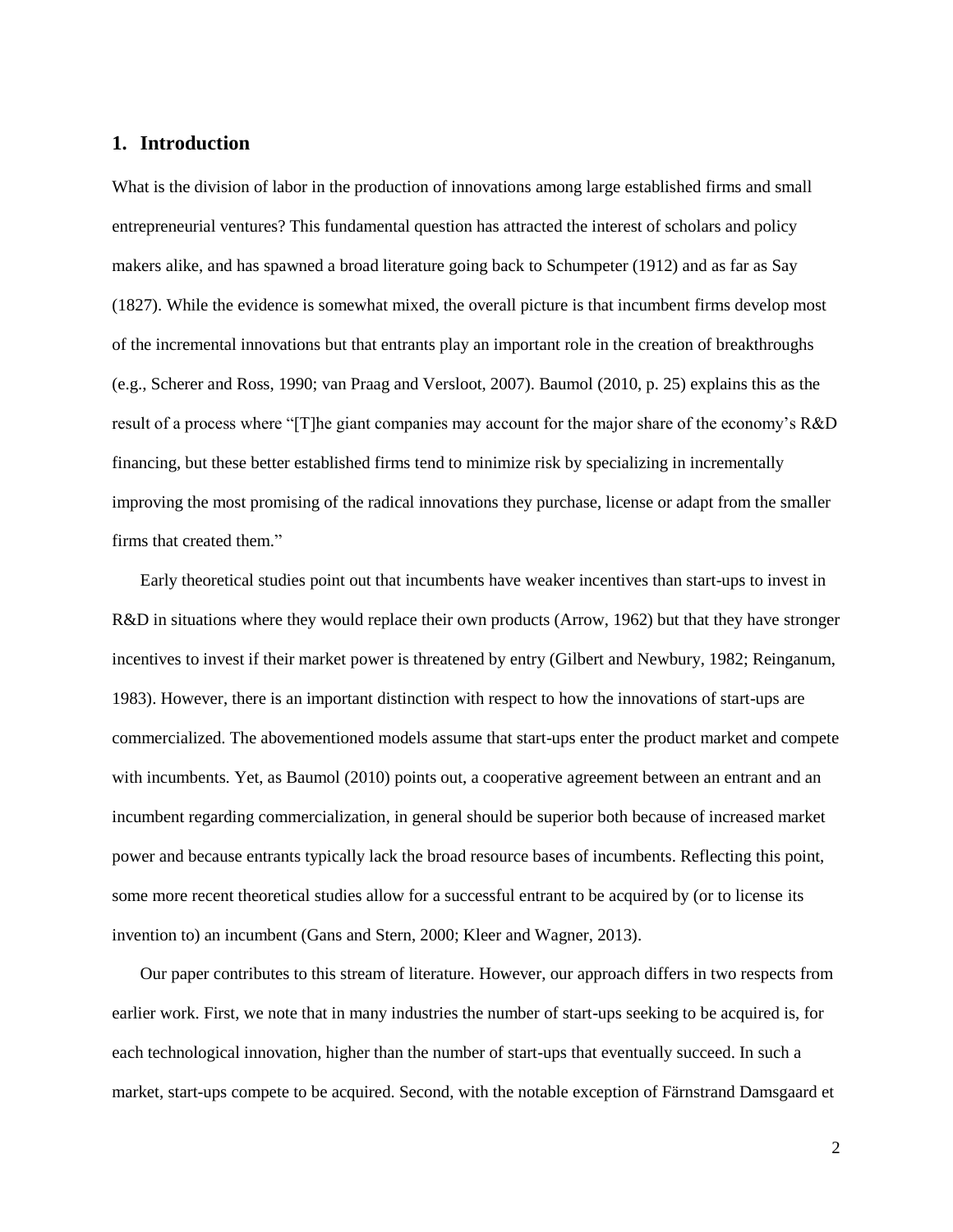## **1. Introduction**

What is the division of labor in the production of innovations among large established firms and small entrepreneurial ventures? This fundamental question has attracted the interest of scholars and policy makers alike, and has spawned a broad literature going back to Schumpeter (1912) and as far as Say (1827). While the evidence is somewhat mixed, the overall picture is that incumbent firms develop most of the incremental innovations but that entrants play an important role in the creation of breakthroughs (e.g., Scherer and Ross, 1990; van Praag and Versloot, 2007). Baumol (2010, p. 25) explains this as the result of a process where "[T]he giant companies may account for the major share of the economy's R&D financing, but these better established firms tend to minimize risk by specializing in incrementally improving the most promising of the radical innovations they purchase, license or adapt from the smaller firms that created them."

Early theoretical studies point out that incumbents have weaker incentives than start-ups to invest in R&D in situations where they would replace their own products (Arrow, 1962) but that they have stronger incentives to invest if their market power is threatened by entry (Gilbert and Newbury, 1982; Reinganum, 1983). However, there is an important distinction with respect to how the innovations of start-ups are commercialized. The abovementioned models assume that start-ups enter the product market and compete with incumbents. Yet, as Baumol (2010) points out, a cooperative agreement between an entrant and an incumbent regarding commercialization, in general should be superior both because of increased market power and because entrants typically lack the broad resource bases of incumbents. Reflecting this point, some more recent theoretical studies allow for a successful entrant to be acquired by (or to license its invention to) an incumbent (Gans and Stern, 2000; Kleer and Wagner, 2013).

Our paper contributes to this stream of literature. However, our approach differs in two respects from earlier work. First, we note that in many industries the number of start-ups seeking to be acquired is, for each technological innovation, higher than the number of start-ups that eventually succeed. In such a market, start-ups compete to be acquired. Second, with the notable exception of Färnstrand Damsgaard et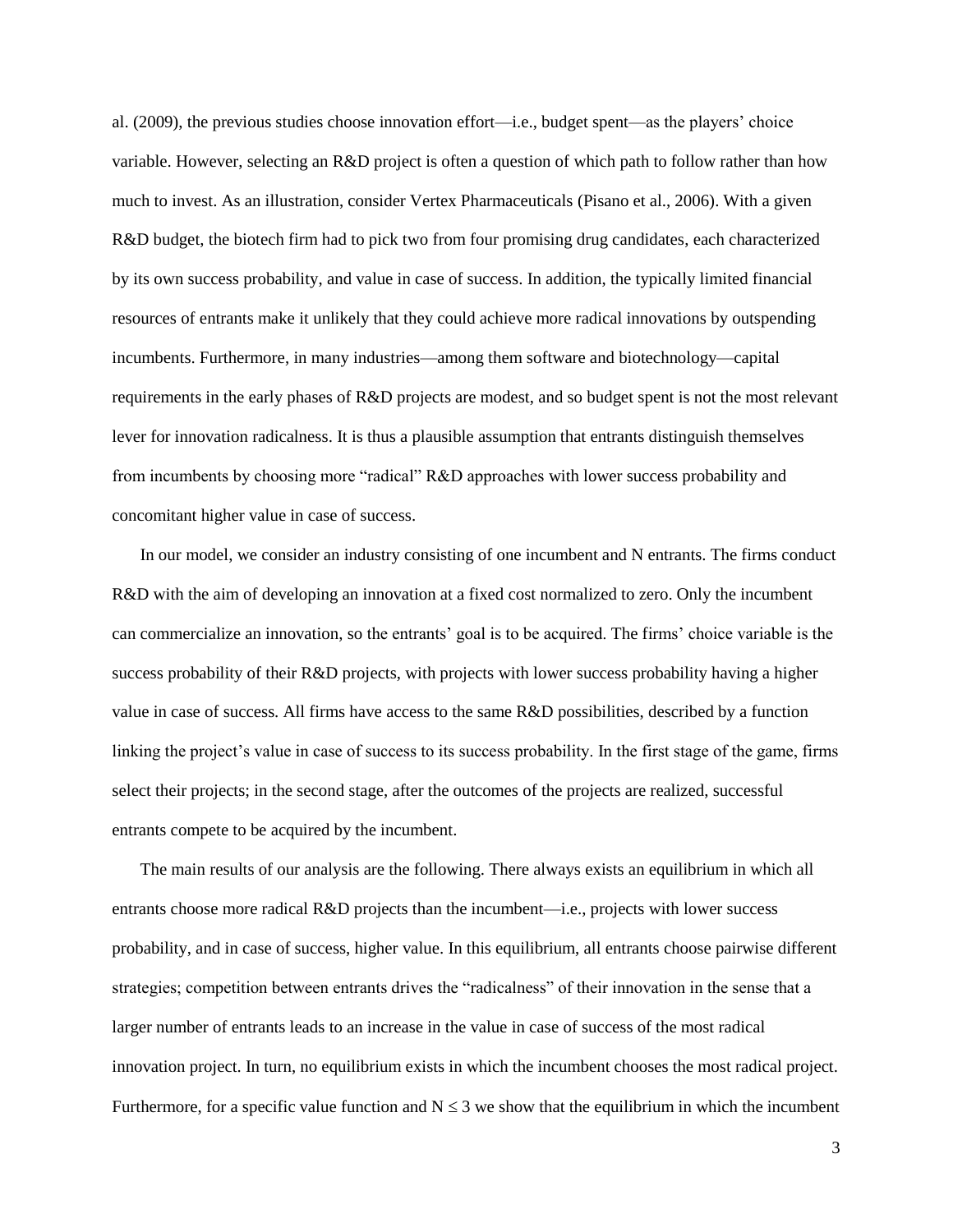al. (2009), the previous studies choose innovation effort—i.e., budget spent—as the players' choice variable. However, selecting an R&D project is often a question of which path to follow rather than how much to invest. As an illustration, consider Vertex Pharmaceuticals (Pisano et al., 2006). With a given R&D budget, the biotech firm had to pick two from four promising drug candidates, each characterized by its own success probability, and value in case of success. In addition, the typically limited financial resources of entrants make it unlikely that they could achieve more radical innovations by outspending incumbents. Furthermore, in many industries—among them software and biotechnology—capital requirements in the early phases of R&D projects are modest, and so budget spent is not the most relevant lever for innovation radicalness. It is thus a plausible assumption that entrants distinguish themselves from incumbents by choosing more "radical" R&D approaches with lower success probability and concomitant higher value in case of success.

In our model, we consider an industry consisting of one incumbent and N entrants. The firms conduct R&D with the aim of developing an innovation at a fixed cost normalized to zero. Only the incumbent can commercialize an innovation, so the entrants' goal is to be acquired. The firms' choice variable is the success probability of their R&D projects, with projects with lower success probability having a higher value in case of success. All firms have access to the same R&D possibilities, described by a function linking the project's value in case of success to its success probability. In the first stage of the game, firms select their projects; in the second stage, after the outcomes of the projects are realized, successful entrants compete to be acquired by the incumbent.

The main results of our analysis are the following. There always exists an equilibrium in which all entrants choose more radical R&D projects than the incumbent—i.e., projects with lower success probability, and in case of success, higher value. In this equilibrium, all entrants choose pairwise different strategies; competition between entrants drives the "radicalness" of their innovation in the sense that a larger number of entrants leads to an increase in the value in case of success of the most radical innovation project. In turn, no equilibrium exists in which the incumbent chooses the most radical project. Furthermore, for a specific value function and  $N \le 3$  we show that the equilibrium in which the incumbent

3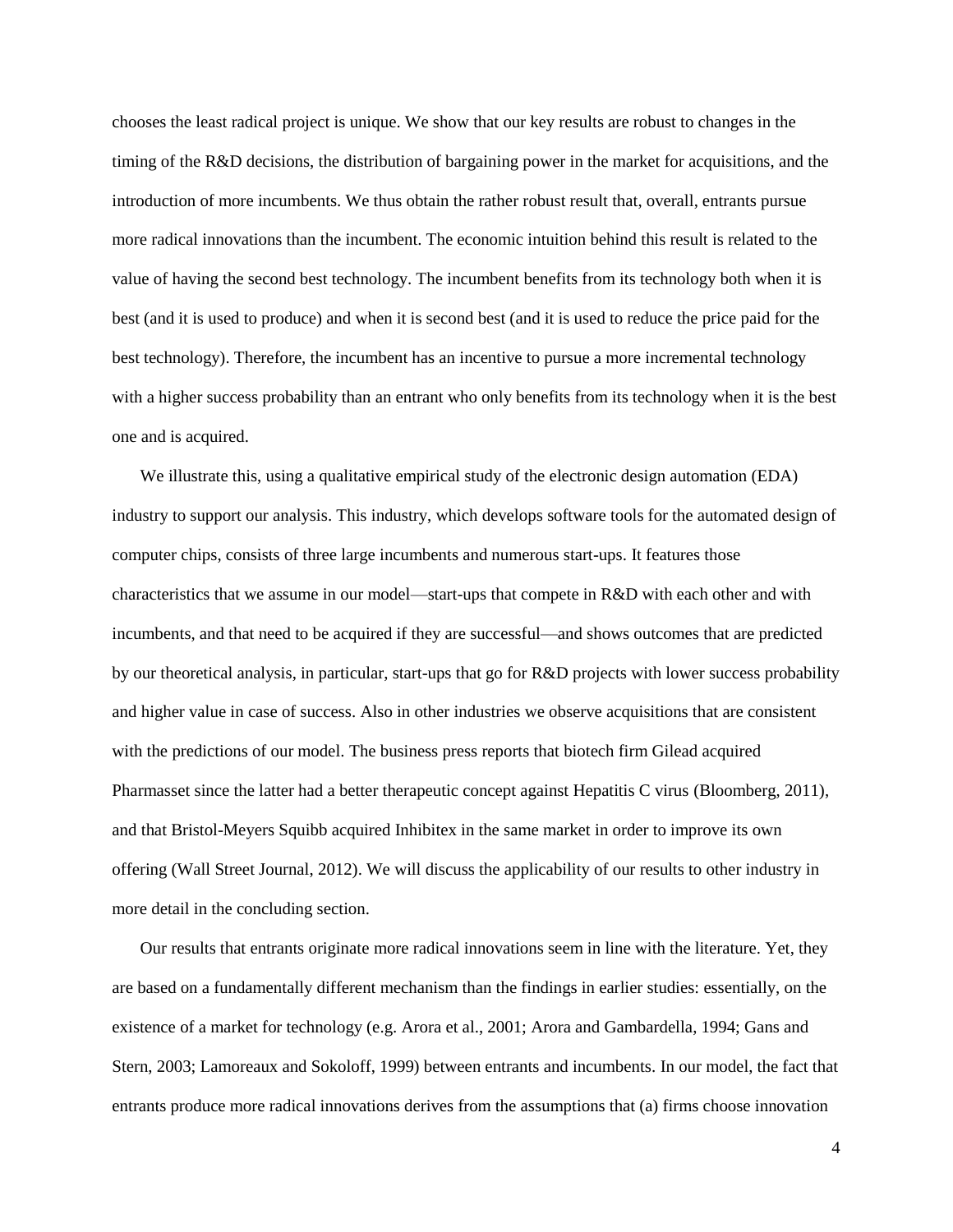chooses the least radical project is unique. We show that our key results are robust to changes in the timing of the R&D decisions, the distribution of bargaining power in the market for acquisitions, and the introduction of more incumbents. We thus obtain the rather robust result that, overall, entrants pursue more radical innovations than the incumbent. The economic intuition behind this result is related to the value of having the second best technology. The incumbent benefits from its technology both when it is best (and it is used to produce) and when it is second best (and it is used to reduce the price paid for the best technology). Therefore, the incumbent has an incentive to pursue a more incremental technology with a higher success probability than an entrant who only benefits from its technology when it is the best one and is acquired.

We illustrate this, using a qualitative empirical study of the electronic design automation (EDA) industry to support our analysis. This industry, which develops software tools for the automated design of computer chips, consists of three large incumbents and numerous start-ups. It features those characteristics that we assume in our model—start-ups that compete in R&D with each other and with incumbents, and that need to be acquired if they are successful—and shows outcomes that are predicted by our theoretical analysis, in particular, start-ups that go for R&D projects with lower success probability and higher value in case of success. Also in other industries we observe acquisitions that are consistent with the predictions of our model. The business press reports that biotech firm Gilead acquired Pharmasset since the latter had a better therapeutic concept against Hepatitis C virus (Bloomberg, 2011), and that Bristol-Meyers Squibb acquired Inhibitex in the same market in order to improve its own offering (Wall Street Journal, 2012). We will discuss the applicability of our results to other industry in more detail in the concluding section.

Our results that entrants originate more radical innovations seem in line with the literature. Yet, they are based on a fundamentally different mechanism than the findings in earlier studies: essentially, on the existence of a market for technology (e.g. Arora et al., 2001; Arora and Gambardella, 1994; Gans and Stern, 2003; Lamoreaux and Sokoloff, 1999) between entrants and incumbents. In our model, the fact that entrants produce more radical innovations derives from the assumptions that (a) firms choose innovation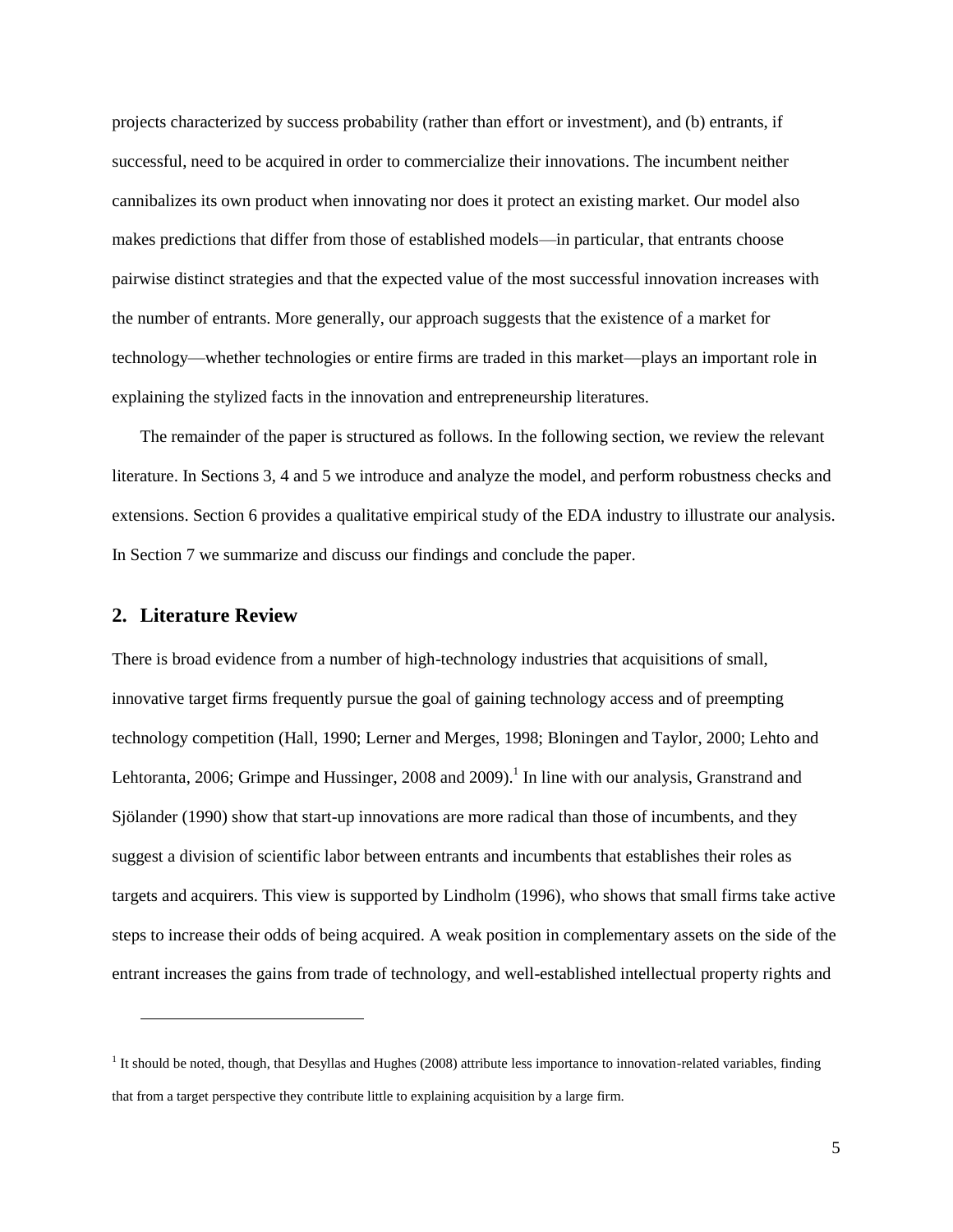projects characterized by success probability (rather than effort or investment), and (b) entrants, if successful, need to be acquired in order to commercialize their innovations. The incumbent neither cannibalizes its own product when innovating nor does it protect an existing market. Our model also makes predictions that differ from those of established models—in particular, that entrants choose pairwise distinct strategies and that the expected value of the most successful innovation increases with the number of entrants. More generally, our approach suggests that the existence of a market for technology—whether technologies or entire firms are traded in this market—plays an important role in explaining the stylized facts in the innovation and entrepreneurship literatures.

The remainder of the paper is structured as follows. In the following section, we review the relevant literature. In Sections 3, 4 and 5 we introduce and analyze the model, and perform robustness checks and extensions. Section 6 provides a qualitative empirical study of the EDA industry to illustrate our analysis. In Section 7 we summarize and discuss our findings and conclude the paper.

## **2. Literature Review**

l

There is broad evidence from a number of high-technology industries that acquisitions of small, innovative target firms frequently pursue the goal of gaining technology access and of preempting technology competition (Hall, 1990; Lerner and Merges, 1998; Bloningen and Taylor, 2000; Lehto and Lehtoranta, 2006; Grimpe and Hussinger, 2008 and 2009).<sup>1</sup> In line with our analysis, Granstrand and Sjölander (1990) show that start-up innovations are more radical than those of incumbents, and they suggest a division of scientific labor between entrants and incumbents that establishes their roles as targets and acquirers. This view is supported by Lindholm (1996), who shows that small firms take active steps to increase their odds of being acquired. A weak position in complementary assets on the side of the entrant increases the gains from trade of technology, and well-established intellectual property rights and

<sup>&</sup>lt;sup>1</sup> It should be noted, though, that Desyllas and Hughes (2008) attribute less importance to innovation-related variables, finding that from a target perspective they contribute little to explaining acquisition by a large firm.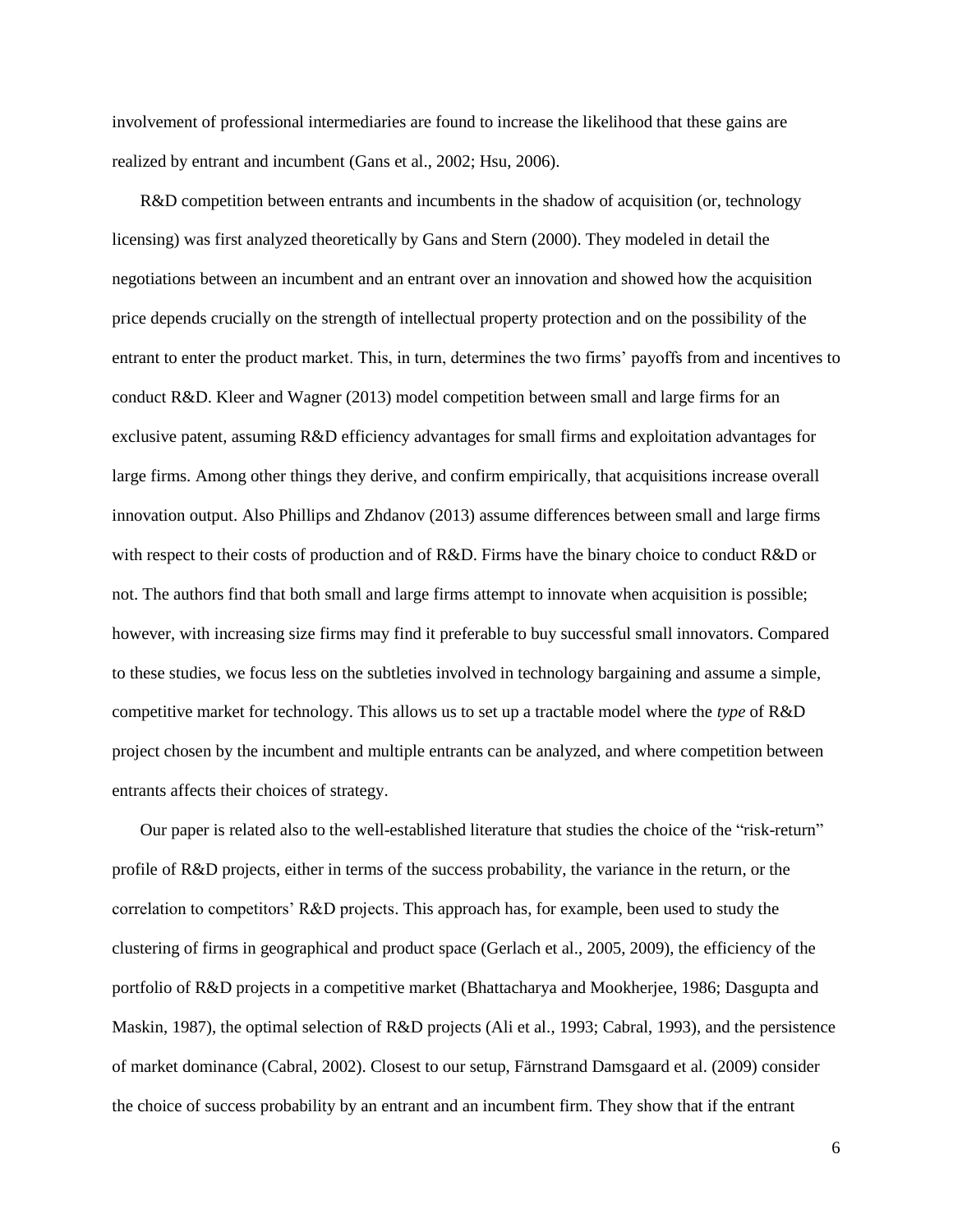involvement of professional intermediaries are found to increase the likelihood that these gains are realized by entrant and incumbent (Gans et al., 2002; Hsu, 2006).

R&D competition between entrants and incumbents in the shadow of acquisition (or, technology licensing) was first analyzed theoretically by Gans and Stern (2000). They modeled in detail the negotiations between an incumbent and an entrant over an innovation and showed how the acquisition price depends crucially on the strength of intellectual property protection and on the possibility of the entrant to enter the product market. This, in turn, determines the two firms' payoffs from and incentives to conduct R&D. Kleer and Wagner (2013) model competition between small and large firms for an exclusive patent, assuming R&D efficiency advantages for small firms and exploitation advantages for large firms. Among other things they derive, and confirm empirically, that acquisitions increase overall innovation output. Also Phillips and Zhdanov (2013) assume differences between small and large firms with respect to their costs of production and of R&D. Firms have the binary choice to conduct R&D or not. The authors find that both small and large firms attempt to innovate when acquisition is possible; however, with increasing size firms may find it preferable to buy successful small innovators. Compared to these studies, we focus less on the subtleties involved in technology bargaining and assume a simple, competitive market for technology. This allows us to set up a tractable model where the *type* of R&D project chosen by the incumbent and multiple entrants can be analyzed, and where competition between entrants affects their choices of strategy.

Our paper is related also to the well-established literature that studies the choice of the "risk-return" profile of R&D projects, either in terms of the success probability, the variance in the return, or the correlation to competitors' R&D projects. This approach has, for example, been used to study the clustering of firms in geographical and product space (Gerlach et al., 2005, 2009), the efficiency of the portfolio of R&D projects in a competitive market (Bhattacharya and Mookherjee, 1986; Dasgupta and Maskin, 1987), the optimal selection of R&D projects (Ali et al., 1993; Cabral, 1993), and the persistence of market dominance (Cabral, 2002). Closest to our setup, Färnstrand Damsgaard et al. (2009) consider the choice of success probability by an entrant and an incumbent firm. They show that if the entrant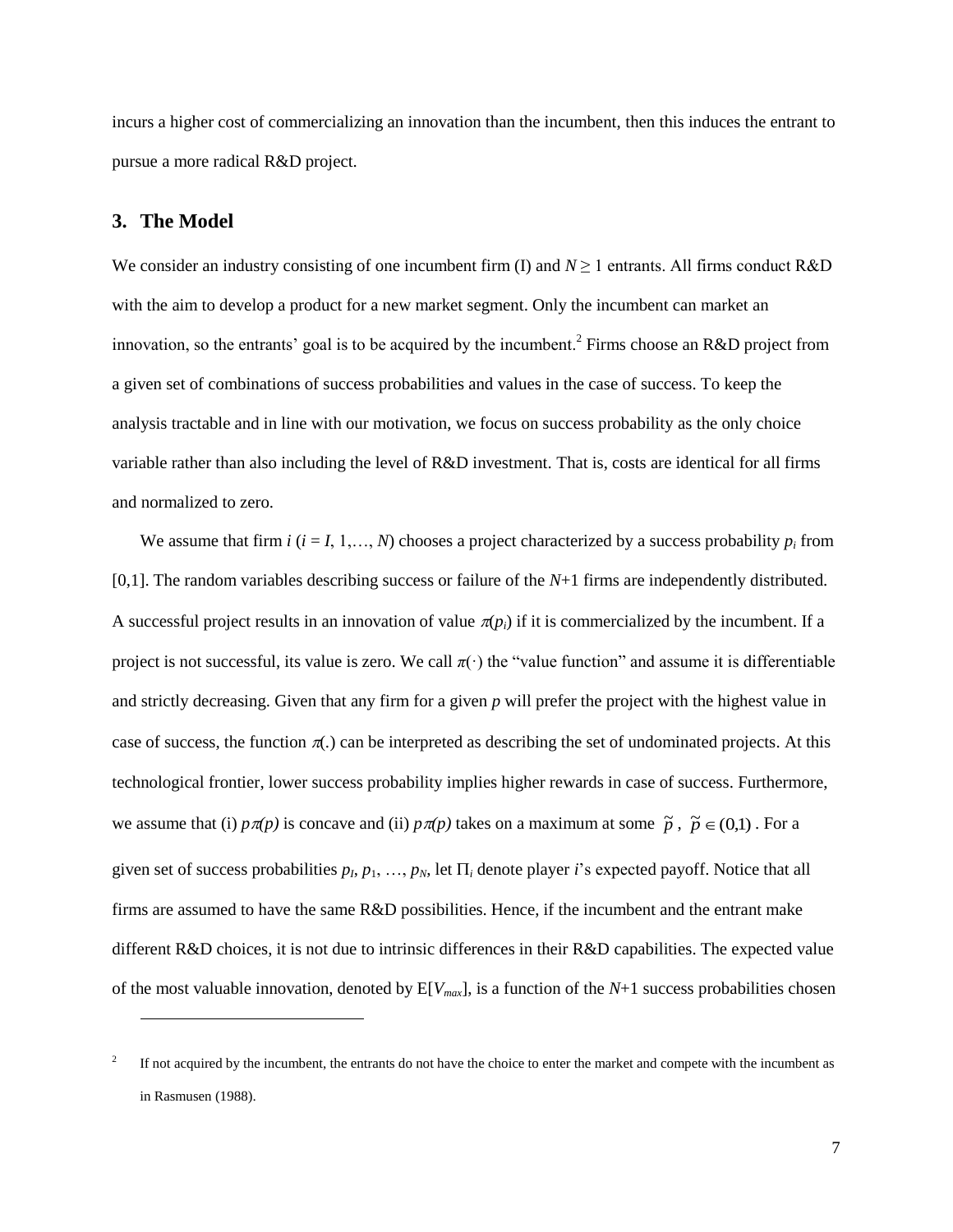incurs a higher cost of commercializing an innovation than the incumbent, then this induces the entrant to pursue a more radical R&D project.

## **3. The Model**

l

We consider an industry consisting of one incumbent firm (I) and  $N \ge 1$  entrants. All firms conduct R&D with the aim to develop a product for a new market segment. Only the incumbent can market an innovation, so the entrants' goal is to be acquired by the incumbent.<sup>2</sup> Firms choose an R&D project from a given set of combinations of success probabilities and values in the case of success. To keep the analysis tractable and in line with our motivation, we focus on success probability as the only choice variable rather than also including the level of R&D investment. That is, costs are identical for all firms and normalized to zero.

We assume that firm  $i$  ( $i = I, 1, \ldots, N$ ) chooses a project characterized by a success probability  $p_i$  from [0,1]. The random variables describing success or failure of the *N*+1 firms are independently distributed. A successful project results in an innovation of value  $\pi(p_i)$  if it is commercialized by the incumbent. If a project is not successful, its value is zero. We call *π*(·) the "value function" and assume it is differentiable and strictly decreasing. Given that any firm for a given *p* will prefer the project with the highest value in case of success, the function  $\pi$ .) can be interpreted as describing the set of undominated projects. At this technological frontier, lower success probability implies higher rewards in case of success. Furthermore, we assume that (i)  $p\pi(p)$  is concave and (ii)  $p\pi(p)$  takes on a maximum at some  $\tilde{p}$ ,  $\tilde{p} \in (0,1)$ . For a given set of success probabilities  $p_1, p_1, ..., p_N$ , let  $\Pi_i$  denote player *i*'s expected payoff. Notice that all firms are assumed to have the same R&D possibilities. Hence, if the incumbent and the entrant make different R&D choices, it is not due to intrinsic differences in their R&D capabilities. The expected value of the most valuable innovation, denoted by  $E[V_{max}]$ , is a function of the  $N+1$  success probabilities chosen

<sup>2</sup> If not acquired by the incumbent, the entrants do not have the choice to enter the market and compete with the incumbent as in Rasmusen (1988).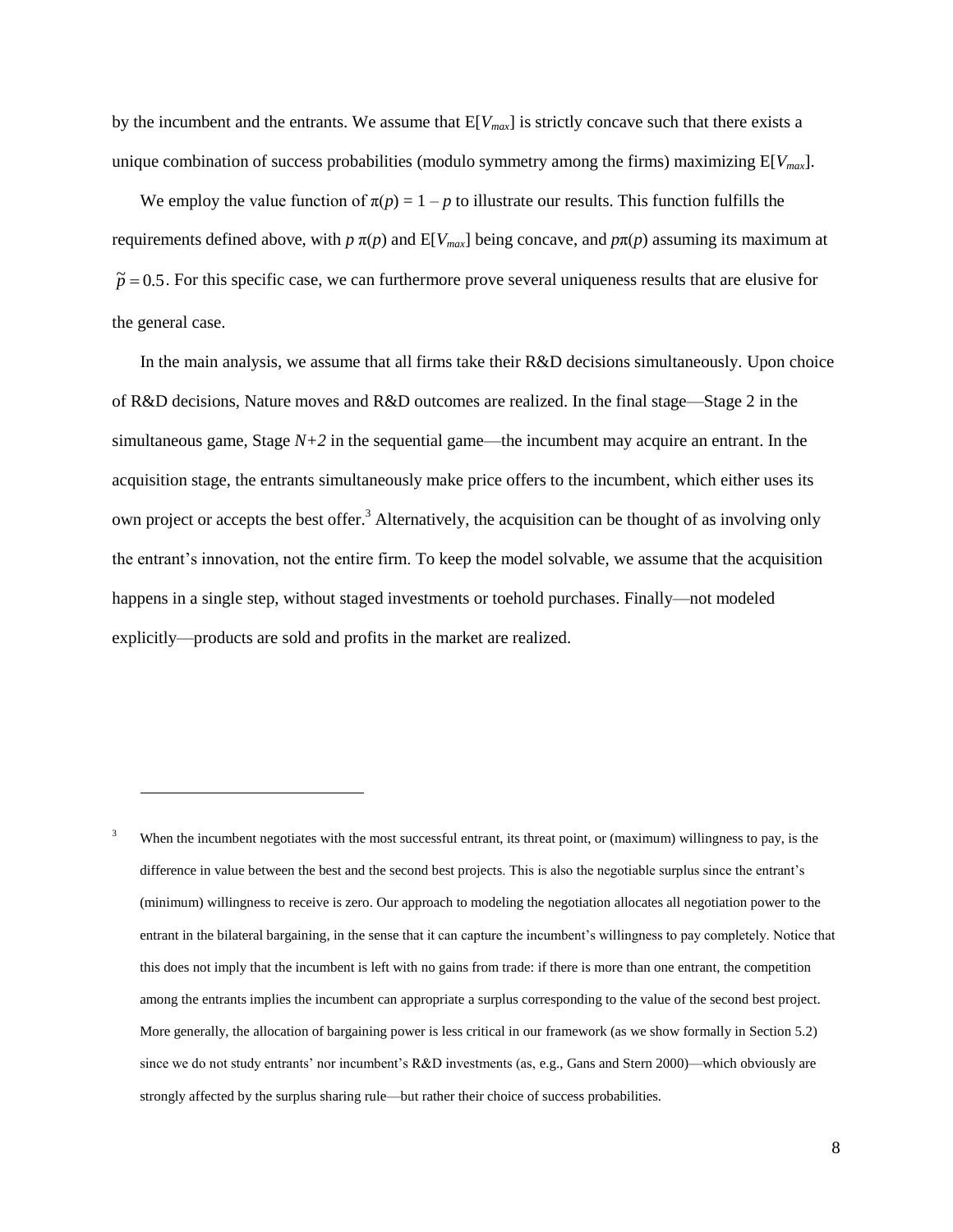by the incumbent and the entrants. We assume that  $E[V_{max}]$  is strictly concave such that there exists a unique combination of success probabilities (modulo symmetry among the firms) maximizing E[*Vmax*].

We employ the value function of  $\pi(p) = 1 - p$  to illustrate our results. This function fulfills the requirements defined above, with *p* π(*p*) and E[*Vmax*] being concave, and *p*π(*p*) assuming its maximum at  $\tilde{p}$  = 0.5. For this specific case, we can furthermore prove several uniqueness results that are elusive for the general case.

In the main analysis, we assume that all firms take their R&D decisions simultaneously. Upon choice of R&D decisions, Nature moves and R&D outcomes are realized. In the final stage—Stage 2 in the simultaneous game, Stage  $N+2$  in the sequential game—the incumbent may acquire an entrant. In the acquisition stage, the entrants simultaneously make price offers to the incumbent, which either uses its own project or accepts the best offer.<sup>3</sup> Alternatively, the acquisition can be thought of as involving only the entrant's innovation, not the entire firm. To keep the model solvable, we assume that the acquisition happens in a single step, without staged investments or toehold purchases. Finally—not modeled explicitly—products are sold and profits in the market are realized.

l

<sup>&</sup>lt;sup>3</sup> When the incumbent negotiates with the most successful entrant, its threat point, or (maximum) willingness to pay, is the difference in value between the best and the second best projects. This is also the negotiable surplus since the entrant's (minimum) willingness to receive is zero. Our approach to modeling the negotiation allocates all negotiation power to the entrant in the bilateral bargaining, in the sense that it can capture the incumbent's willingness to pay completely. Notice that this does not imply that the incumbent is left with no gains from trade: if there is more than one entrant, the competition among the entrants implies the incumbent can appropriate a surplus corresponding to the value of the second best project. More generally, the allocation of bargaining power is less critical in our framework (as we show formally in Section 5.2) since we do not study entrants' nor incumbent's R&D investments (as, e.g., Gans and Stern 2000)—which obviously are strongly affected by the surplus sharing rule—but rather their choice of success probabilities.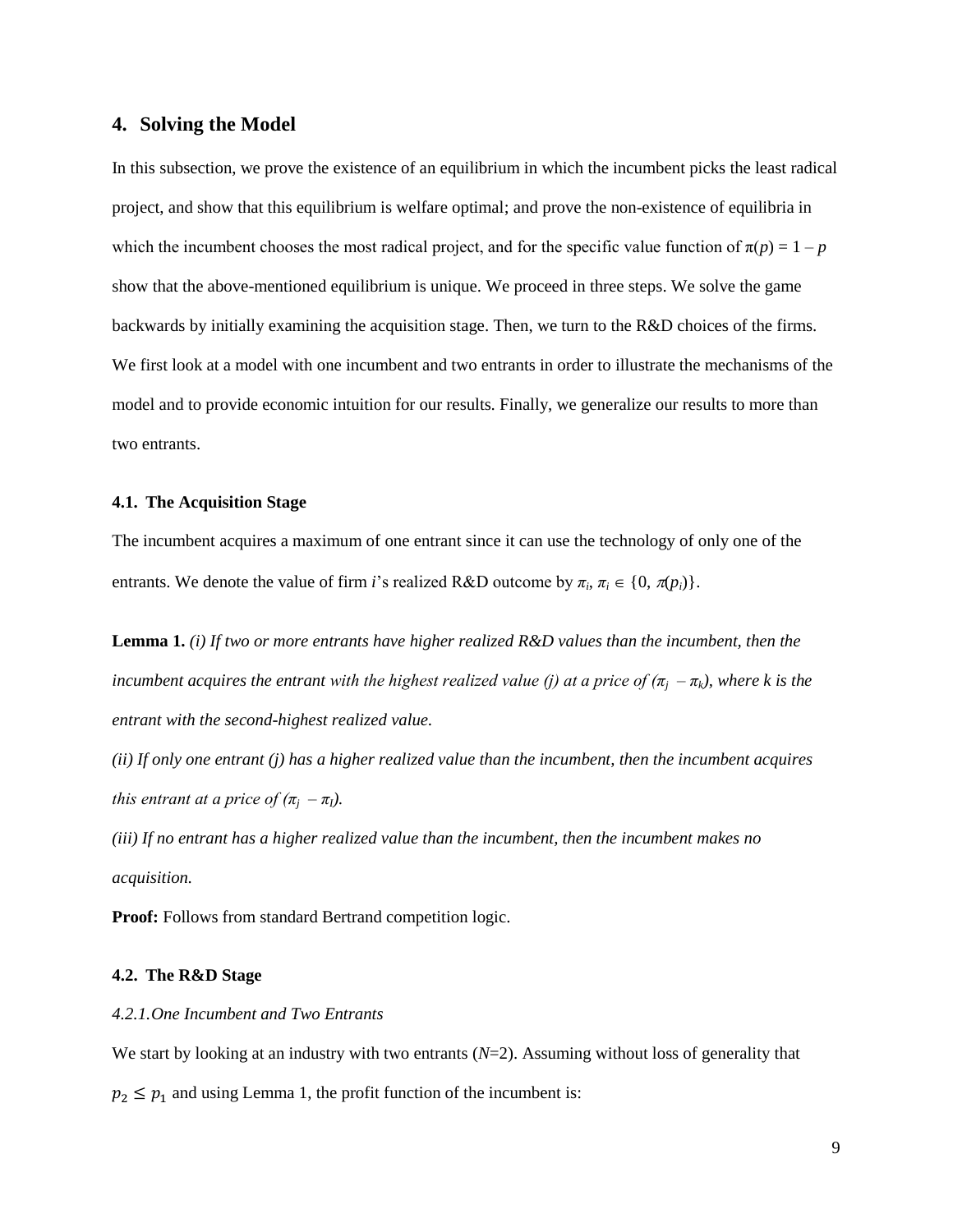#### **4. Solving the Model**

In this subsection, we prove the existence of an equilibrium in which the incumbent picks the least radical project, and show that this equilibrium is welfare optimal; and prove the non-existence of equilibria in which the incumbent chooses the most radical project, and for the specific value function of  $\pi(p) = 1 - p$ show that the above-mentioned equilibrium is unique. We proceed in three steps. We solve the game backwards by initially examining the acquisition stage. Then, we turn to the R&D choices of the firms. We first look at a model with one incumbent and two entrants in order to illustrate the mechanisms of the model and to provide economic intuition for our results. Finally, we generalize our results to more than two entrants.

#### **4.1. The Acquisition Stage**

The incumbent acquires a maximum of one entrant since it can use the technology of only one of the entrants. We denote the value of firm *i*'s realized R&D outcome by  $\pi_i$ ,  $\pi_i \in \{0, \pi(p_i)\}.$ 

**Lemma 1.** *(i) If two or more entrants have higher realized R&D values than the incumbent, then the incumbent acquires the entrant with the highest realized value (j) at a price of*  $(\pi_j - \pi_k)$ *, where k is the entrant with the second-highest realized value.* 

*(ii) If only one entrant (j) has a higher realized value than the incumbent, then the incumbent acquires this entrant at a price of*  $(\pi_j - \pi_l)$ *.* 

*(iii) If no entrant has a higher realized value than the incumbent, then the incumbent makes no acquisition.*

**Proof:** Follows from standard Bertrand competition logic.

## **4.2. The R&D Stage**

#### *4.2.1.One Incumbent and Two Entrants*

We start by looking at an industry with two entrants ( $N=2$ ). Assuming without loss of generality that  $p_2 \leq p_1$  and using Lemma 1, the profit function of the incumbent is: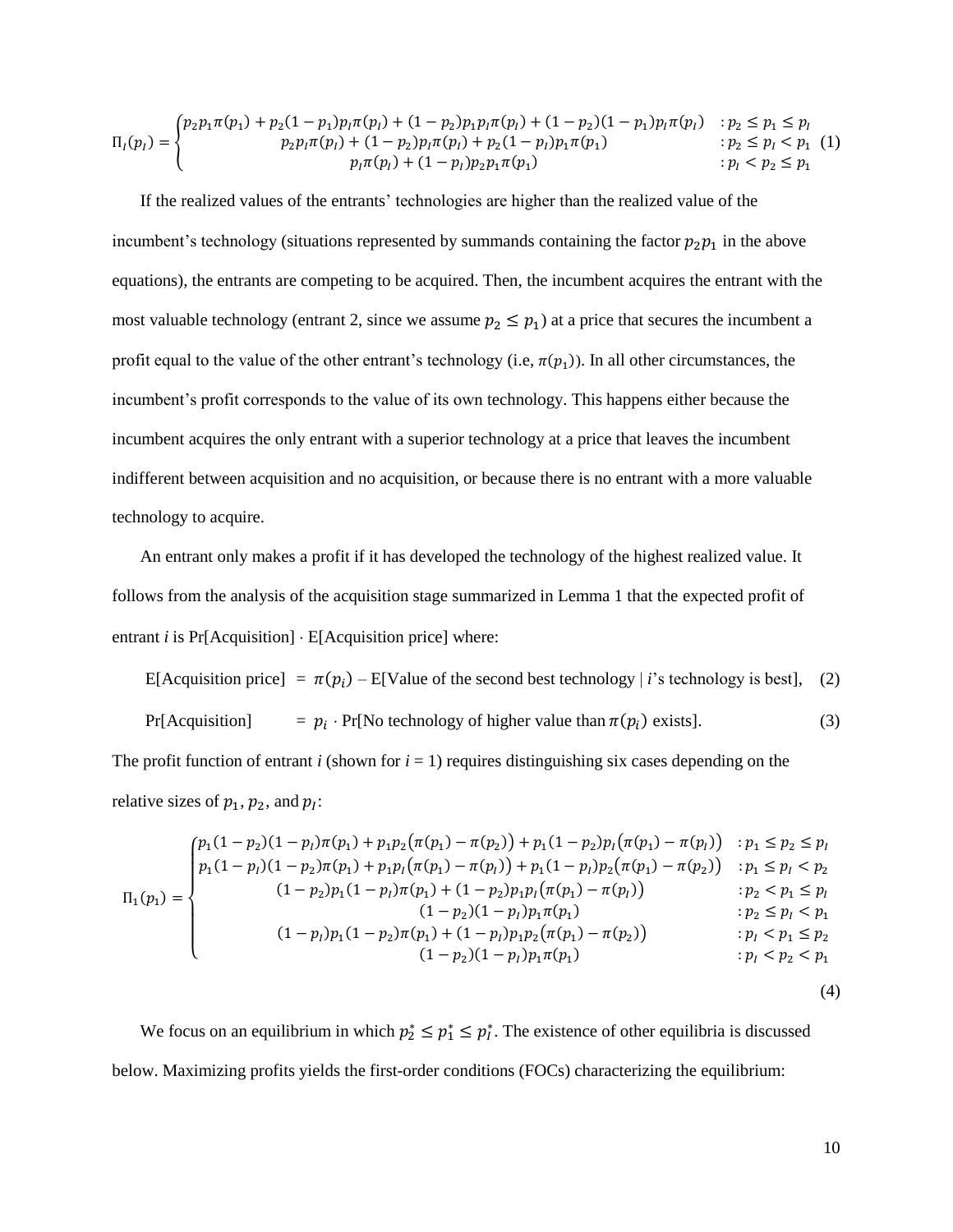$$
\Pi_{I}(p_{I}) = \begin{cases} p_{2}p_{1}\pi(p_{1}) + p_{2}(1-p_{1})p_{I}\pi(p_{I}) + (1-p_{2})p_{1}p_{I}\pi(p_{I}) + (1-p_{2})(1-p_{1})p_{I}\pi(p_{I}) & : p_{2} \le p_{1} \le p_{I} \\ p_{2}p_{I}\pi(p_{I}) + (1-p_{2})p_{I}\pi(p_{I}) + p_{2}(1-p_{I})p_{1}\pi(p_{1}) & : p_{2} \le p_{I} < p_{1} \ (1) \\ p_{I}\pi(p_{I}) + (1-p_{I})p_{2}p_{1}\pi(p_{1}) & : p_{I} < p_{2} \le p_{1} \end{cases}
$$

If the realized values of the entrants' technologies are higher than the realized value of the incumbent's technology (situations represented by summands containing the factor  $p_2p_1$  in the above equations), the entrants are competing to be acquired. Then, the incumbent acquires the entrant with the most valuable technology (entrant 2, since we assume  $p_2 \leq p_1$ ) at a price that secures the incumbent a profit equal to the value of the other entrant's technology (i.e,  $\pi(p_1)$ ). In all other circumstances, the incumbent's profit corresponds to the value of its own technology. This happens either because the incumbent acquires the only entrant with a superior technology at a price that leaves the incumbent indifferent between acquisition and no acquisition, or because there is no entrant with a more valuable technology to acquire.

An entrant only makes a profit if it has developed the technology of the highest realized value. It follows from the analysis of the acquisition stage summarized in Lemma 1 that the expected profit of entrant  $i$  is  $Pr[Acquisition] \cdot E[Acquisition\ price]$  where:

E[Acquisition price] =  $\pi(p_i)$  – E[Value of the second best technology | *i*'s technology is best], (2) Pr[Acquisition] = Pr[No technology of higher value than  $\pi(p_i)$  exists]. (3) The profit function of entrant *i* (shown for  $i = 1$ ) requires distinguishing six cases depending on the relative sizes of  $p_1, p_2$ , and  $p_1$ :

$$
\Pi_1(p_1) = \begin{cases} p_1(1-p_2)(1-p_1)\pi(p_1) + p_1p_2(\pi(p_1) - \pi(p_2)) + p_1(1-p_2)p_1(\pi(p_1) - \pi(p_1)) & : p_1 \le p_2 \le p_1 \\ p_1(1-p_1)(1-p_2)\pi(p_1) + p_1p_1(\pi(p_1) - \pi(p_1)) + p_1(1-p_1)p_2(\pi(p_1) - \pi(p_2)) & : p_1 \le p_1 < p_2 \\ (1-p_2)p_1(1-p_1)\pi(p_1) + (1-p_2)p_1p_1(\pi(p_1) - \pi(p_1)) & : p_2 < p_1 \le p_1 \\ (1-p_2)(1-p_1)p_1\pi(p_1) & : p_2 \le p_1 < p_1 \\ (1-p_1)p_1(1-p_2)\pi(p_1) + (1-p_1)p_1p_2(\pi(p_1) - \pi(p_2)) & : p_1 < p_1 \le p_2 \\ (1-p_2)(1-p_1)p_1\pi(p_1) & : p_1 < p_2 < p_1 \end{cases}
$$

(4)

We focus on an equilibrium in which  $p_2^* \leq p_1^* \leq p_l^*$ . The existence of other equilibria is discussed below. Maximizing profits yields the first-order conditions (FOCs) characterizing the equilibrium: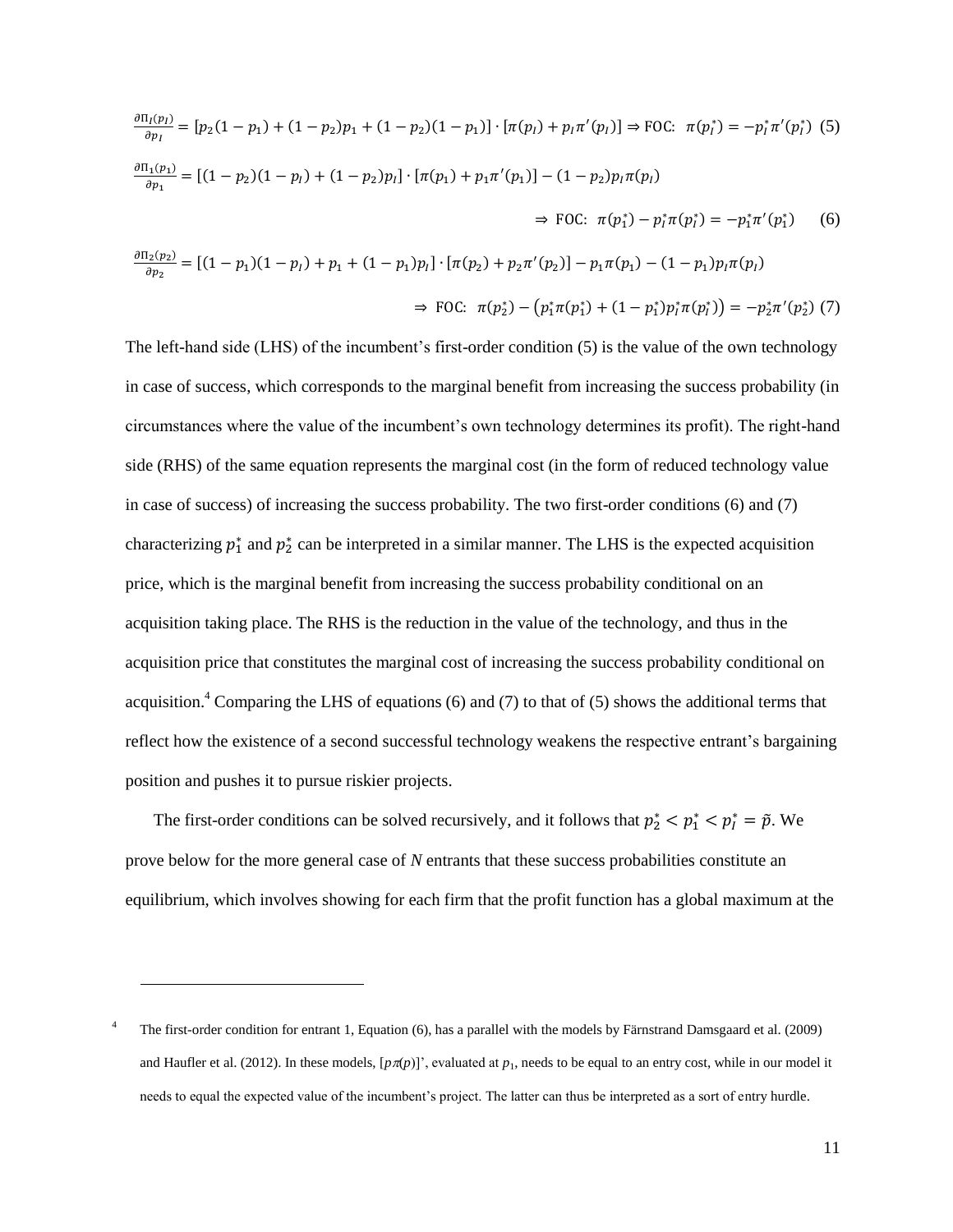$$
\frac{\partial \Pi_I(p_I)}{\partial p_I} = [p_2(1 - p_1) + (1 - p_2)p_1 + (1 - p_2)(1 - p_1)] \cdot [\pi(p_I) + p_I \pi'(p_I)] \Rightarrow \text{FOC: } \pi(p_I^*) = -p_I^* \pi'(p_I^*) \tag{5}
$$
  

$$
\frac{\partial \Pi_I(p_1)}{\partial p_1} = [(1 - p_2)(1 - p_I) + (1 - p_2)p_I] \cdot [\pi(p_1) + p_1 \pi'(p_1)] - (1 - p_2)p_I \pi(p_I)
$$

$$
\Rightarrow \text{FOC: } \pi(p_1^*) - p_I^* \pi(p_I^*) = -p_1^* \pi'(p_1^*) \tag{6}
$$

$$
\frac{\partial \Pi_2(p_2)}{\partial p_2} = \left[ (1 - p_1)(1 - p_1) + p_1 + (1 - p_1)p_1 \right] \cdot \left[ \pi(p_2) + p_2 \pi'(p_2) \right] - p_1 \pi(p_1) - (1 - p_1)p_1 \pi(p_1)
$$
\n
$$
\Rightarrow \text{FOC: } \pi(p_2^*) - \left( p_1^* \pi(p_1^*) + (1 - p_1^*) p_1^* \pi(p_1^*) \right) = -p_2^* \pi'(p_2^*) \tag{7}
$$

The left-hand side (LHS) of the incumbent's first-order condition (5) is the value of the own technology in case of success, which corresponds to the marginal benefit from increasing the success probability (in circumstances where the value of the incumbent's own technology determines its profit). The right-hand side (RHS) of the same equation represents the marginal cost (in the form of reduced technology value in case of success) of increasing the success probability. The two first-order conditions (6) and (7) characterizing  $p_1^*$  and  $p_2^*$  can be interpreted in a similar manner. The LHS is the expected acquisition price, which is the marginal benefit from increasing the success probability conditional on an acquisition taking place. The RHS is the reduction in the value of the technology, and thus in the acquisition price that constitutes the marginal cost of increasing the success probability conditional on acquisition.<sup>4</sup> Comparing the LHS of equations (6) and (7) to that of (5) shows the additional terms that reflect how the existence of a second successful technology weakens the respective entrant's bargaining position and pushes it to pursue riskier projects.

The first-order conditions can be solved recursively, and it follows that  $p_2^* < p_1^* < p_1^* = \tilde{p}$ . We prove below for the more general case of *N* entrants that these success probabilities constitute an equilibrium, which involves showing for each firm that the profit function has a global maximum at the

l

<sup>&</sup>lt;sup>4</sup> The first-order condition for entrant 1, Equation (6), has a parallel with the models by Färnstrand Damsgaard et al. (2009) and Haufler et al. (2012). In these models,  $[p\pi(p)]$ , evaluated at  $p_1$ , needs to be equal to an entry cost, while in our model it needs to equal the expected value of the incumbent's project. The latter can thus be interpreted as a sort of entry hurdle.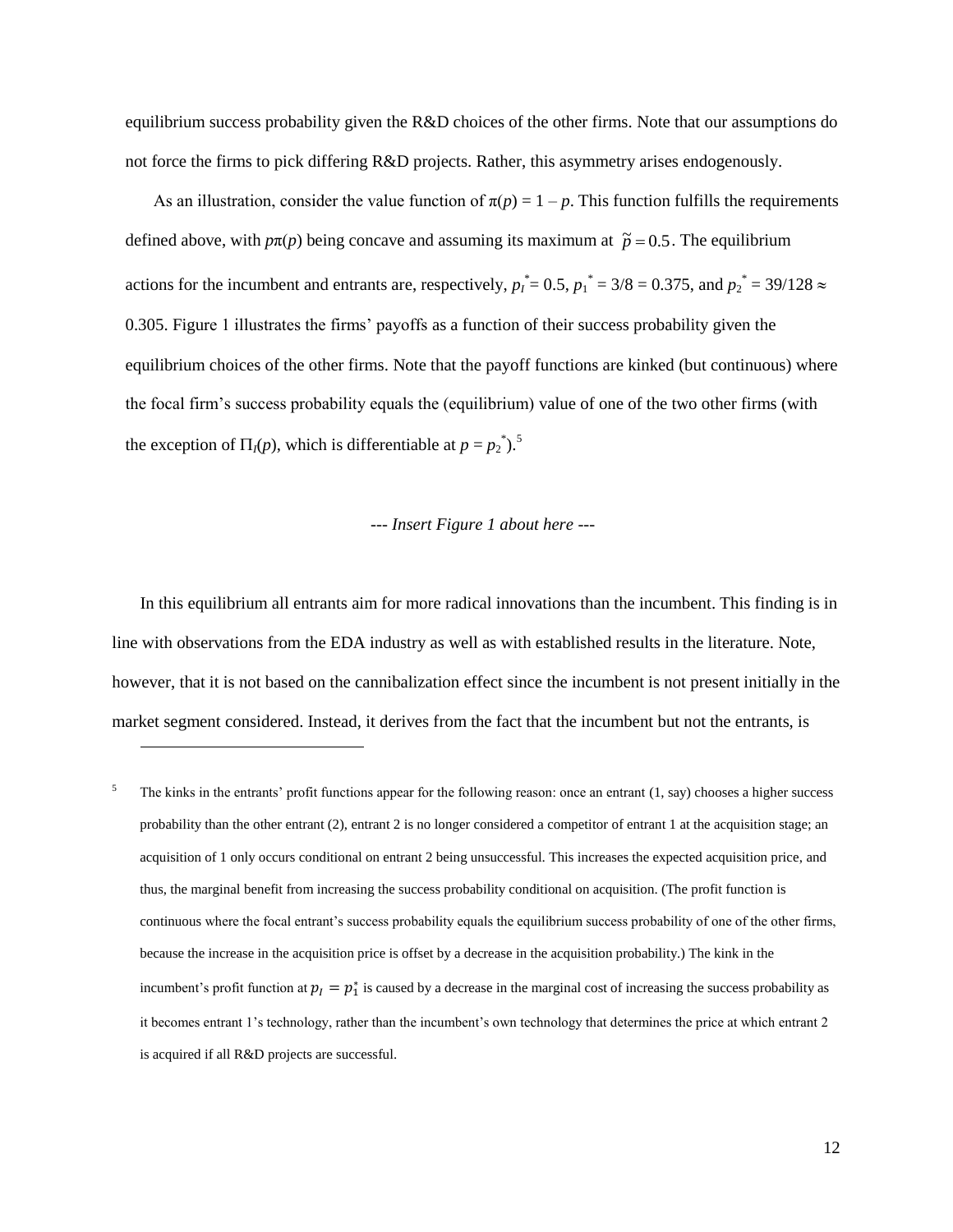equilibrium success probability given the R&D choices of the other firms. Note that our assumptions do not force the firms to pick differing R&D projects. Rather, this asymmetry arises endogenously.

As an illustration, consider the value function of  $\pi(p) = 1 - p$ . This function fulfills the requirements defined above, with  $p\pi(p)$  being concave and assuming its maximum at  $\tilde{p} = 0.5$ . The equilibrium actions for the incumbent and entrants are, respectively,  $p_I^* = 0.5$ ,  $p_I^* = 3/8 = 0.375$ , and  $p_2^* = 39/128 \approx$ 0.305. Figure 1 illustrates the firms' payoffs as a function of their success probability given the equilibrium choices of the other firms. Note that the payoff functions are kinked (but continuous) where the focal firm's success probability equals the (equilibrium) value of one of the two other firms (with the exception of  $\Pi_l(p)$ , which is differentiable at  $p = p_2^*$ ).<sup>5</sup>

#### *--- Insert Figure 1 about here ---*

In this equilibrium all entrants aim for more radical innovations than the incumbent. This finding is in line with observations from the EDA industry as well as with established results in the literature. Note, however, that it is not based on the cannibalization effect since the incumbent is not present initially in the market segment considered. Instead, it derives from the fact that the incumbent but not the entrants, is

l

<sup>&</sup>lt;sup>5</sup> The kinks in the entrants' profit functions appear for the following reason: once an entrant  $(1, say)$  chooses a higher success probability than the other entrant (2), entrant 2 is no longer considered a competitor of entrant 1 at the acquisition stage; an acquisition of 1 only occurs conditional on entrant 2 being unsuccessful. This increases the expected acquisition price, and thus, the marginal benefit from increasing the success probability conditional on acquisition. (The profit function is continuous where the focal entrant's success probability equals the equilibrium success probability of one of the other firms, because the increase in the acquisition price is offset by a decrease in the acquisition probability.) The kink in the incumbent's profit function at  $p_1 = p_1^*$  is caused by a decrease in the marginal cost of increasing the success probability as it becomes entrant 1's technology, rather than the incumbent's own technology that determines the price at which entrant 2 is acquired if all R&D projects are successful.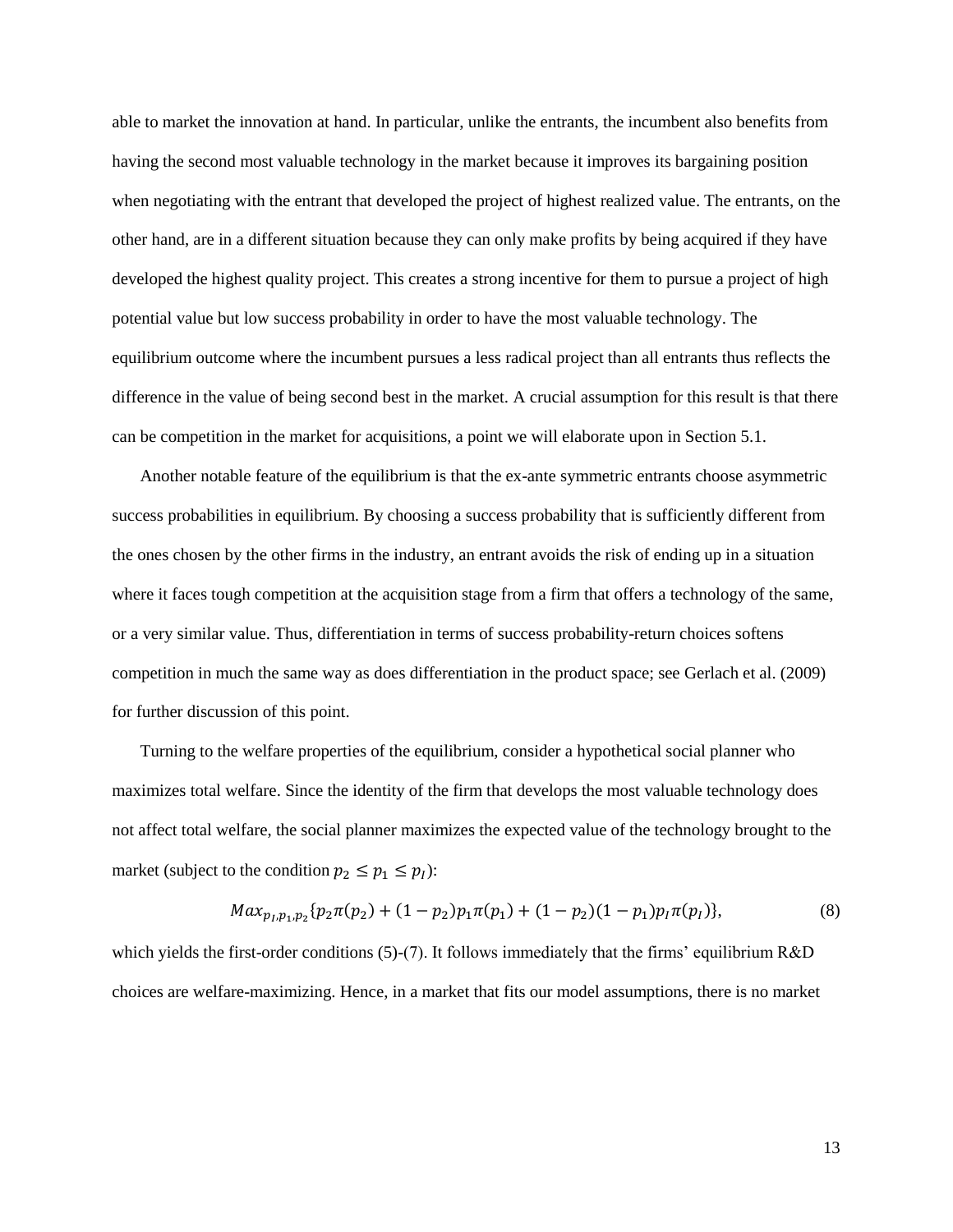able to market the innovation at hand. In particular, unlike the entrants, the incumbent also benefits from having the second most valuable technology in the market because it improves its bargaining position when negotiating with the entrant that developed the project of highest realized value. The entrants, on the other hand, are in a different situation because they can only make profits by being acquired if they have developed the highest quality project. This creates a strong incentive for them to pursue a project of high potential value but low success probability in order to have the most valuable technology. The equilibrium outcome where the incumbent pursues a less radical project than all entrants thus reflects the difference in the value of being second best in the market. A crucial assumption for this result is that there can be competition in the market for acquisitions, a point we will elaborate upon in Section 5.1.

Another notable feature of the equilibrium is that the ex-ante symmetric entrants choose asymmetric success probabilities in equilibrium. By choosing a success probability that is sufficiently different from the ones chosen by the other firms in the industry, an entrant avoids the risk of ending up in a situation where it faces tough competition at the acquisition stage from a firm that offers a technology of the same, or a very similar value. Thus, differentiation in terms of success probability-return choices softens competition in much the same way as does differentiation in the product space; see Gerlach et al. (2009) for further discussion of this point.

Turning to the welfare properties of the equilibrium, consider a hypothetical social planner who maximizes total welfare. Since the identity of the firm that develops the most valuable technology does not affect total welfare, the social planner maximizes the expected value of the technology brought to the market (subject to the condition  $p_2 \leq p_1 \leq p_l$ ):

$$
Max_{p_1, p_1, p_2} \{p_2 \pi(p_2) + (1 - p_2)p_1 \pi(p_1) + (1 - p_2)(1 - p_1)p_1 \pi(p_1)\},\tag{8}
$$

which yields the first-order conditions  $(5)-(7)$ . It follows immediately that the firms' equilibrium R&D choices are welfare-maximizing. Hence, in a market that fits our model assumptions, there is no market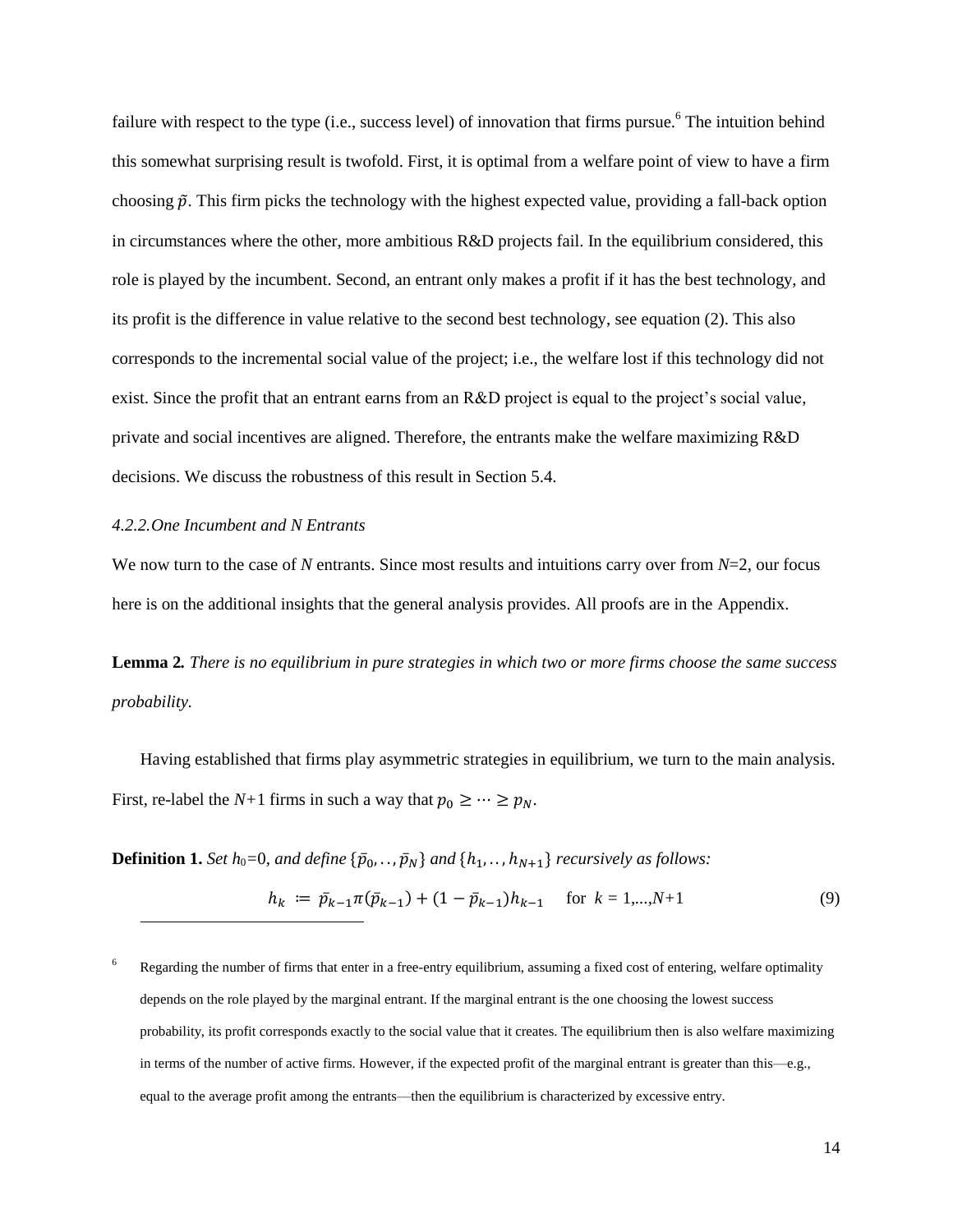failure with respect to the type (i.e., success level) of innovation that firms pursue. <sup>6</sup> The intuition behind this somewhat surprising result is twofold. First, it is optimal from a welfare point of view to have a firm choosing  $\tilde{p}$ . This firm picks the technology with the highest expected value, providing a fall-back option in circumstances where the other, more ambitious R&D projects fail. In the equilibrium considered, this role is played by the incumbent. Second, an entrant only makes a profit if it has the best technology, and its profit is the difference in value relative to the second best technology, see equation (2). This also corresponds to the incremental social value of the project; i.e., the welfare lost if this technology did not exist. Since the profit that an entrant earns from an R&D project is equal to the project's social value, private and social incentives are aligned. Therefore, the entrants make the welfare maximizing R&D decisions. We discuss the robustness of this result in Section 5.4.

#### *4.2.2.One Incumbent and N Entrants*

l

We now turn to the case of *N* entrants. Since most results and intuitions carry over from *N*=2, our focus here is on the additional insights that the general analysis provides. All proofs are in the Appendix.

**Lemma 2***. There is no equilibrium in pure strategies in which two or more firms choose the same success probability.*

Having established that firms play asymmetric strategies in equilibrium, we turn to the main analysis. First, re-label the *N*+1 firms in such a way that  $p_0 \geq \cdots \geq p_N$ .

**Definition 1.** *Set h*<sub>0</sub>=0*, and define* { $\bar{p}_0$ ,..., $\bar{p}_N$ } *and* { $h_1$ ,.., $h_{N+1}$ } *recursively as follows:* 

$$
h_k := \bar{p}_{k-1}\pi(\bar{p}_{k-1}) + (1 - \bar{p}_{k-1})h_{k-1} \quad \text{for } k = 1, \dots, N+1
$$
 (9)

<sup>6</sup> Regarding the number of firms that enter in a free-entry equilibrium, assuming a fixed cost of entering, welfare optimality depends on the role played by the marginal entrant. If the marginal entrant is the one choosing the lowest success probability, its profit corresponds exactly to the social value that it creates. The equilibrium then is also welfare maximizing in terms of the number of active firms. However, if the expected profit of the marginal entrant is greater than this—e.g., equal to the average profit among the entrants—then the equilibrium is characterized by excessive entry.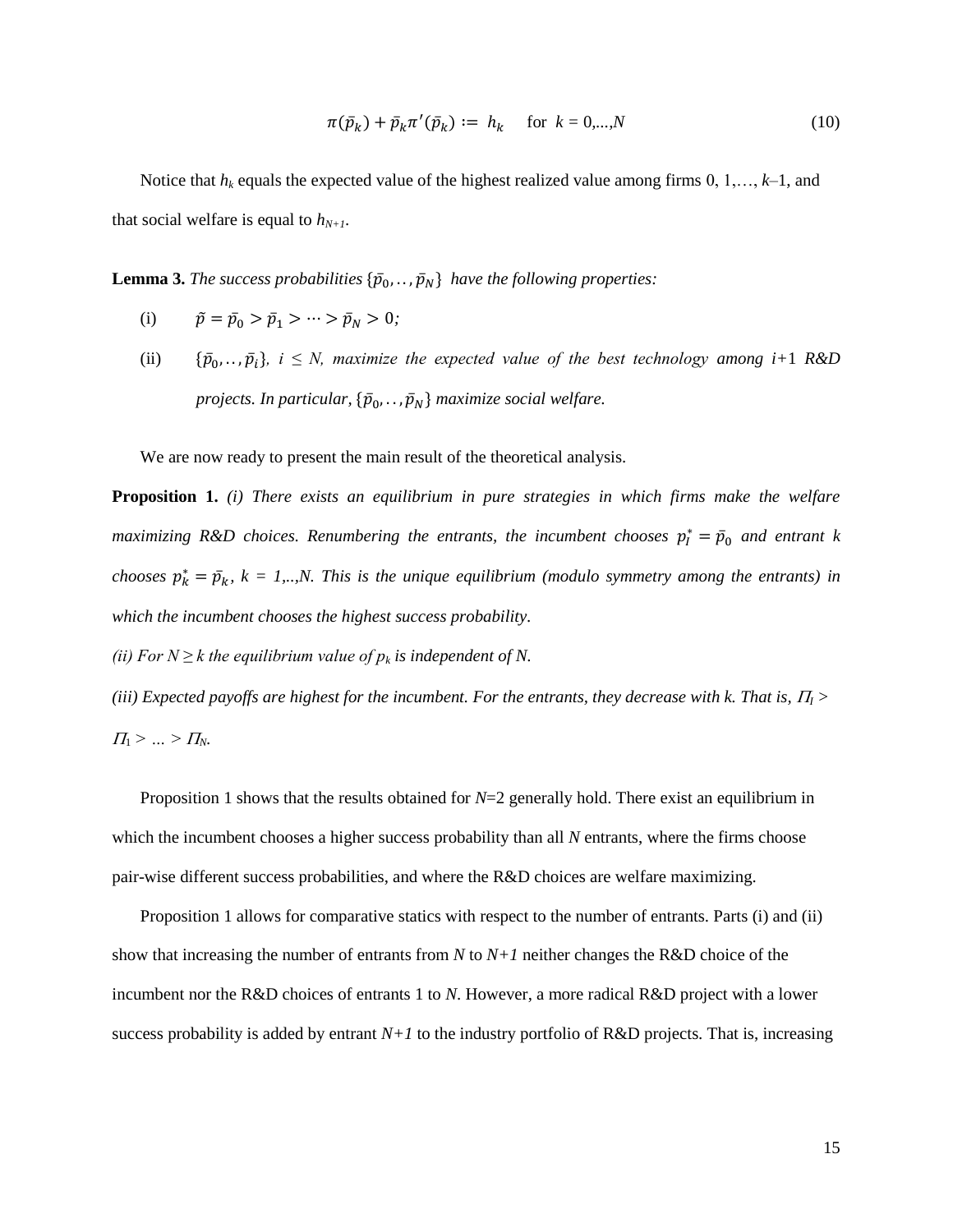$$
\pi(\bar{p}_k) + \bar{p}_k \pi'(\bar{p}_k) := h_k \quad \text{for } k = 0,...,N \tag{10}
$$

Notice that  $h_k$  equals the expected value of the highest realized value among firms  $0, 1, \ldots, k-1$ , and that social welfare is equal to  $h_{N+1}$ .

**Lemma 3.** *The success probabilities*  $\{\bar{p}_0, \ldots, \bar{p}_N\}$  *have the following properties:* 

- (i)  $\tilde{p} = \bar{p}_0 > \bar{p}_1 > \cdots > \bar{p}_N > 0;$
- (ii)  ${\bar p}_0, \ldots, {\bar p}_i$ ,  $i \leq N$ , maximize the expected value of the best technology among  $i+1$  *R&D projects. In particular,*  $\{\bar{p}_0, \ldots, \bar{p}_N\}$  *maximize social welfare.*

We are now ready to present the main result of the theoretical analysis.

**Proposition 1.** *(i) There exists an equilibrium in pure strategies in which firms make the welfare maximizing R&D choices. Renumbering the entrants, the incumbent chooses*  $p_l^* = \bar{p}_0$  and entrant k *chooses*  $p_k^* = \bar{p}_k$ ,  $k = 1,...,N$ . This is the unique equilibrium (modulo symmetry among the entrants) in *which the incumbent chooses the highest success probability.*

- *(ii)* For  $N \geq k$  the equilibrium value of  $p_k$  is independent of N.
- *(iii) Expected payoffs are highest for the incumbent. For the entrants, they decrease with k. That is,*  $\Pi_l$  *>*  $\Pi_1 > ... > \Pi_N$ .

Proposition 1 shows that the results obtained for *N*=2 generally hold. There exist an equilibrium in which the incumbent chooses a higher success probability than all *N* entrants, where the firms choose pair-wise different success probabilities, and where the R&D choices are welfare maximizing.

Proposition 1 allows for comparative statics with respect to the number of entrants. Parts (i) and (ii) show that increasing the number of entrants from *N* to  $N+1$  neither changes the R&D choice of the incumbent nor the R&D choices of entrants 1 to *N*. However, a more radical R&D project with a lower success probability is added by entrant  $N+1$  to the industry portfolio of R&D projects. That is, increasing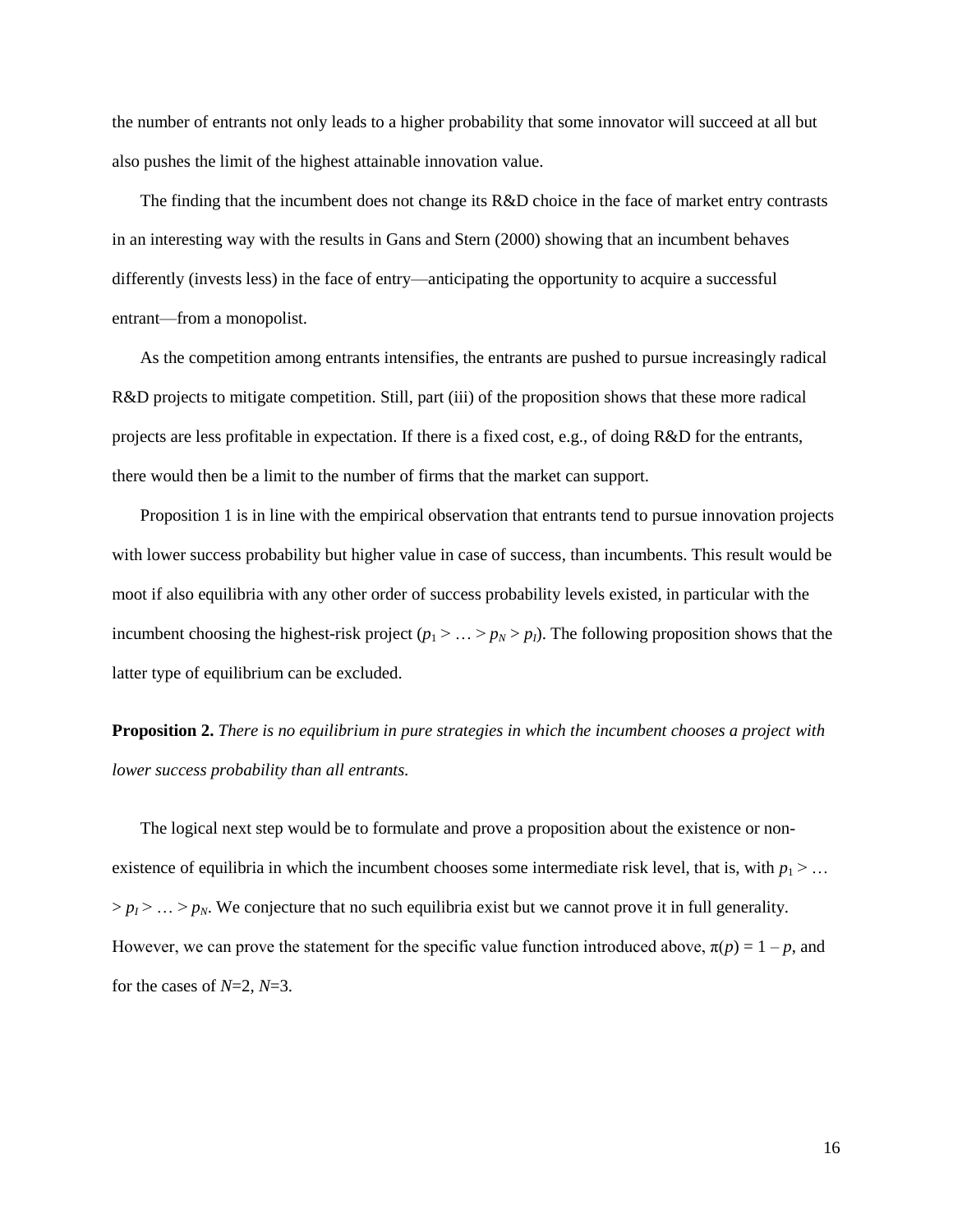the number of entrants not only leads to a higher probability that some innovator will succeed at all but also pushes the limit of the highest attainable innovation value.

The finding that the incumbent does not change its R&D choice in the face of market entry contrasts in an interesting way with the results in Gans and Stern (2000) showing that an incumbent behaves differently (invests less) in the face of entry—anticipating the opportunity to acquire a successful entrant—from a monopolist.

As the competition among entrants intensifies, the entrants are pushed to pursue increasingly radical R&D projects to mitigate competition. Still, part (iii) of the proposition shows that these more radical projects are less profitable in expectation. If there is a fixed cost, e.g., of doing R&D for the entrants, there would then be a limit to the number of firms that the market can support.

Proposition 1 is in line with the empirical observation that entrants tend to pursue innovation projects with lower success probability but higher value in case of success, than incumbents. This result would be moot if also equilibria with any other order of success probability levels existed, in particular with the incumbent choosing the highest-risk project  $(p_1 > ... > p_N > p_l)$ . The following proposition shows that the latter type of equilibrium can be excluded.

**Proposition 2.** *There is no equilibrium in pure strategies in which the incumbent chooses a project with lower success probability than all entrants.* 

The logical next step would be to formulate and prove a proposition about the existence or nonexistence of equilibria in which the incumbent chooses some intermediate risk level, that is, with  $p_1$  > ...  $> p_I$  $> \ldots$   $> p_N$ . We conjecture that no such equilibria exist but we cannot prove it in full generality. However, we can prove the statement for the specific value function introduced above,  $\pi(p) = 1 - p$ , and for the cases of *N*=2, *N*=3.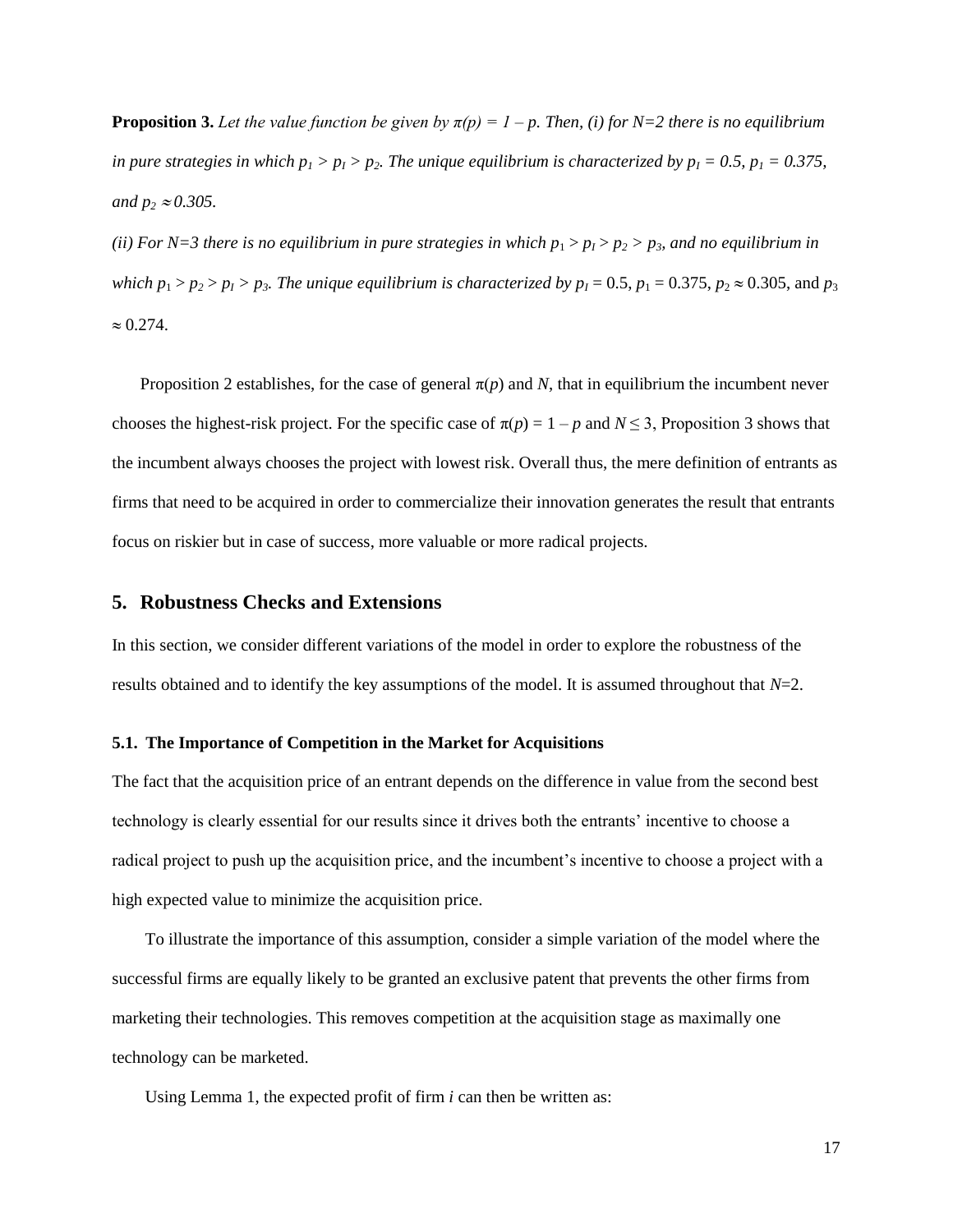**Proposition 3.** Let the value function be given by  $\pi(p) = 1 - p$ . Then, (i) for N=2 there is no equilibrium *in pure strategies in which*  $p_1 > p_2$  *<i>p*<sub>2</sub>*. The unique equilibrium is characterized by*  $p_1 = 0.5$ *,*  $p_1 = 0.375$ *, and*  $p_2 \approx 0.305$ .

*(ii) For N=3 there is no equilibrium in pure strategies in which*  $p_1 > p_1 > p_2 > p_3$ *<i>, and no equilibrium in which*  $p_1 > p_2 > p_1 > p_3$ . The unique equilibrium is characterized by  $p_1 = 0.5$ ,  $p_1 = 0.375$ ,  $p_2 \approx 0.305$ , and  $p_3$  $\approx 0.274$ .

Proposition 2 establishes, for the case of general  $\pi(p)$  and *N*, that in equilibrium the incumbent never chooses the highest-risk project. For the specific case of  $\pi(p) = 1 - p$  and  $N \le 3$ , Proposition 3 shows that the incumbent always chooses the project with lowest risk. Overall thus, the mere definition of entrants as firms that need to be acquired in order to commercialize their innovation generates the result that entrants focus on riskier but in case of success, more valuable or more radical projects.

## **5. Robustness Checks and Extensions**

In this section, we consider different variations of the model in order to explore the robustness of the results obtained and to identify the key assumptions of the model. It is assumed throughout that *N*=2.

## **5.1. The Importance of Competition in the Market for Acquisitions**

The fact that the acquisition price of an entrant depends on the difference in value from the second best technology is clearly essential for our results since it drives both the entrants' incentive to choose a radical project to push up the acquisition price, and the incumbent's incentive to choose a project with a high expected value to minimize the acquisition price.

To illustrate the importance of this assumption, consider a simple variation of the model where the successful firms are equally likely to be granted an exclusive patent that prevents the other firms from marketing their technologies. This removes competition at the acquisition stage as maximally one technology can be marketed.

Using Lemma 1, the expected profit of firm *i* can then be written as: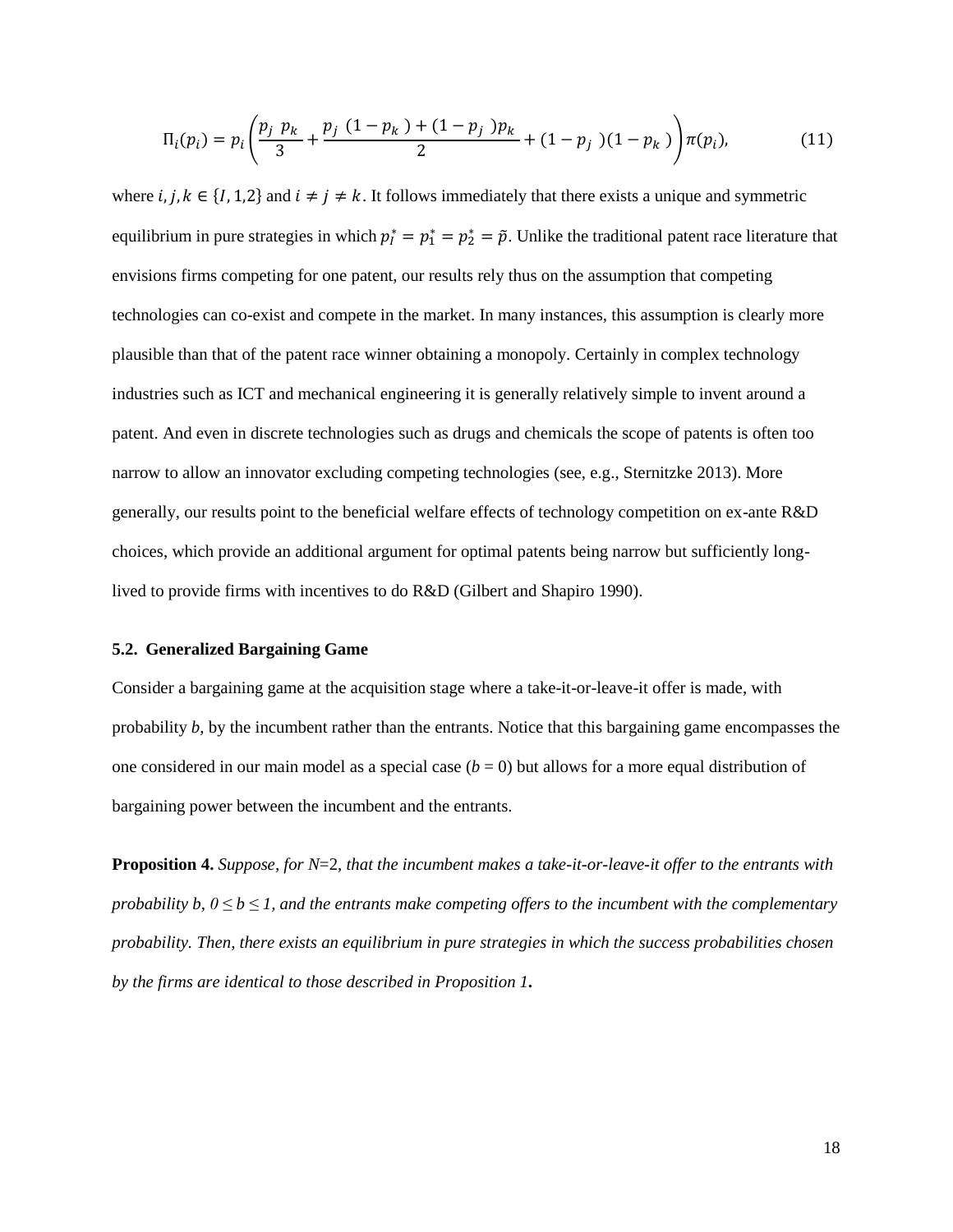$$
\Pi_i(p_i) = p_i \left( \frac{p_j \ p_k}{3} + \frac{p_j \ (1 - p_k) + (1 - p_j) p_k}{2} + (1 - p_j) (1 - p_k) \right) \pi(p_i), \tag{11}
$$

where  $i, j, k \in \{I, 1, 2\}$  and  $i \neq j \neq k$ . It follows immediately that there exists a unique and symmetric equilibrium in pure strategies in which  $p_1^* = p_1^* = p_2^* = \tilde{p}$ . Unlike the traditional patent race literature that envisions firms competing for one patent, our results rely thus on the assumption that competing technologies can co-exist and compete in the market. In many instances, this assumption is clearly more plausible than that of the patent race winner obtaining a monopoly. Certainly in complex technology industries such as ICT and mechanical engineering it is generally relatively simple to invent around a patent. And even in discrete technologies such as drugs and chemicals the scope of patents is often too narrow to allow an innovator excluding competing technologies (see, e.g., Sternitzke 2013). More generally, our results point to the beneficial welfare effects of technology competition on ex-ante R&D choices, which provide an additional argument for optimal patents being narrow but sufficiently longlived to provide firms with incentives to do R&D (Gilbert and Shapiro 1990).

#### **5.2. Generalized Bargaining Game**

Consider a bargaining game at the acquisition stage where a take-it-or-leave-it offer is made, with probability *b*, by the incumbent rather than the entrants. Notice that this bargaining game encompasses the one considered in our main model as a special case  $(b = 0)$  but allows for a more equal distribution of bargaining power between the incumbent and the entrants.

**Proposition 4.** *Suppose, for N*=2*, that the incumbent makes a take-it-or-leave-it offer to the entrants with probability b,*  $0 \leq b \leq 1$ , and the entrants make competing offers to the incumbent with the complementary *probability. Then, there exists an equilibrium in pure strategies in which the success probabilities chosen by the firms are identical to those described in Proposition 1.*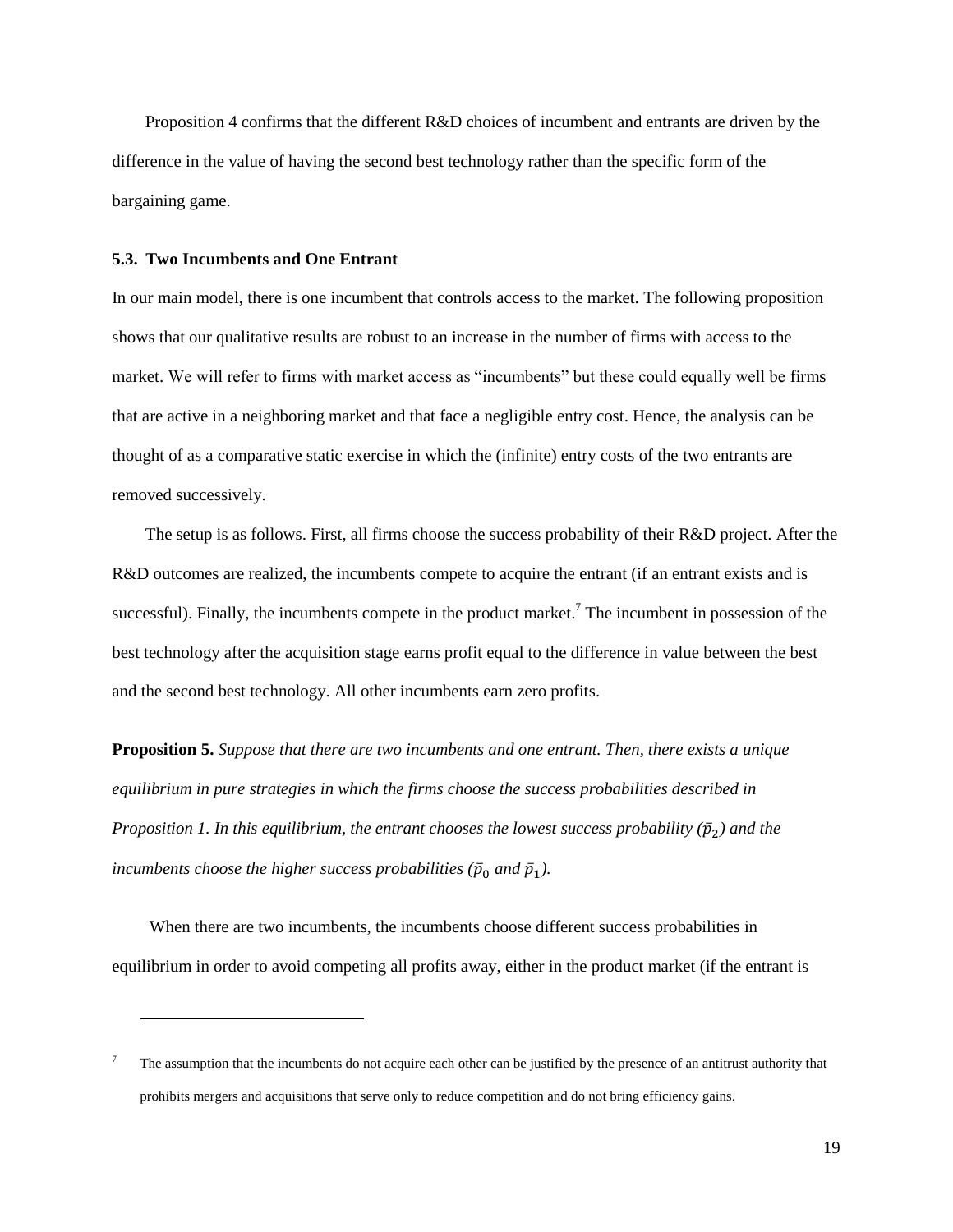Proposition 4 confirms that the different R&D choices of incumbent and entrants are driven by the difference in the value of having the second best technology rather than the specific form of the bargaining game.

#### **5.3. Two Incumbents and One Entrant**

l

In our main model, there is one incumbent that controls access to the market. The following proposition shows that our qualitative results are robust to an increase in the number of firms with access to the market. We will refer to firms with market access as "incumbents" but these could equally well be firms that are active in a neighboring market and that face a negligible entry cost. Hence, the analysis can be thought of as a comparative static exercise in which the (infinite) entry costs of the two entrants are removed successively.

The setup is as follows. First, all firms choose the success probability of their R&D project. After the R&D outcomes are realized, the incumbents compete to acquire the entrant (if an entrant exists and is successful). Finally, the incumbents compete in the product market.<sup>7</sup> The incumbent in possession of the best technology after the acquisition stage earns profit equal to the difference in value between the best and the second best technology. All other incumbents earn zero profits.

**Proposition 5.** *Suppose that there are two incumbents and one entrant. Then, there exists a unique equilibrium in pure strategies in which the firms choose the success probabilities described in Proposition 1. In this equilibrium, the entrant chooses the lowest success probability (* $\bar{p}_2$ *) and the incumbents choose the higher success probabilities (* $\bar{p}_0$  *and*  $\bar{p}_1$ *).* 

When there are two incumbents, the incumbents choose different success probabilities in equilibrium in order to avoid competing all profits away, either in the product market (if the entrant is

<sup>&</sup>lt;sup>7</sup> The assumption that the incumbents do not acquire each other can be justified by the presence of an antitrust authority that prohibits mergers and acquisitions that serve only to reduce competition and do not bring efficiency gains.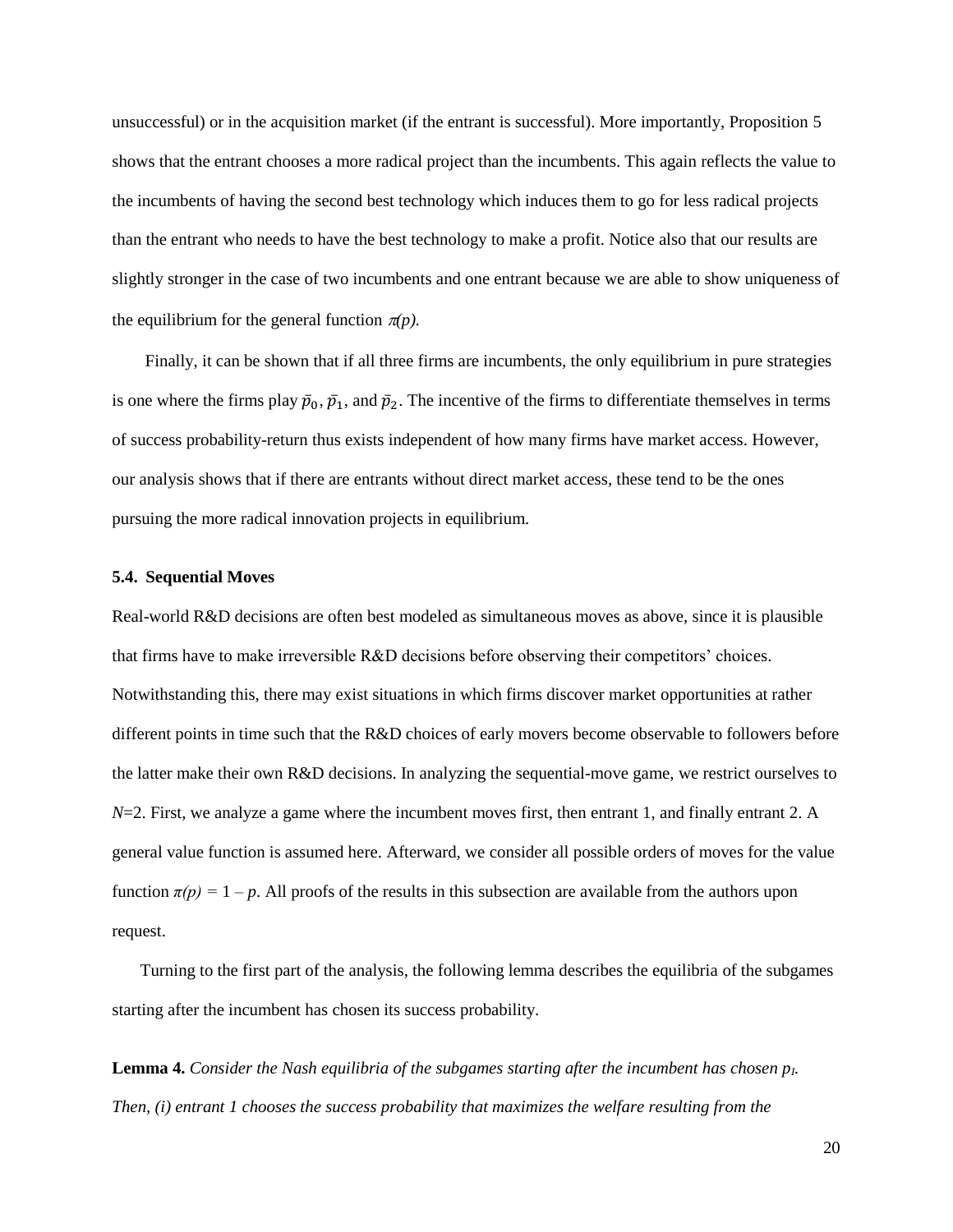unsuccessful) or in the acquisition market (if the entrant is successful). More importantly, Proposition 5 shows that the entrant chooses a more radical project than the incumbents. This again reflects the value to the incumbents of having the second best technology which induces them to go for less radical projects than the entrant who needs to have the best technology to make a profit. Notice also that our results are slightly stronger in the case of two incumbents and one entrant because we are able to show uniqueness of the equilibrium for the general function  $\pi(p)$ .

Finally, it can be shown that if all three firms are incumbents, the only equilibrium in pure strategies is one where the firms play  $\bar{p}_0$ ,  $\bar{p}_1$ , and  $\bar{p}_2$ . The incentive of the firms to differentiate themselves in terms of success probability-return thus exists independent of how many firms have market access. However, our analysis shows that if there are entrants without direct market access, these tend to be the ones pursuing the more radical innovation projects in equilibrium.

#### **5.4. Sequential Moves**

Real-world R&D decisions are often best modeled as simultaneous moves as above, since it is plausible that firms have to make irreversible R&D decisions before observing their competitors' choices. Notwithstanding this, there may exist situations in which firms discover market opportunities at rather different points in time such that the R&D choices of early movers become observable to followers before the latter make their own R&D decisions. In analyzing the sequential-move game, we restrict ourselves to *N*=2. First, we analyze a game where the incumbent moves first, then entrant 1, and finally entrant 2. A general value function is assumed here. Afterward, we consider all possible orders of moves for the value function  $\pi(p) = 1 - p$ . All proofs of the results in this subsection are available from the authors upon request.

Turning to the first part of the analysis, the following lemma describes the equilibria of the subgames starting after the incumbent has chosen its success probability.

Lemma 4. *Consider the Nash equilibria of the subgames starting after the incumbent has chosen*  $p<sub>I</sub>$ *. Then, (i) entrant 1 chooses the success probability that maximizes the welfare resulting from the*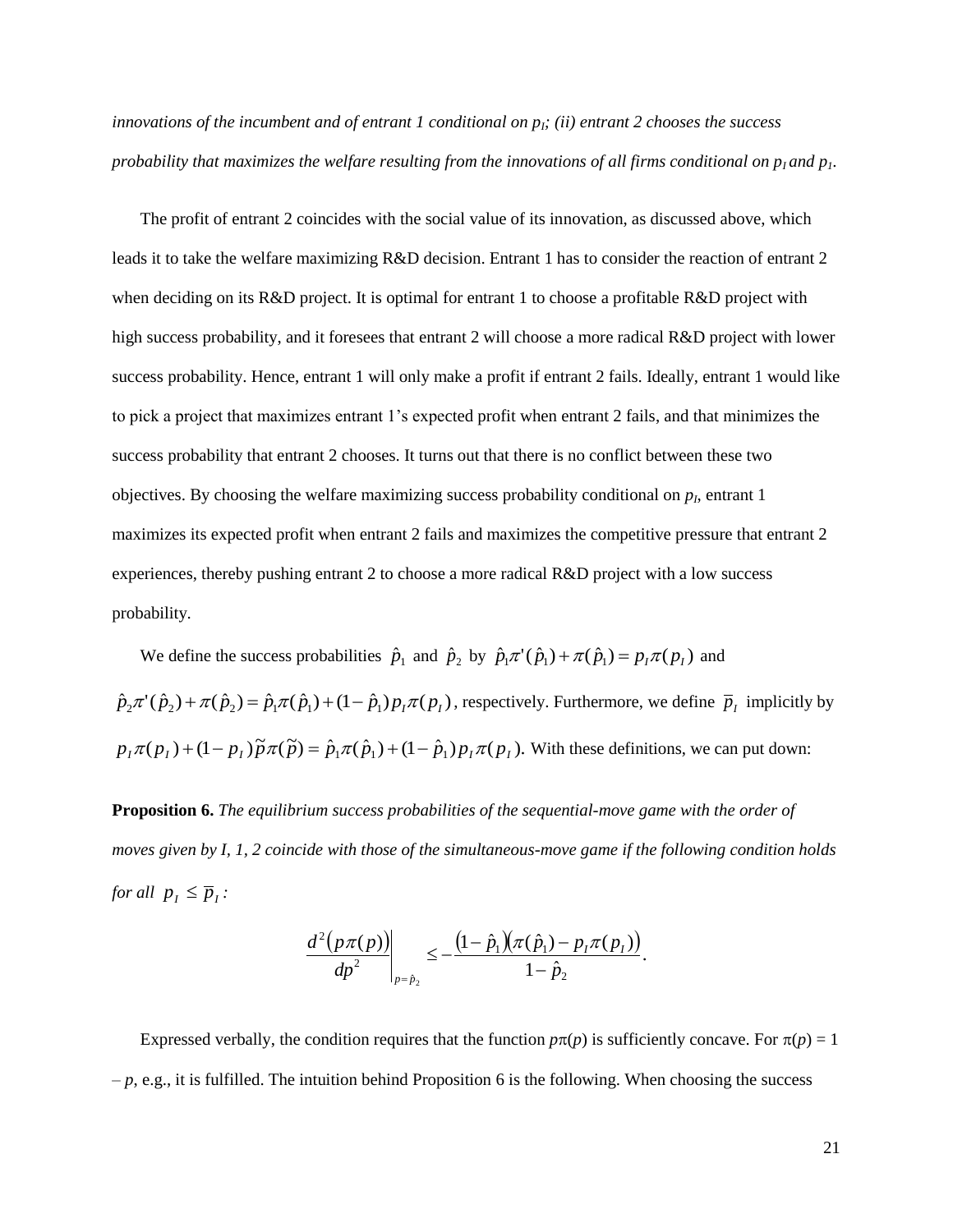*innovations of the incumbent and of entrant 1 conditional on pI; (ii) entrant 2 chooses the success probability that maximizes the welfare resulting from the innovations of all firms conditional on pI and p1.*

The profit of entrant 2 coincides with the social value of its innovation, as discussed above, which leads it to take the welfare maximizing R&D decision. Entrant 1 has to consider the reaction of entrant 2 when deciding on its R&D project. It is optimal for entrant 1 to choose a profitable R&D project with high success probability, and it foresees that entrant 2 will choose a more radical R&D project with lower success probability. Hence, entrant 1 will only make a profit if entrant 2 fails. Ideally, entrant 1 would like to pick a project that maximizes entrant 1's expected profit when entrant 2 fails, and that minimizes the success probability that entrant 2 chooses. It turns out that there is no conflict between these two objectives. By choosing the welfare maximizing success probability conditional on *p<sup>I</sup>* , entrant 1 maximizes its expected profit when entrant 2 fails and maximizes the competitive pressure that entrant 2 experiences, thereby pushing entrant 2 to choose a more radical R&D project with a low success probability.

We define the success probabilities  $\hat{p}_1$  and  $\hat{p}_2$  by  $\hat{p}_1 \pi'(\hat{p}_1) + \pi(\hat{p}_1) = p_1 \pi(p_1)$  and  $\hat{p}_2 \pi'(\hat{p}_2) + \pi(\hat{p}_2) = \hat{p}_1 \pi(\hat{p}_1) + (1 - \hat{p}_1) p_I \pi(p_I)$ , respectively. Furthermore, we define  $\bar{p}_I$  implicitly by  $p_I \pi(p_I) + (1 - p_I) \widetilde{p} \pi(\widetilde{p}) = \hat{p}_I \pi(\hat{p}_I) + (1 - \hat{p}_I) p_I \pi(p_I)$ . With these definitions, we can put down:

**Proposition 6.** *The equilibrium success probabilities of the sequential-move game with the order of moves given by I, 1, 2 coincide with those of the simultaneous-move game if the following condition holds for all*  $p_I \leq \overline{p}_I$ :

$$
\left. \frac{d^2(p\pi(p))}{dp^2}\right|_{p=\hat{p}_2} \leq -\frac{\left(1-\hat{p}_1\right)\left(\pi(\hat{p}_1)-p_1\pi(p_1)\right)}{1-\hat{p}_2}.
$$

Expressed verbally, the condition requires that the function  $p\pi(p)$  is sufficiently concave. For  $\pi(p) = 1$  $-p$ , e.g., it is fulfilled. The intuition behind Proposition 6 is the following. When choosing the success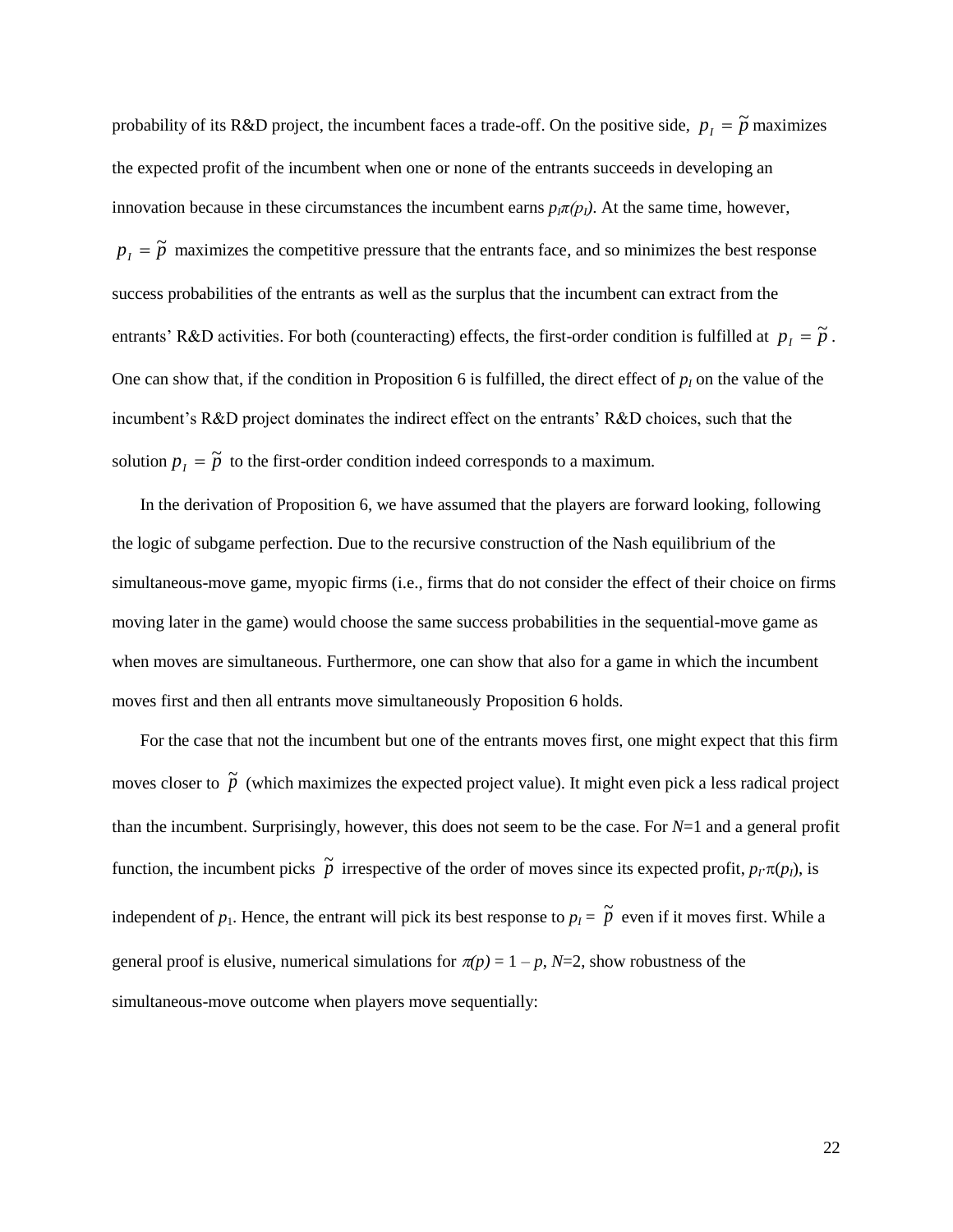probability of its R&D project, the incumbent faces a trade-off. On the positive side,  $p_I = \tilde{p}$  maximizes the expected profit of the incumbent when one or none of the entrants succeeds in developing an innovation because in these circumstances the incumbent earns  $p_i \pi(p_i)$ . At the same time, however,  $p_I = \tilde{p}$  maximizes the competitive pressure that the entrants face, and so minimizes the best response success probabilities of the entrants as well as the surplus that the incumbent can extract from the entrants' R&D activities. For both (counteracting) effects, the first-order condition is fulfilled at  $p_1 = \tilde{p}$ . One can show that, if the condition in Proposition 6 is fulfilled, the direct effect of  $p_I$  on the value of the incumbent's R&D project dominates the indirect effect on the entrants' R&D choices, such that the solution  $p_I = \tilde{p}$  to the first-order condition indeed corresponds to a maximum.

In the derivation of Proposition 6, we have assumed that the players are forward looking, following the logic of subgame perfection. Due to the recursive construction of the Nash equilibrium of the simultaneous-move game, myopic firms (i.e., firms that do not consider the effect of their choice on firms moving later in the game) would choose the same success probabilities in the sequential-move game as when moves are simultaneous. Furthermore, one can show that also for a game in which the incumbent moves first and then all entrants move simultaneously Proposition 6 holds.

For the case that not the incumbent but one of the entrants moves first, one might expect that this firm moves closer to  $\tilde{p}$  (which maximizes the expected project value). It might even pick a less radical project than the incumbent. Surprisingly, however, this does not seem to be the case. For *N*=1 and a general profit function, the incumbent picks  $\tilde{p}$  irrespective of the order of moves since its expected profit,  $p_t \pi(p_l)$ , is independent of  $p_1$ . Hence, the entrant will pick its best response to  $p_I = \tilde{p}$  even if it moves first. While a general proof is elusive, numerical simulations for  $\pi(p) = 1 - p$ , *N*=2, show robustness of the simultaneous-move outcome when players move sequentially: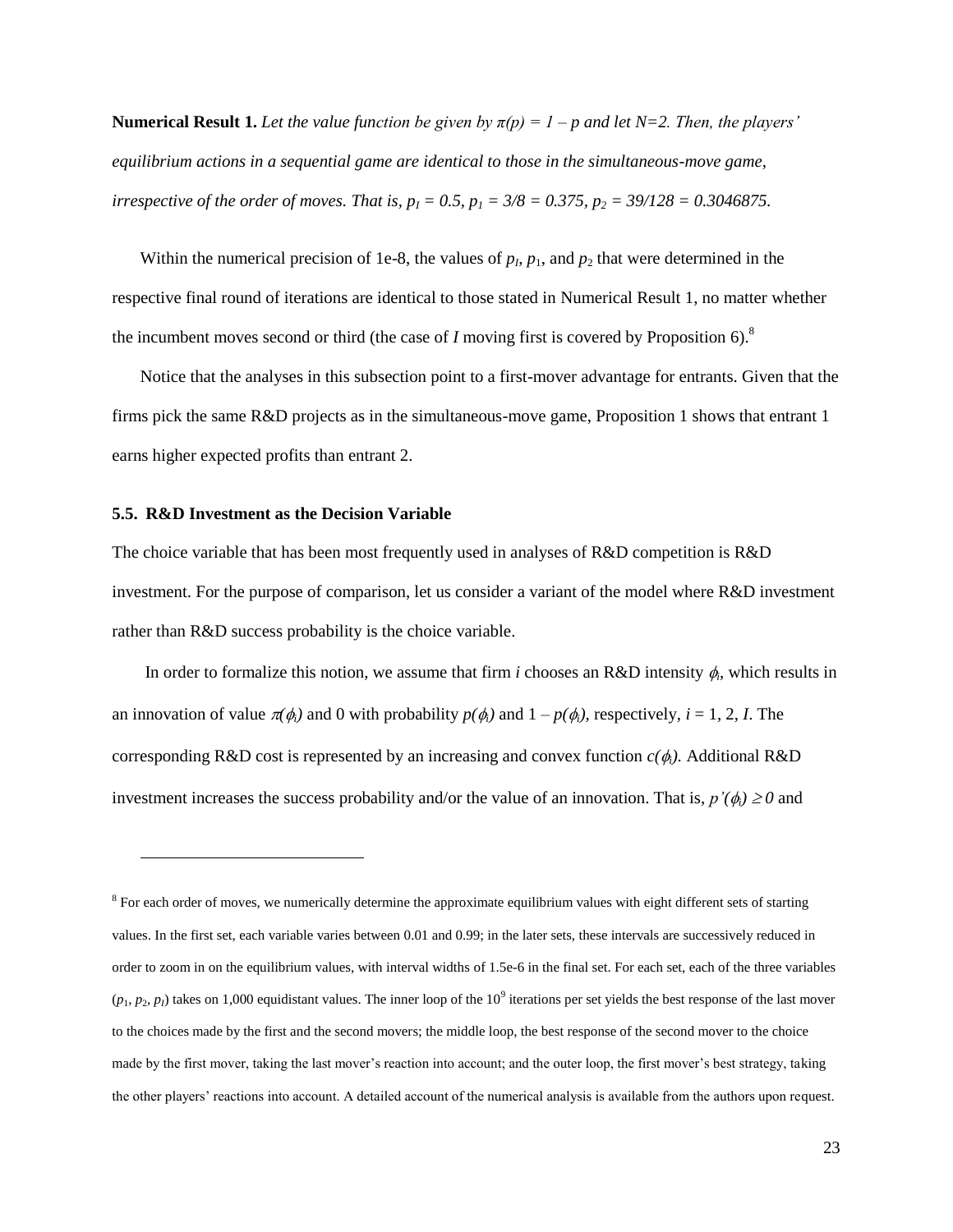**Numerical Result 1.** Let the value function be given by  $\pi(p) = 1 - p$  and let  $N=2$ . Then, the players' *equilibrium actions in a sequential game are identical to those in the simultaneous-move game, irrespective of the order of moves. That is,*  $p_I = 0.5$ *,*  $p_I = 3/8 = 0.375$ *,*  $p_2 = 39/128 = 0.3046875$ *.* 

Within the numerical precision of 1e-8, the values of  $p_1$ ,  $p_1$ , and  $p_2$  that were determined in the respective final round of iterations are identical to those stated in Numerical Result 1, no matter whether the incumbent moves second or third (the case of *I* moving first is covered by Proposition 6).<sup>8</sup>

Notice that the analyses in this subsection point to a first-mover advantage for entrants. Given that the firms pick the same R&D projects as in the simultaneous-move game, Proposition 1 shows that entrant 1 earns higher expected profits than entrant 2.

#### **5.5. R&D Investment as the Decision Variable**

l

The choice variable that has been most frequently used in analyses of R&D competition is R&D investment. For the purpose of comparison, let us consider a variant of the model where R&D investment rather than R&D success probability is the choice variable.

In order to formalize this notion, we assume that firm *i* chooses an R&D intensity  $\phi_i$ , which results in an innovation of value  $\pi(\phi_i)$  and 0 with probability  $p(\phi_i)$  and  $1 - p(\phi_i)$ , respectively,  $i = 1, 2, I$ . The corresponding R&D cost is represented by an increasing and convex function  $c(\phi_i)$ . Additional R&D investment increases the success probability and/or the value of an innovation. That is,  $p'(\phi_i) \ge 0$  and

 $8$  For each order of moves, we numerically determine the approximate equilibrium values with eight different sets of starting values. In the first set, each variable varies between 0.01 and 0.99; in the later sets, these intervals are successively reduced in order to zoom in on the equilibrium values, with interval widths of 1.5e-6 in the final set. For each set, each of the three variables  $(p_1, p_2, p_1)$  takes on 1,000 equidistant values. The inner loop of the 10<sup>9</sup> iterations per set yields the best response of the last mover to the choices made by the first and the second movers; the middle loop, the best response of the second mover to the choice made by the first mover, taking the last mover's reaction into account; and the outer loop, the first mover's best strategy, taking the other players' reactions into account. A detailed account of the numerical analysis is available from the authors upon request.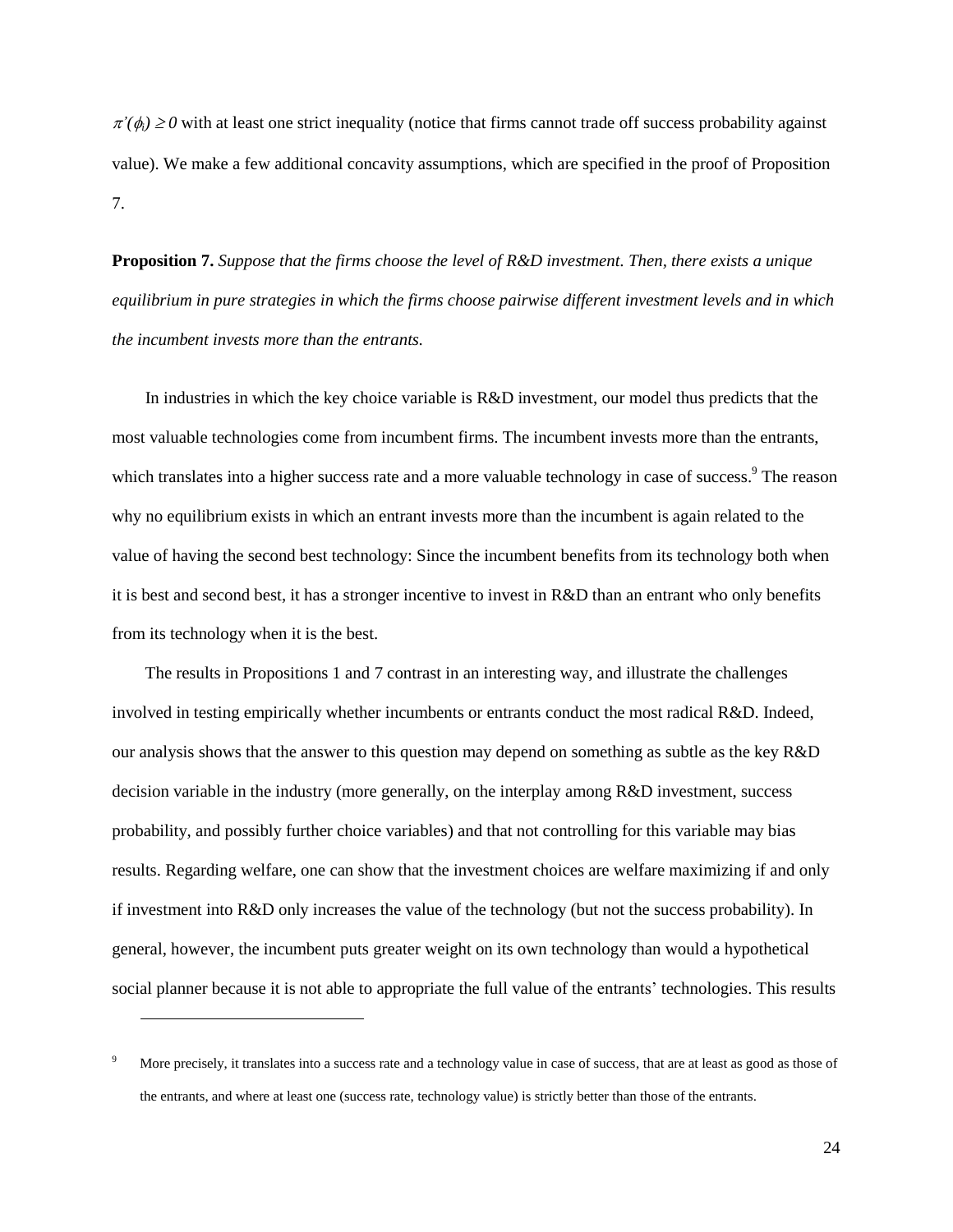$\pi'(\phi) \ge 0$  with at least one strict inequality (notice that firms cannot trade off success probability against value). We make a few additional concavity assumptions, which are specified in the proof of Proposition 7.

**Proposition 7.** *Suppose that the firms choose the level of R&D investment. Then, there exists a unique equilibrium in pure strategies in which the firms choose pairwise different investment levels and in which the incumbent invests more than the entrants.*

In industries in which the key choice variable is R&D investment, our model thus predicts that the most valuable technologies come from incumbent firms. The incumbent invests more than the entrants, which translates into a higher success rate and a more valuable technology in case of success.<sup>9</sup> The reason why no equilibrium exists in which an entrant invests more than the incumbent is again related to the value of having the second best technology: Since the incumbent benefits from its technology both when it is best and second best, it has a stronger incentive to invest in R&D than an entrant who only benefits from its technology when it is the best.

The results in Propositions 1 and 7 contrast in an interesting way, and illustrate the challenges involved in testing empirically whether incumbents or entrants conduct the most radical R&D. Indeed, our analysis shows that the answer to this question may depend on something as subtle as the key R&D decision variable in the industry (more generally, on the interplay among R&D investment, success probability, and possibly further choice variables) and that not controlling for this variable may bias results. Regarding welfare, one can show that the investment choices are welfare maximizing if and only if investment into R&D only increases the value of the technology (but not the success probability). In general, however, the incumbent puts greater weight on its own technology than would a hypothetical social planner because it is not able to appropriate the full value of the entrants' technologies. This results

l

More precisely, it translates into a success rate and a technology value in case of success, that are at least as good as those of the entrants, and where at least one (success rate, technology value) is strictly better than those of the entrants.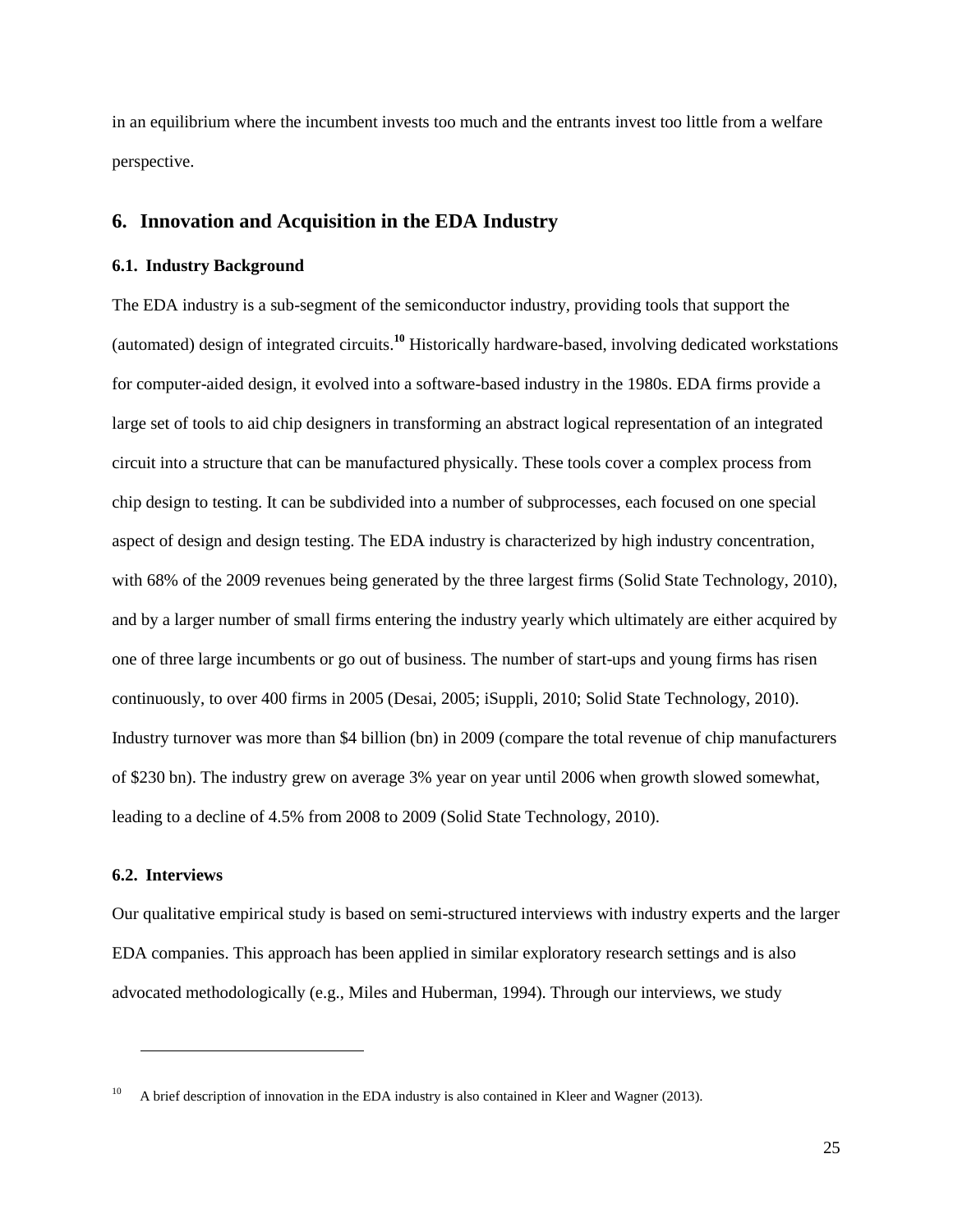in an equilibrium where the incumbent invests too much and the entrants invest too little from a welfare perspective.

## **6. Innovation and Acquisition in the EDA Industry**

## **6.1. Industry Background**

The EDA industry is a sub-segment of the semiconductor industry, providing tools that support the (automated) design of integrated circuits.**<sup>10</sup>** Historically hardware-based, involving dedicated workstations for computer-aided design, it evolved into a software-based industry in the 1980s. EDA firms provide a large set of tools to aid chip designers in transforming an abstract logical representation of an integrated circuit into a structure that can be manufactured physically. These tools cover a complex process from chip design to testing. It can be subdivided into a number of subprocesses, each focused on one special aspect of design and design testing. The EDA industry is characterized by high industry concentration, with 68% of the 2009 revenues being generated by the three largest firms (Solid State Technology, 2010), and by a larger number of small firms entering the industry yearly which ultimately are either acquired by one of three large incumbents or go out of business. The number of start-ups and young firms has risen continuously, to over 400 firms in 2005 (Desai, 2005; iSuppli, 2010; Solid State Technology, 2010). Industry turnover was more than \$4 billion (bn) in 2009 (compare the total revenue of chip manufacturers of \$230 bn). The industry grew on average 3% year on year until 2006 when growth slowed somewhat, leading to a decline of 4.5% from 2008 to 2009 (Solid State Technology, 2010).

#### **6.2. Interviews**

 $\overline{a}$ 

Our qualitative empirical study is based on semi-structured interviews with industry experts and the larger EDA companies. This approach has been applied in similar exploratory research settings and is also advocated methodologically (e.g., Miles and Huberman, 1994). Through our interviews, we study

<sup>&</sup>lt;sup>10</sup> A brief description of innovation in the EDA industry is also contained in Kleer and Wagner (2013).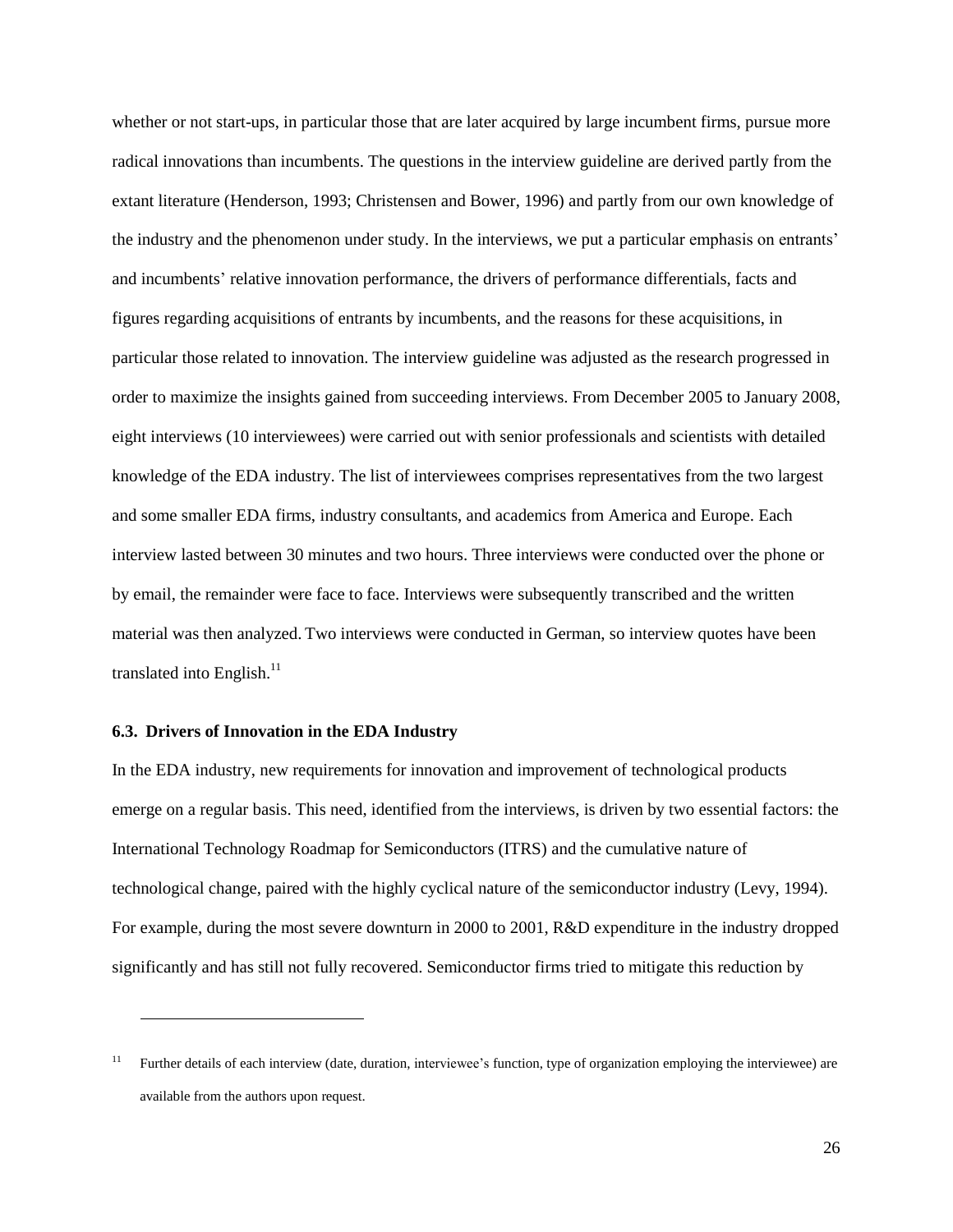whether or not start-ups, in particular those that are later acquired by large incumbent firms, pursue more radical innovations than incumbents. The questions in the interview guideline are derived partly from the extant literature (Henderson, 1993; Christensen and Bower, 1996) and partly from our own knowledge of the industry and the phenomenon under study. In the interviews, we put a particular emphasis on entrants' and incumbents' relative innovation performance, the drivers of performance differentials, facts and figures regarding acquisitions of entrants by incumbents, and the reasons for these acquisitions, in particular those related to innovation. The interview guideline was adjusted as the research progressed in order to maximize the insights gained from succeeding interviews. From December 2005 to January 2008, eight interviews (10 interviewees) were carried out with senior professionals and scientists with detailed knowledge of the EDA industry. The list of interviewees comprises representatives from the two largest and some smaller EDA firms, industry consultants, and academics from America and Europe. Each interview lasted between 30 minutes and two hours. Three interviews were conducted over the phone or by email, the remainder were face to face. Interviews were subsequently transcribed and the written material was then analyzed. Two interviews were conducted in German, so interview quotes have been translated into English. $^{11}$ 

#### **6.3. Drivers of Innovation in the EDA Industry**

l

In the EDA industry, new requirements for innovation and improvement of technological products emerge on a regular basis. This need, identified from the interviews, is driven by two essential factors: the International Technology Roadmap for Semiconductors (ITRS) and the cumulative nature of technological change, paired with the highly cyclical nature of the semiconductor industry (Levy, 1994). For example, during the most severe downturn in 2000 to 2001, R&D expenditure in the industry dropped significantly and has still not fully recovered. Semiconductor firms tried to mitigate this reduction by

<sup>&</sup>lt;sup>11</sup> Further details of each interview (date, duration, interviewee's function, type of organization employing the interviewee) are available from the authors upon request.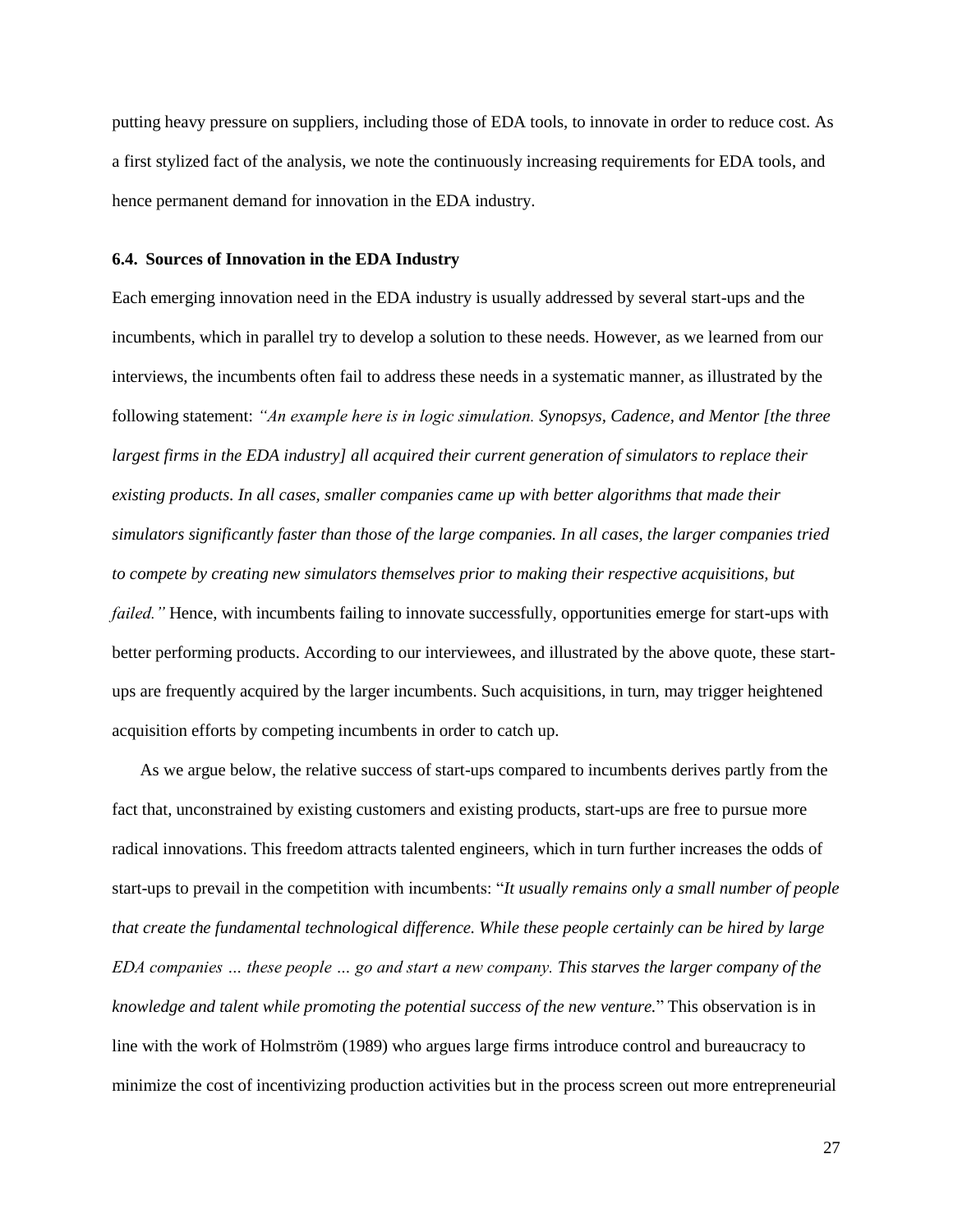putting heavy pressure on suppliers, including those of EDA tools, to innovate in order to reduce cost. As a first stylized fact of the analysis, we note the continuously increasing requirements for EDA tools, and hence permanent demand for innovation in the EDA industry.

#### **6.4. Sources of Innovation in the EDA Industry**

Each emerging innovation need in the EDA industry is usually addressed by several start-ups and the incumbents, which in parallel try to develop a solution to these needs. However, as we learned from our interviews, the incumbents often fail to address these needs in a systematic manner, as illustrated by the following statement: *"An example here is in logic simulation. Synopsys, Cadence, and Mentor [the three largest firms in the EDA industry] all acquired their current generation of simulators to replace their existing products. In all cases, smaller companies came up with better algorithms that made their simulators significantly faster than those of the large companies. In all cases, the larger companies tried to compete by creating new simulators themselves prior to making their respective acquisitions, but failed.*" Hence, with incumbents failing to innovate successfully, opportunities emerge for start-ups with better performing products. According to our interviewees, and illustrated by the above quote, these startups are frequently acquired by the larger incumbents. Such acquisitions, in turn, may trigger heightened acquisition efforts by competing incumbents in order to catch up.

As we argue below, the relative success of start-ups compared to incumbents derives partly from the fact that, unconstrained by existing customers and existing products, start-ups are free to pursue more radical innovations. This freedom attracts talented engineers, which in turn further increases the odds of start-ups to prevail in the competition with incumbents: "*It usually remains only a small number of people that create the fundamental technological difference. While these people certainly can be hired by large EDA companies … these people … go and start a new company. This starves the larger company of the knowledge and talent while promoting the potential success of the new venture.*" This observation is in line with the work of Holmström (1989) who argues large firms introduce control and bureaucracy to minimize the cost of incentivizing production activities but in the process screen out more entrepreneurial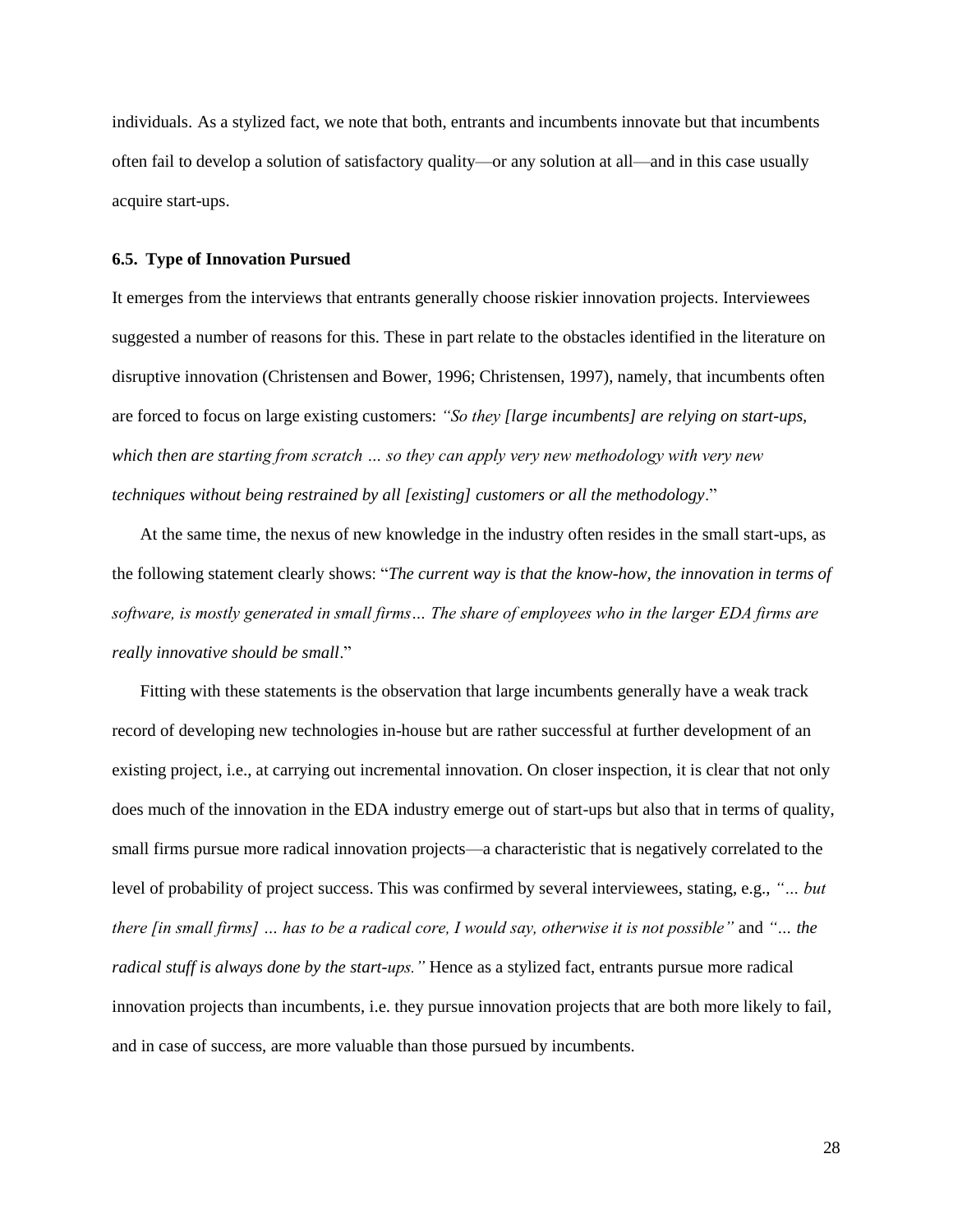individuals. As a stylized fact, we note that both, entrants and incumbents innovate but that incumbents often fail to develop a solution of satisfactory quality—or any solution at all—and in this case usually acquire start-ups.

#### **6.5. Type of Innovation Pursued**

It emerges from the interviews that entrants generally choose riskier innovation projects. Interviewees suggested a number of reasons for this. These in part relate to the obstacles identified in the literature on disruptive innovation (Christensen and Bower, 1996; Christensen, 1997), namely, that incumbents often are forced to focus on large existing customers: *"So they [large incumbents] are relying on start-ups, which then are starting from scratch … so they can apply very new methodology with very new techniques without being restrained by all [existing] customers or all the methodology*."

At the same time, the nexus of new knowledge in the industry often resides in the small start-ups, as the following statement clearly shows: "*The current way is that the know-how, the innovation in terms of software, is mostly generated in small firms… The share of employees who in the larger EDA firms are really innovative should be small*."

Fitting with these statements is the observation that large incumbents generally have a weak track record of developing new technologies in-house but are rather successful at further development of an existing project, i.e., at carrying out incremental innovation. On closer inspection, it is clear that not only does much of the innovation in the EDA industry emerge out of start-ups but also that in terms of quality, small firms pursue more radical innovation projects—a characteristic that is negatively correlated to the level of probability of project success. This was confirmed by several interviewees, stating, e.g., *"… but there [in small firms] … has to be a radical core, I would say, otherwise it is not possible"* and *"… the radical stuff is always done by the start-ups."* Hence as a stylized fact, entrants pursue more radical innovation projects than incumbents, i.e. they pursue innovation projects that are both more likely to fail, and in case of success, are more valuable than those pursued by incumbents.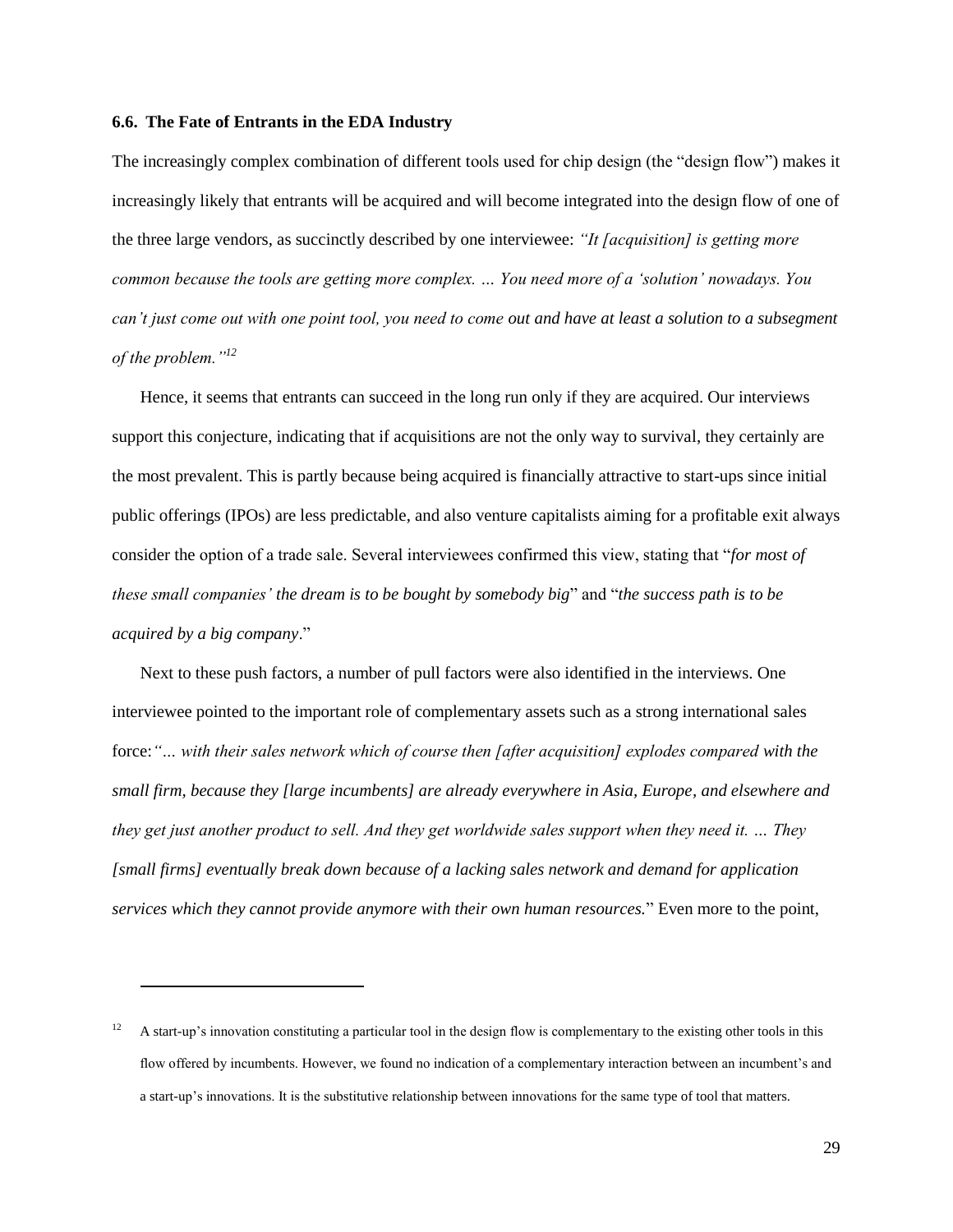#### **6.6. The Fate of Entrants in the EDA Industry**

l

The increasingly complex combination of different tools used for chip design (the "design flow") makes it increasingly likely that entrants will be acquired and will become integrated into the design flow of one of the three large vendors, as succinctly described by one interviewee: *"It [acquisition] is getting more common because the tools are getting more complex. … You need more of a 'solution' nowadays. You can't just come out with one point tool, you need to come out and have at least a solution to a subsegment of the problem."<sup>12</sup>*

Hence, it seems that entrants can succeed in the long run only if they are acquired. Our interviews support this conjecture, indicating that if acquisitions are not the only way to survival, they certainly are the most prevalent. This is partly because being acquired is financially attractive to start-ups since initial public offerings (IPOs) are less predictable, and also venture capitalists aiming for a profitable exit always consider the option of a trade sale. Several interviewees confirmed this view, stating that "*for most of these small companies' the dream is to be bought by somebody big*" and "*the success path is to be acquired by a big company*."

Next to these push factors, a number of pull factors were also identified in the interviews. One interviewee pointed to the important role of complementary assets such as a strong international sales force:*"… with their sales network which of course then [after acquisition] explodes compared with the small firm, because they [large incumbents] are already everywhere in Asia, Europe, and elsewhere and they get just another product to sell. And they get worldwide sales support when they need it. … They [small firms] eventually break down because of a lacking sales network and demand for application services which they cannot provide anymore with their own human resources.*" Even more to the point,

<sup>&</sup>lt;sup>12</sup> A start-up's innovation constituting a particular tool in the design flow is complementary to the existing other tools in this flow offered by incumbents. However, we found no indication of a complementary interaction between an incumbent's and a start-up's innovations. It is the substitutive relationship between innovations for the same type of tool that matters.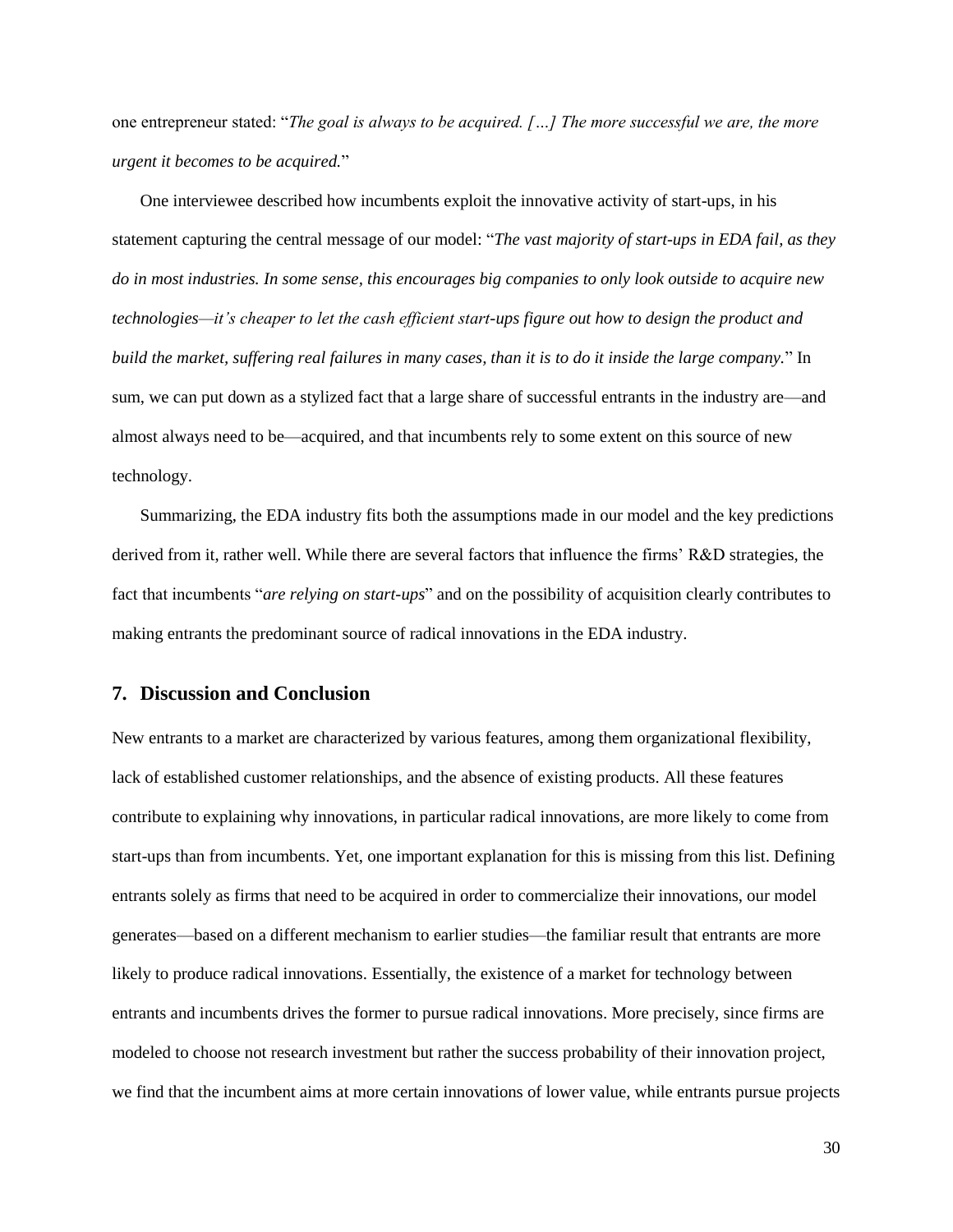one entrepreneur stated: "*The goal is always to be acquired. […] The more successful we are, the more urgent it becomes to be acquired.*"

One interviewee described how incumbents exploit the innovative activity of start-ups, in his statement capturing the central message of our model: "*The vast majority of start-ups in EDA fail, as they do in most industries. In some sense, this encourages big companies to only look outside to acquire new technologies—it's cheaper to let the cash efficient start-ups figure out how to design the product and build the market, suffering real failures in many cases, than it is to do it inside the large company.*" In sum, we can put down as a stylized fact that a large share of successful entrants in the industry are—and almost always need to be—acquired, and that incumbents rely to some extent on this source of new technology.

Summarizing, the EDA industry fits both the assumptions made in our model and the key predictions derived from it, rather well. While there are several factors that influence the firms' R&D strategies, the fact that incumbents "*are relying on start-ups*" and on the possibility of acquisition clearly contributes to making entrants the predominant source of radical innovations in the EDA industry.

## **7. Discussion and Conclusion**

New entrants to a market are characterized by various features, among them organizational flexibility, lack of established customer relationships, and the absence of existing products. All these features contribute to explaining why innovations, in particular radical innovations, are more likely to come from start-ups than from incumbents. Yet, one important explanation for this is missing from this list. Defining entrants solely as firms that need to be acquired in order to commercialize their innovations, our model generates—based on a different mechanism to earlier studies—the familiar result that entrants are more likely to produce radical innovations. Essentially, the existence of a market for technology between entrants and incumbents drives the former to pursue radical innovations. More precisely, since firms are modeled to choose not research investment but rather the success probability of their innovation project, we find that the incumbent aims at more certain innovations of lower value, while entrants pursue projects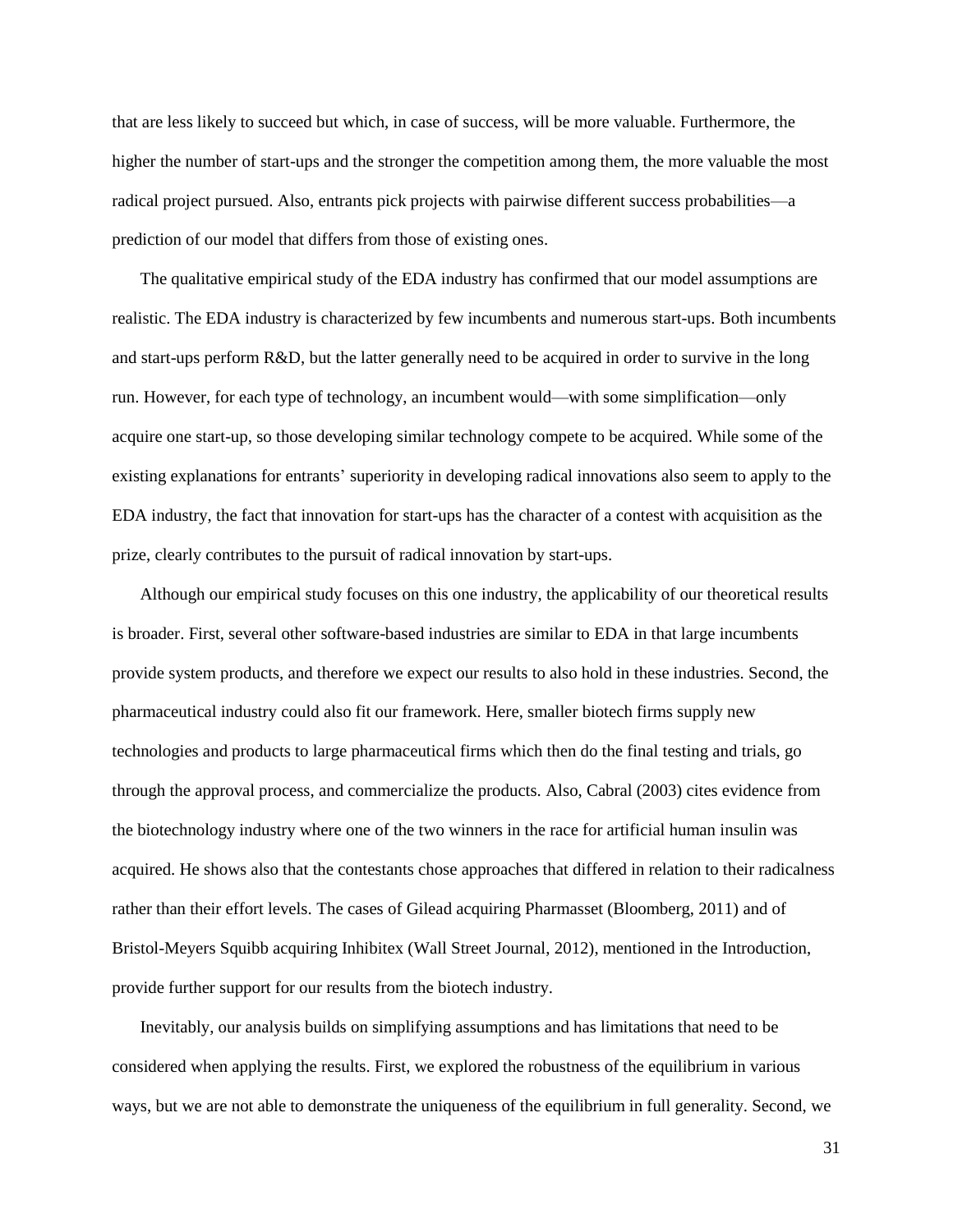that are less likely to succeed but which, in case of success, will be more valuable. Furthermore, the higher the number of start-ups and the stronger the competition among them, the more valuable the most radical project pursued. Also, entrants pick projects with pairwise different success probabilities—a prediction of our model that differs from those of existing ones.

The qualitative empirical study of the EDA industry has confirmed that our model assumptions are realistic. The EDA industry is characterized by few incumbents and numerous start-ups. Both incumbents and start-ups perform R&D, but the latter generally need to be acquired in order to survive in the long run. However, for each type of technology, an incumbent would—with some simplification—only acquire one start-up, so those developing similar technology compete to be acquired. While some of the existing explanations for entrants' superiority in developing radical innovations also seem to apply to the EDA industry, the fact that innovation for start-ups has the character of a contest with acquisition as the prize, clearly contributes to the pursuit of radical innovation by start-ups.

Although our empirical study focuses on this one industry, the applicability of our theoretical results is broader. First, several other software-based industries are similar to EDA in that large incumbents provide system products, and therefore we expect our results to also hold in these industries. Second, the pharmaceutical industry could also fit our framework. Here, smaller biotech firms supply new technologies and products to large pharmaceutical firms which then do the final testing and trials, go through the approval process, and commercialize the products. Also, Cabral (2003) cites evidence from the biotechnology industry where one of the two winners in the race for artificial human insulin was acquired. He shows also that the contestants chose approaches that differed in relation to their radicalness rather than their effort levels. The cases of Gilead acquiring Pharmasset (Bloomberg, 2011) and of Bristol-Meyers Squibb acquiring Inhibitex (Wall Street Journal, 2012), mentioned in the Introduction, provide further support for our results from the biotech industry.

Inevitably, our analysis builds on simplifying assumptions and has limitations that need to be considered when applying the results. First, we explored the robustness of the equilibrium in various ways, but we are not able to demonstrate the uniqueness of the equilibrium in full generality. Second, we

31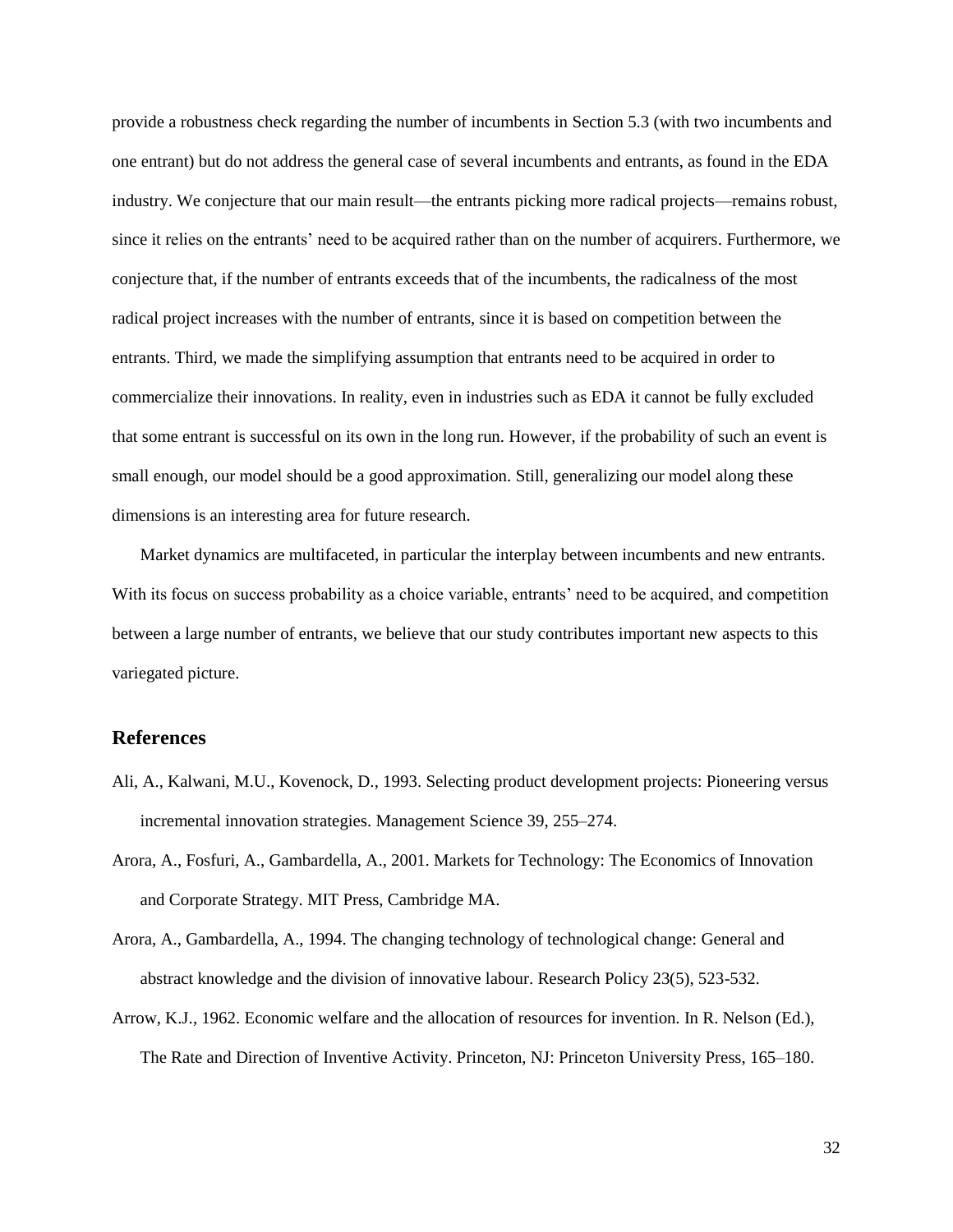provide a robustness check regarding the number of incumbents in Section 5.3 (with two incumbents and one entrant) but do not address the general case of several incumbents and entrants, as found in the EDA industry. We conjecture that our main result—the entrants picking more radical projects—remains robust, since it relies on the entrants' need to be acquired rather than on the number of acquirers. Furthermore, we conjecture that, if the number of entrants exceeds that of the incumbents, the radicalness of the most radical project increases with the number of entrants, since it is based on competition between the entrants. Third, we made the simplifying assumption that entrants need to be acquired in order to commercialize their innovations. In reality, even in industries such as EDA it cannot be fully excluded that some entrant is successful on its own in the long run. However, if the probability of such an event is small enough, our model should be a good approximation. Still, generalizing our model along these dimensions is an interesting area for future research.

Market dynamics are multifaceted, in particular the interplay between incumbents and new entrants. With its focus on success probability as a choice variable, entrants' need to be acquired, and competition between a large number of entrants, we believe that our study contributes important new aspects to this variegated picture.

## **References**

- Ali, A., Kalwani, M.U., Kovenock, D., 1993. Selecting product development projects: Pioneering versus incremental innovation strategies. Management Science 39, 255–274.
- Arora, A., Fosfuri, A., Gambardella, A., 2001. Markets for Technology: The Economics of Innovation and Corporate Strategy. MIT Press, Cambridge MA.
- Arora, A., Gambardella, A., 1994. The changing technology of technological change: General and abstract knowledge and the division of innovative labour. Research Policy 23(5), 523-532.
- Arrow, K.J., 1962. Economic welfare and the allocation of resources for invention. In R. Nelson (Ed.), The Rate and Direction of Inventive Activity. Princeton, NJ: Princeton University Press, 165–180.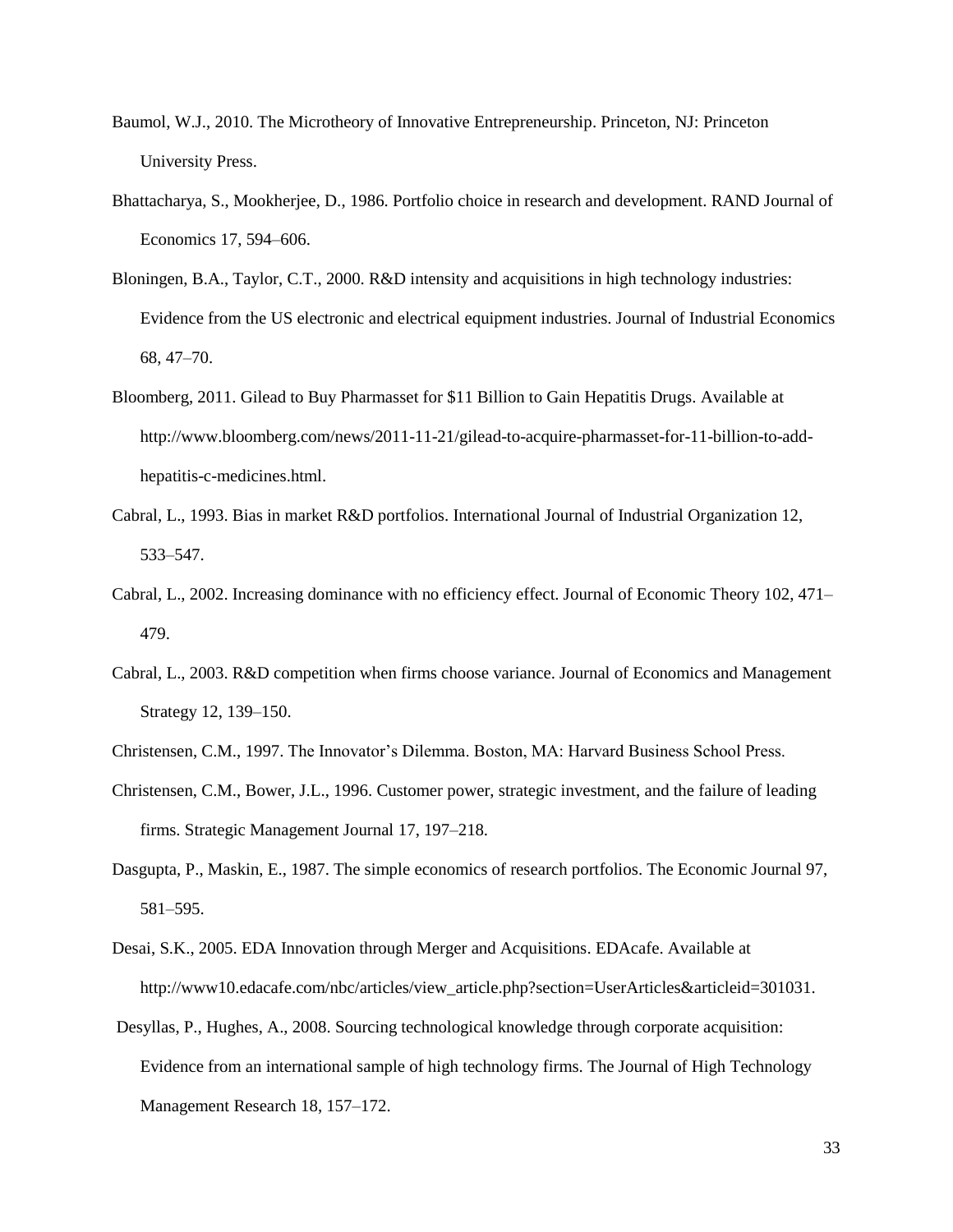- Baumol, W.J., 2010. The Microtheory of Innovative Entrepreneurship. Princeton, NJ: Princeton University Press.
- Bhattacharya, S., Mookherjee, D., 1986. Portfolio choice in research and development. RAND Journal of Economics 17, 594–606.
- Bloningen, B.A., Taylor, C.T., 2000. R&D intensity and acquisitions in high technology industries: Evidence from the US electronic and electrical equipment industries. Journal of Industrial Economics 68, 47–70.
- Bloomberg, 2011. Gilead to Buy Pharmasset for \$11 Billion to Gain Hepatitis Drugs. Available at http://www.bloomberg.com/news/2011-11-21/gilead-to-acquire-pharmasset-for-11-billion-to-addhepatitis-c-medicines.html.
- Cabral, L., 1993. Bias in market R&D portfolios. International Journal of Industrial Organization 12, 533–547.
- Cabral, L., 2002. Increasing dominance with no efficiency effect. Journal of Economic Theory 102, 471– 479.
- Cabral, L., 2003. R&D competition when firms choose variance. Journal of Economics and Management Strategy 12, 139–150.
- Christensen, C.M., 1997. The Innovator's Dilemma. Boston, MA: Harvard Business School Press.
- Christensen, C.M., Bower, J.L., 1996. Customer power, strategic investment, and the failure of leading firms. Strategic Management Journal 17, 197–218.
- Dasgupta, P., Maskin, E., 1987. The simple economics of research portfolios. The Economic Journal 97, 581–595.
- Desai, S.K., 2005. EDA Innovation through Merger and Acquisitions. EDAcafe. Available at http://www10.edacafe.com/nbc/articles/view\_article.php?section=UserArticles&articleid=301031.
- Desyllas, P., Hughes, A., 2008. Sourcing technological knowledge through corporate acquisition: Evidence from an international sample of high technology firms. The Journal of High Technology Management Research 18, 157–172.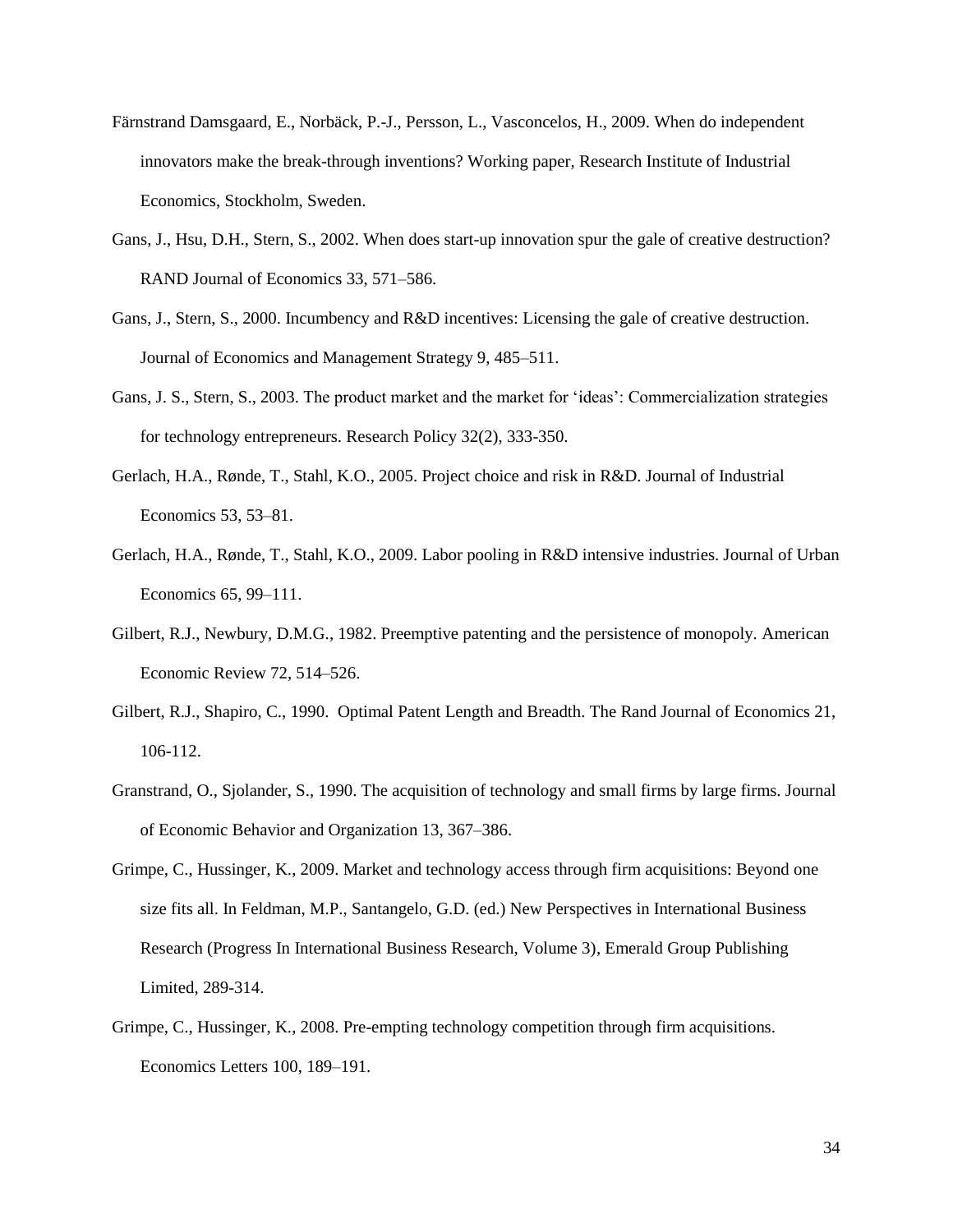- Färnstrand Damsgaard, E., Norbäck, P.-J., Persson, L., Vasconcelos, H., 2009. When do independent innovators make the break-through inventions? Working paper, Research Institute of Industrial Economics, Stockholm, Sweden.
- Gans, J., Hsu, D.H., Stern, S., 2002. When does start-up innovation spur the gale of creative destruction? RAND Journal of Economics 33, 571–586.
- Gans, J., Stern, S., 2000. Incumbency and R&D incentives: Licensing the gale of creative destruction. Journal of Economics and Management Strategy 9, 485–511.
- Gans, J. S., Stern, S., 2003. The product market and the market for 'ideas': Commercialization strategies for technology entrepreneurs. Research Policy 32(2), 333-350.
- Gerlach, H.A., Rønde, T., Stahl, K.O., 2005. Project choice and risk in R&D. Journal of Industrial Economics 53, 53–81.
- Gerlach, H.A., Rønde, T., Stahl, K.O., 2009. Labor pooling in R&D intensive industries. Journal of Urban Economics 65, 99–111.
- Gilbert, R.J., Newbury, D.M.G., 1982. Preemptive patenting and the persistence of monopoly. American Economic Review 72, 514–526.
- Gilbert, R.J., Shapiro, C., 1990. Optimal Patent Length and Breadth. The Rand Journal of Economics 21, 106-112.
- Granstrand, O., Sjolander, S., 1990. The acquisition of technology and small firms by large firms. Journal of Economic Behavior and Organization 13, 367–386.
- Grimpe, C., Hussinger, K., 2009. Market and technology access through firm acquisitions: Beyond one size fits all. In Feldman, M.P., Santangelo, G.D. (ed.) New Perspectives in International Business Research (Progress In International Business Research, Volume 3), Emerald Group Publishing Limited, 289-314.
- Grimpe, C., Hussinger, K., 2008. Pre-empting technology competition through firm acquisitions. Economics Letters 100, 189–191.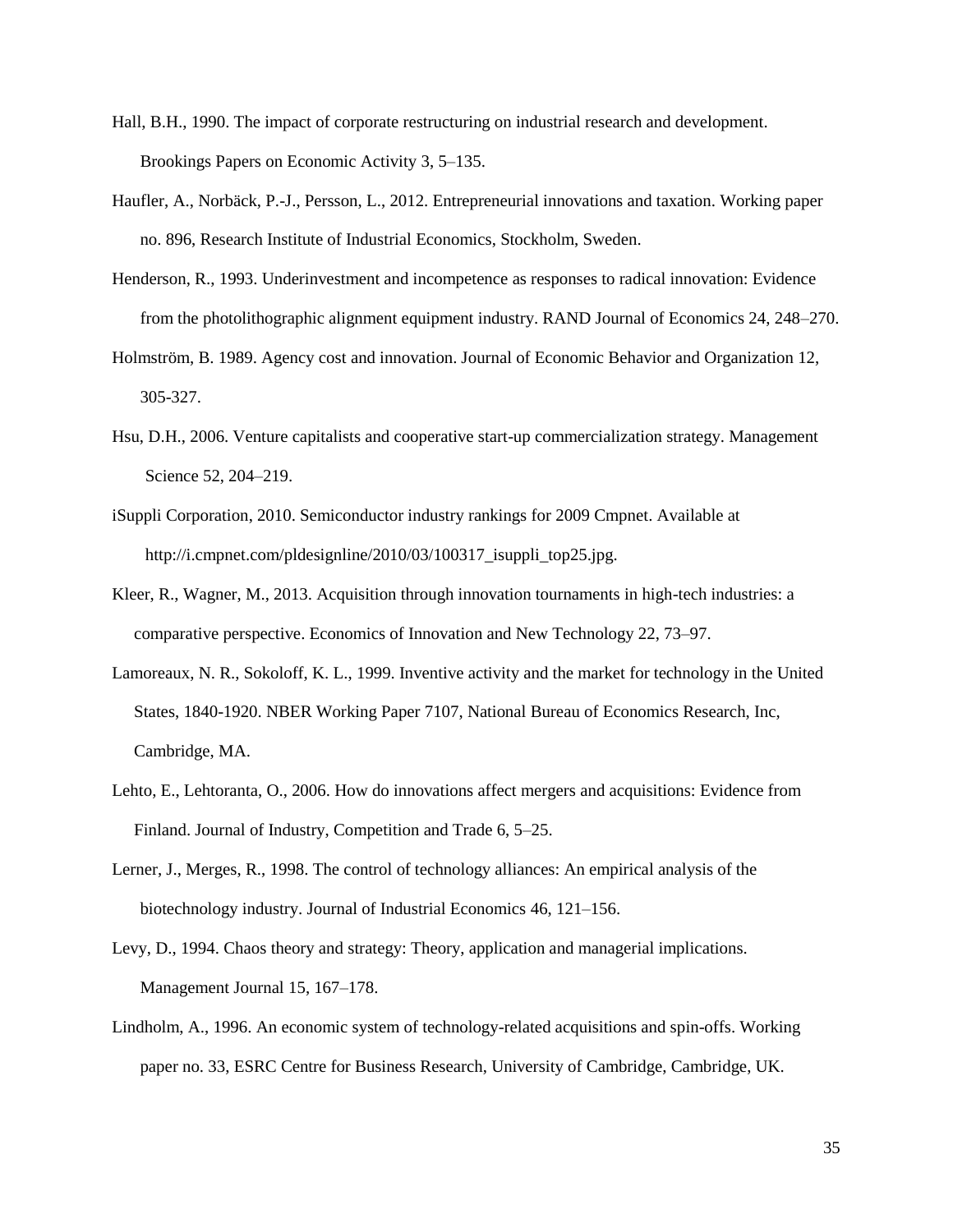- Hall, B.H., 1990. The impact of corporate restructuring on industrial research and development. Brookings Papers on Economic Activity 3, 5–135.
- Haufler, A., Norbäck, P.-J., Persson, L., 2012. Entrepreneurial innovations and taxation. Working paper no. 896, Research Institute of Industrial Economics, Stockholm, Sweden.
- Henderson, R., 1993. Underinvestment and incompetence as responses to radical innovation: Evidence from the photolithographic alignment equipment industry. RAND Journal of Economics 24, 248–270.
- Holmström, B. 1989. Agency cost and innovation. Journal of Economic Behavior and Organization 12, 305-327.
- Hsu, D.H., 2006. Venture capitalists and cooperative start-up commercialization strategy. Management Science 52, 204–219.
- iSuppli Corporation, 2010. Semiconductor industry rankings for 2009 Cmpnet. Available at http://i.cmpnet.com/pldesignline/2010/03/100317\_isuppli\_top25.jpg.
- Kleer, R., Wagner, M., 2013. Acquisition through innovation tournaments in high-tech industries: a comparative perspective. Economics of Innovation and New Technology 22, 73–97.
- Lamoreaux, N. R., Sokoloff, K. L., 1999. Inventive activity and the market for technology in the United States, 1840-1920. NBER Working Paper 7107, National Bureau of Economics Research, Inc, Cambridge, MA.
- Lehto, E., Lehtoranta, O., 2006. How do innovations affect mergers and acquisitions: Evidence from Finland. Journal of Industry, Competition and Trade 6, 5–25.
- Lerner, J., Merges, R., 1998. The control of technology alliances: An empirical analysis of the biotechnology industry. Journal of Industrial Economics 46, 121–156.
- Levy, D., 1994. Chaos theory and strategy: Theory, application and managerial implications. Management Journal 15, 167–178.
- Lindholm, A., 1996. An economic system of technology-related acquisitions and spin-offs. Working paper no. 33, ESRC Centre for Business Research, University of Cambridge, Cambridge, UK.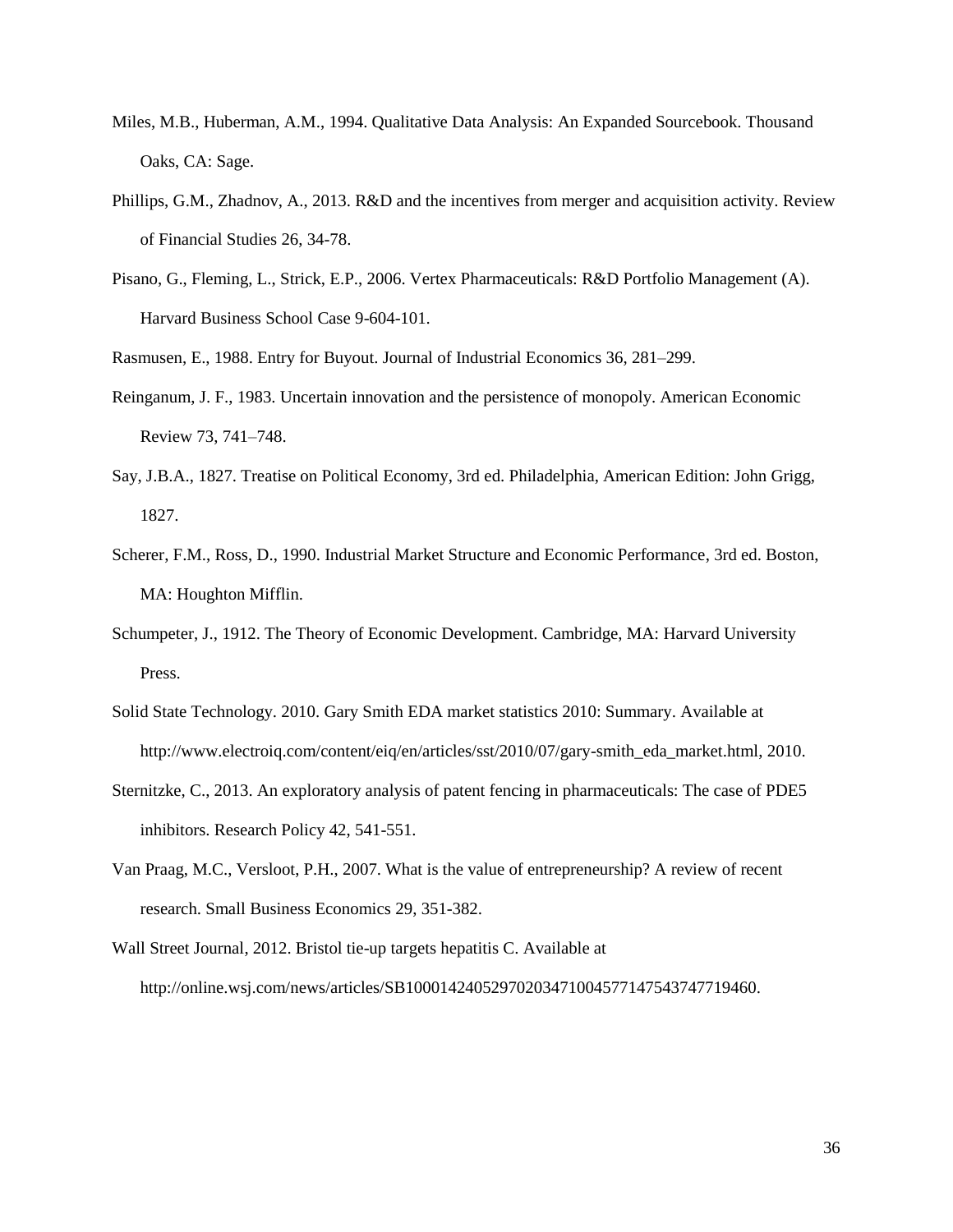- Miles, M.B., Huberman, A.M., 1994. Qualitative Data Analysis: An Expanded Sourcebook. Thousand Oaks, CA: Sage.
- Phillips, G.M., Zhadnov, A., 2013. R&D and the incentives from merger and acquisition activity. Review of Financial Studies 26, 34-78.
- Pisano, G., Fleming, L., Strick, E.P., 2006. Vertex Pharmaceuticals: R&D Portfolio Management (A). Harvard Business School Case 9-604-101.

Rasmusen, E., 1988. Entry for Buyout. Journal of Industrial Economics 36, 281–299.

- Reinganum, J. F., 1983. Uncertain innovation and the persistence of monopoly. American Economic Review 73, 741–748.
- Say, J.B.A., 1827. Treatise on Political Economy, 3rd ed. Philadelphia, American Edition: John Grigg, 1827.
- Scherer, F.M., Ross, D., 1990. Industrial Market Structure and Economic Performance, 3rd ed. Boston, MA: Houghton Mifflin.
- Schumpeter, J., 1912. The Theory of Economic Development. Cambridge, MA: Harvard University Press.
- Solid State Technology. 2010. Gary Smith EDA market statistics 2010: Summary. Available at [http://www.electroiq.com/content/eiq/en/articles/sst/2010/07/gary-smith\\_eda\\_market.html,](http://www.electroiq.com/content/eiq/en/articles/sst/2010/07/gary-smith_eda_market.html) 2010.
- Sternitzke, C., 2013. An exploratory analysis of patent fencing in pharmaceuticals: The case of PDE5 inhibitors. Research Policy 42, 541-551.
- Van Praag, M.C., Versloot, P.H., 2007. What is the value of entrepreneurship? A review of recent research. Small Business Economics 29, 351-382.
- Wall Street Journal, 2012. Bristol tie-up targets hepatitis C. Available at http://online.wsj.com/news/articles/SB10001424052970203471004577147543747719460.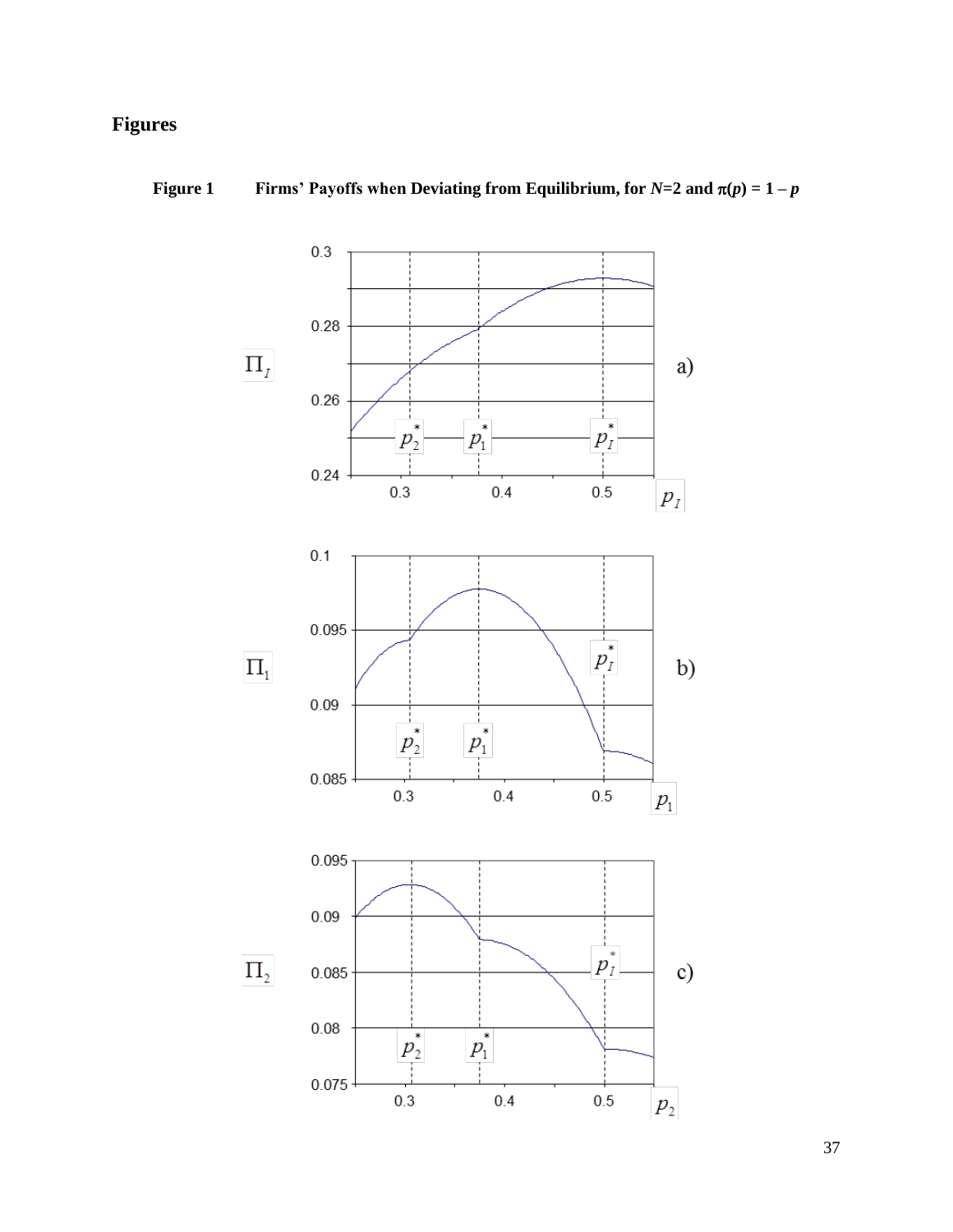# **Figures**



**Figure 1 Firms' Payoffs when Deviating from Equilibrium, for**  $N=2$  **and**  $\pi(p) = 1 - p$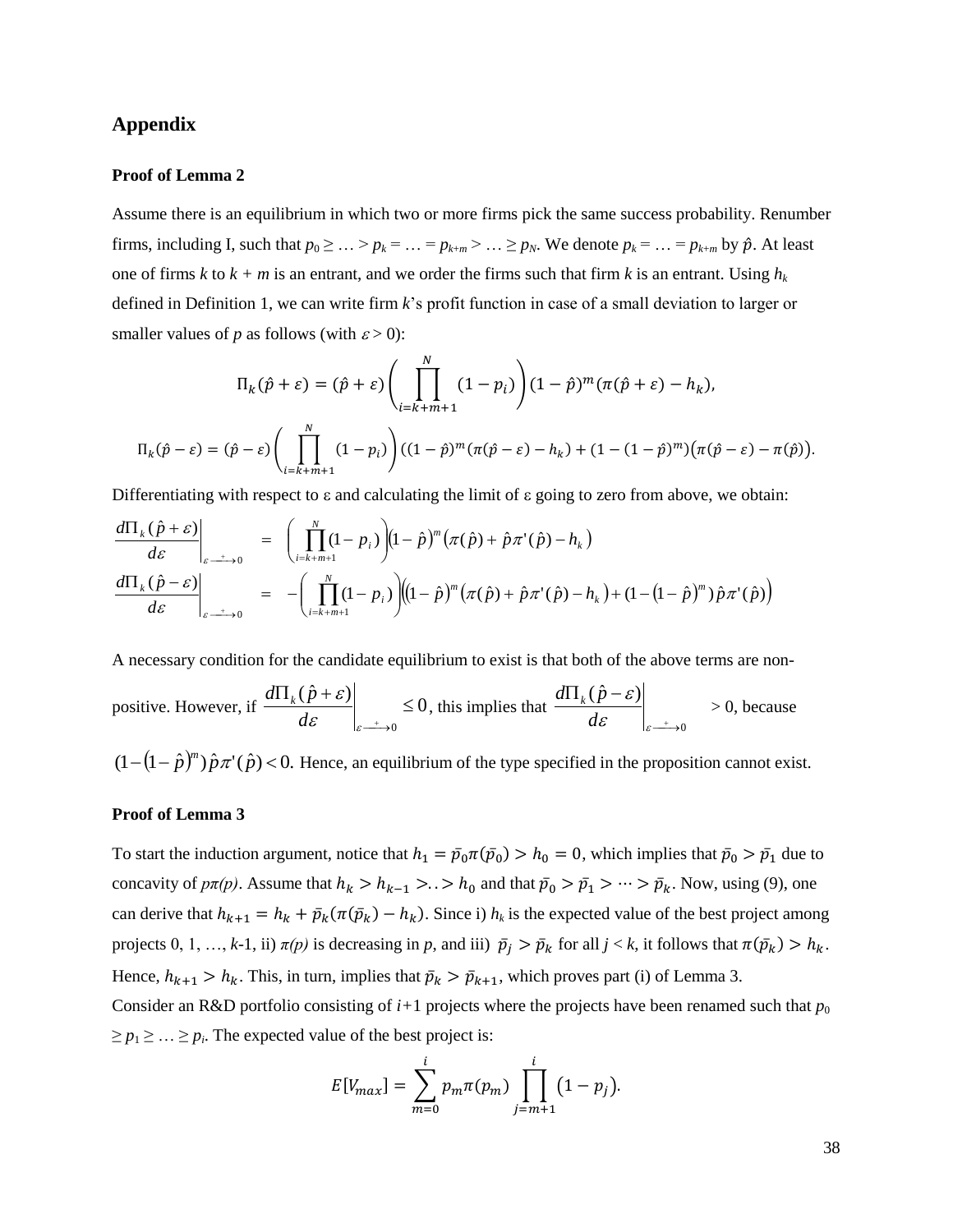## **Appendix**

#### **Proof of Lemma 2**

Assume there is an equilibrium in which two or more firms pick the same success probability. Renumber firms, including I, such that  $p_0 \geq \ldots > p_k = \ldots = p_{k+m} > \ldots \geq p_N$ . We denote  $p_k = \ldots = p_{k+m}$  by  $\hat{p}$ . At least one of firms  $k$  to  $k + m$  is an entrant, and we order the firms such that firm  $k$  is an entrant. Using  $h_k$ defined in Definition 1, we can write firm *k*'s profit function in case of a small deviation to larger or smaller values of *p* as follows (with  $\varepsilon > 0$ ):

$$
\Pi_k(\hat{p}+\varepsilon) = (\hat{p}+\varepsilon) \left(\prod_{i=k+m+1}^N (1-p_i)\right) (1-\hat{p})^m (\pi(\hat{p}+\varepsilon) - h_k),
$$
  

$$
\Pi_k(\hat{p}-\varepsilon) = (\hat{p}-\varepsilon) \left(\prod_{i=k+m+1}^N (1-p_i)\right) ((1-\hat{p})^m (\pi(\hat{p}-\varepsilon) - h_k) + (1-(1-\hat{p})^m) (\pi(\hat{p}-\varepsilon) - \pi(\hat{p})).
$$

Differentiating with respect to  $\varepsilon$  and calculating the limit of  $\varepsilon$  going to zero from above, we obtain:

$$
\frac{d\Pi_k(\hat{p}+\varepsilon)}{d\varepsilon}\Big|_{\varepsilon\to 0} = \left(\prod_{i=k+m+1}^N(1-p_i)\right)\left(1-\hat{p}\right)^m\left(\pi(\hat{p})+\hat{p}\pi'(\hat{p})-h_k\right)
$$
\n
$$
\frac{d\Pi_k(\hat{p}-\varepsilon)}{d\varepsilon}\Big|_{\varepsilon\to 0} = -\left(\prod_{i=k+m+1}^N(1-p_i)\right)\left(\left(1-\hat{p}\right)^m\left(\pi(\hat{p})+\hat{p}\pi'(\hat{p})-h_k\right)+\left(1-\left(1-\hat{p}\right)^m\right)\hat{p}\pi'(\hat{p})\right)
$$

A necessary condition for the candidate equilibrium to exist is that both of the above terms are non-

positive. However, if 
$$
\frac{d\Pi_k(\hat{p}+\varepsilon)}{d\varepsilon}\Big|_{\varepsilon\to 0} \le 0
$$
, this implies that  $\frac{d\Pi_k(\hat{p}-\varepsilon)}{d\varepsilon}\Big|_{\varepsilon\to 0} > 0$ , because

 $(1 - (1 - \hat{p})^m) \hat{p} \pi'(\hat{p}) < 0$ . Hence, an equilibrium of the type specified in the proposition cannot exist.

#### **Proof of Lemma 3**

To start the induction argument, notice that  $h_1 = \bar{p}_0 \pi(\bar{p}_0) > h_0 = 0$ , which implies that  $\bar{p}_0 > \bar{p}_1$  due to concavity of  $p\pi(p)$ . Assume that  $h_k > h_{k-1} > ... > h_0$  and that  $\bar{p}_0 > \bar{p}_1 > ... > \bar{p}_k$ . Now, using (9), one can derive that  $h_{k+1} = h_k + \bar{p}_k (\pi(\bar{p}_k) - h_k)$ . Since i)  $h_k$  is the expected value of the best project among projects 0, 1, …, *k*-1, ii)  $\pi(p)$  is decreasing in *p*, and iii)  $\bar{p}_j > \bar{p}_k$  for all  $j < k$ , it follows that  $\pi(\bar{p}_k) > h_k$ . Hence,  $h_{k+1} > h_k$ . This, in turn, implies that  $\bar{p}_k > \bar{p}_{k+1}$ , which proves part (i) of Lemma 3. Consider an R&D portfolio consisting of  $i+1$  projects where the projects have been renamed such that  $p_0$  $\geq p_1 \geq \ldots \geq p_i$ . The expected value of the best project is:

$$
E[V_{max}] = \sum_{m=0}^{i} p_m \pi(p_m) \prod_{j=m+1}^{i} (1-p_j).
$$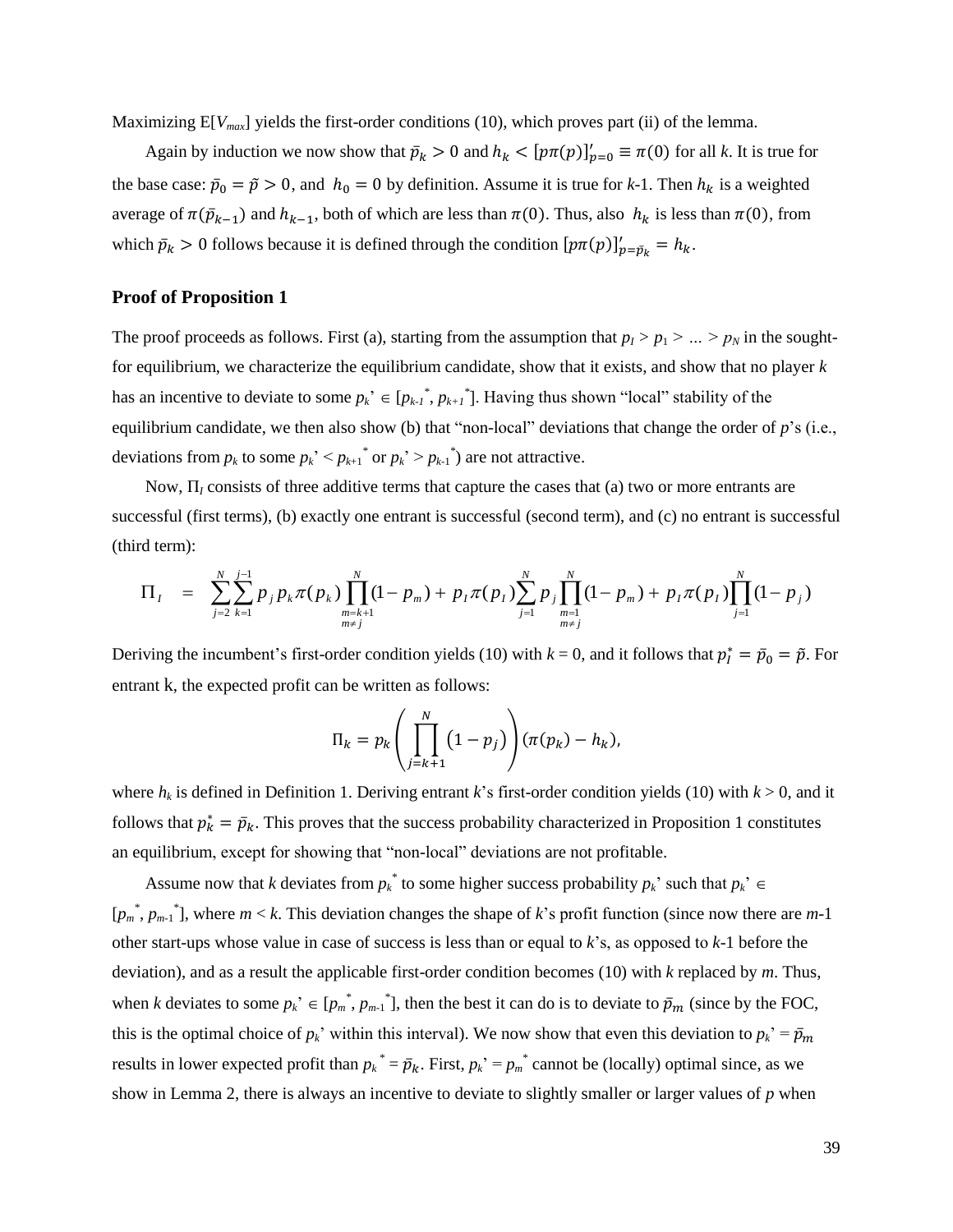Maximizing  $E[V_{max}]$  yields the first-order conditions (10), which proves part (ii) of the lemma.

Again by induction we now show that  $\bar{p}_k > 0$  and  $h_k < [p\pi(p)]'_{p=0} \equiv \pi(0)$  for all k. It is true for the base case:  $\bar{p}_0 = \tilde{p} > 0$ , and  $h_0 = 0$  by definition. Assume it is true for k-1. Then  $h_k$  is a weighted average of  $\pi(\bar{p}_{k-1})$  and  $h_{k-1}$ , both of which are less than  $\pi(0)$ . Thus, also  $h_k$  is less than  $\pi(0)$ , from which  $\bar{p}_k > 0$  follows because it is defined through the condition  $[p\pi(p)]'_{p=\bar{p}_k} = h_k$ .

#### **Proof of Proposition 1**

The proof proceeds as follows. First (a), starting from the assumption that  $p_I > p_1 > ... > p_N$  in the soughtfor equilibrium, we characterize the equilibrium candidate, show that it exists, and show that no player *k*  has an incentive to deviate to some  $p_k^* \in [p_{k-1}, p_{k+1}, p_{k+1}]$ . Having thus shown "local" stability of the equilibrium candidate, we then also show (b) that "non-local" deviations that change the order of *p*'s (i.e., deviations from  $p_k$  to some  $p_k$ <sup>'</sup>  $\leq p_{k+1}$ <sup>\*</sup> or  $p_k$ <sup>'</sup>  $> p_{k-1}$ <sup>\*</sup>) are not attractive.

Now, Π*<sup>I</sup>* consists of three additive terms that capture the cases that (a) two or more entrants are successful (first terms), (b) exactly one entrant is successful (second term), and (c) no entrant is successful (third term):

$$
\Pi_{I} = \sum_{j=2}^{N} \sum_{k=1}^{j-1} p_{j} p_{k} \pi(p_{k}) \prod_{\substack{m=k+1 \ m \neq j}}^{N} (1-p_{m}) + p_{I} \pi(p_{I}) \sum_{j=1}^{N} p_{j} \prod_{\substack{m=1 \ m \neq j}}^{N} (1-p_{m}) + p_{I} \pi(p_{I}) \prod_{j=1}^{N} (1-p_{j})
$$

Deriving the incumbent's first-order condition yields (10) with  $k = 0$ , and it follows that  $p_l^* = \bar{p}_0 = \tilde{p}$ . For entrant k, the expected profit can be written as follows:

$$
\Pi_k = p_k \left( \prod_{j=k+1}^N (1-p_j) \right) (\pi(p_k) - h_k),
$$

where  $h_k$  is defined in Definition 1. Deriving entrant  $k$ 's first-order condition yields (10) with  $k > 0$ , and it follows that  $p_k^* = \bar{p}_k$ . This proves that the success probability characterized in Proposition 1 constitutes an equilibrium, except for showing that "non-local" deviations are not profitable.

Assume now that *k* deviates from  $p_k^*$  to some higher success probability  $p_k$ ' such that  $p_k^* \in$  $[p_m^*, p_{m-1}^*]$ , where  $m < k$ . This deviation changes the shape of *k*'s profit function (since now there are *m*-1 other start-ups whose value in case of success is less than or equal to *k*'s, as opposed to *k*-1 before the deviation), and as a result the applicable first-order condition becomes (10) with *k* replaced by *m*. Thus, when *k* deviates to some  $p_k' \in [p_m^*, p_{m-1}^*]$ , then the best it can do is to deviate to  $\bar{p}_m$  (since by the FOC, this is the optimal choice of  $p_k$ ' within this interval). We now show that even this deviation to  $p_k' = \bar{p}_m$ results in lower expected profit than  $p_k^* = \bar{p}_k$ . First,  $p_k^* = p_m^*$  cannot be (locally) optimal since, as we show in Lemma 2, there is always an incentive to deviate to slightly smaller or larger values of *p* when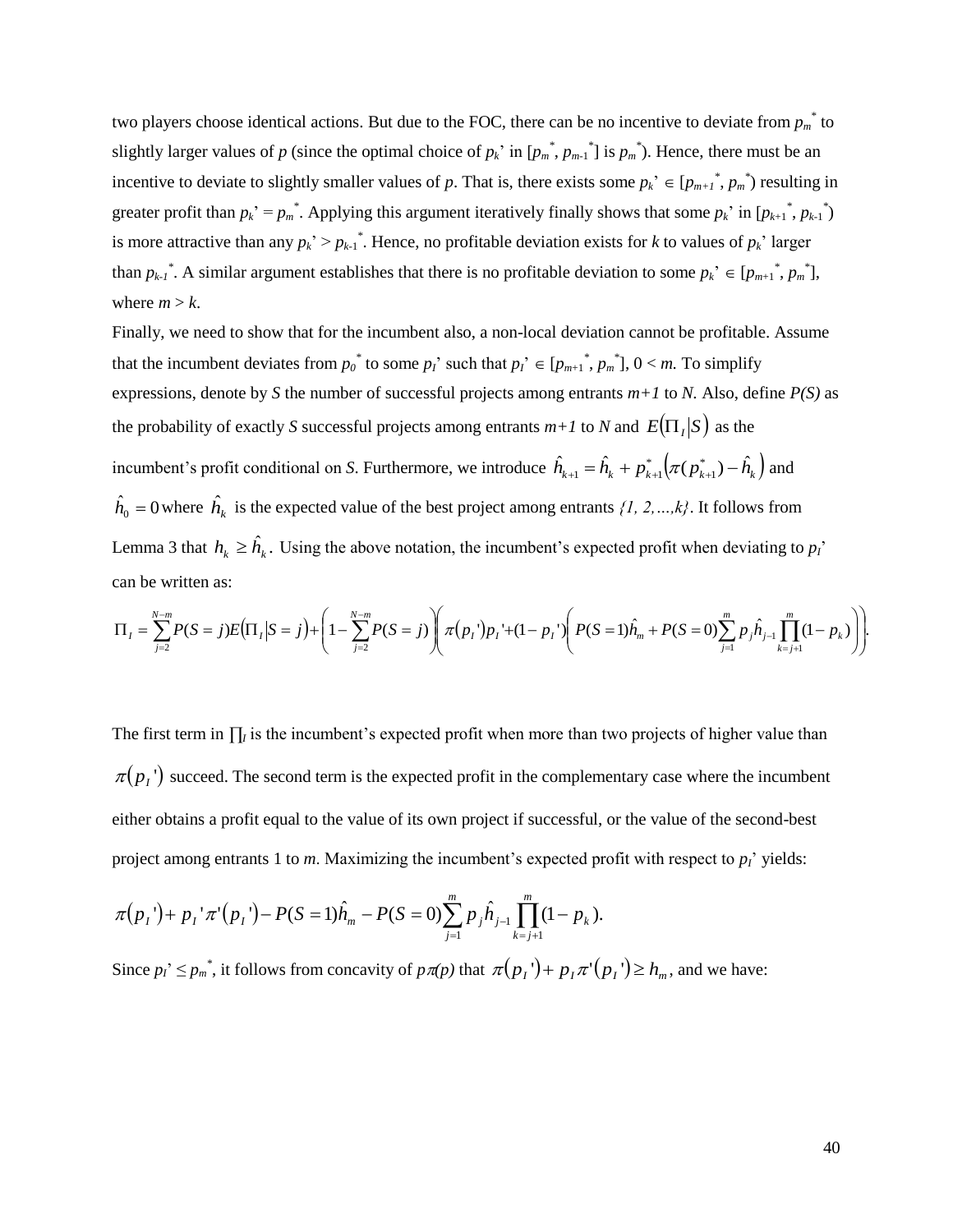two players choose identical actions. But due to the FOC, there can be no incentive to deviate from  $p_m^*$  to slightly larger values of *p* (since the optimal choice of  $p_k$ <sup>2</sup> in  $[p_m^*, p_{m-1}^*]$  is  $p_m^*$ ). Hence, there must be an incentive to deviate to slightly smaller values of *p*. That is, there exists some  $p_k' \in [p_{m+1}, p_m^*]$  resulting in greater profit than  $p_k' = p_m^*$ . Applying this argument iteratively finally shows that some  $p_k'$  in  $[p_{k+1}, p_{k+1}]$ is more attractive than any  $p_k$ <sup> $\geq p_{k-1}$ </sup>. Hence, no profitable deviation exists for *k* to values of  $p_k$ <sup> $\geq$ </sup> larger than  $p_{k-1}$ <sup>\*</sup>. A similar argument establishes that there is no profitable deviation to some  $p_k$ <sup>\*</sup>  $\in [p_{m+1}^*, p_m^*]$ , where  $m > k$ .

Finally, we need to show that for the incumbent also, a non-local deviation cannot be profitable. Assume that the incumbent deviates from  $p_0^*$  to some  $p_1^*$  such that  $p_1^* \in [p_{m+1}, p_m^*]$ ,  $0 \lt m$ . To simplify expressions, denote by *S* the number of successful projects among entrants *m+1* to *N.* Also, define *P(S)* as the probability of exactly *S* successful projects among entrants  $m+1$  to *N* and  $E(\Pi_I|S)$  as the incumbent's profit conditional on *S*. Furthermore, we introduce  $\hat{h}_{k+1} = \hat{h}_{k} + p_{k+1}^* \left( \pi (p_{k+1}^*) - \hat{h}_{k} \right)$ .  $\hat{h}_{k} + p_{k+1}^{*} \left( \pi(p_{k+1}^{*}) - \hat{h}_{k} \right)$  and  $\hat{h}_0 = 0$  where  $\hat{h}_k$  is the expected value of the best project among entrants  $\{1, 2, ..., k\}$ . It follows from Lemma 3 that  $h_k \geq \hat{h}_k$ . Using the above notation, the incumbent's expected profit when deviating to  $p_l$ ' can be written as:

$$
\Pi_{I} = \sum_{j=2}^{N-m} P(S=j) E(\Pi_{I} | S=j) + \left(1 - \sum_{j=2}^{N-m} P(S=j) \left( \pi(p_{I}^{'}) p_{I}^{'} + (1 - p_{I}^{'}) \left( P(S=1) \hat{h}_{m} + P(S=0) \sum_{j=1}^{m} p_{j} \hat{h}_{j-1} \prod_{k=j+1}^{m} (1 - p_{k}) \right) \right)
$$

The first term in *∏I* is the incumbent's expected profit when more than two projects of higher value than  $\pi(p_I)$  succeed. The second term is the expected profit in the complementary case where the incumbent either obtains a profit equal to the value of its own project if successful, or the value of the second-best project among entrants 1 to *m*. Maximizing the incumbent's expected profit with respect to *pI*' yields:

$$
\pi(p_I^{\prime})+p_I^{\prime}\pi^{\prime}(p_I^{\prime})-P(S=1)\hat{h}_m-P(S=0)\sum_{j=1}^m p_j\hat{h}_{j-1}\prod_{k=j+1}^m(1-p_k).
$$

Since  $p_l^* \leq p_m^*$ , it follows from concavity of  $p \pi(p)$  that  $\pi(p_l^*) + p_l \pi^*(p_l^*) \geq h_m^*$ , and we have: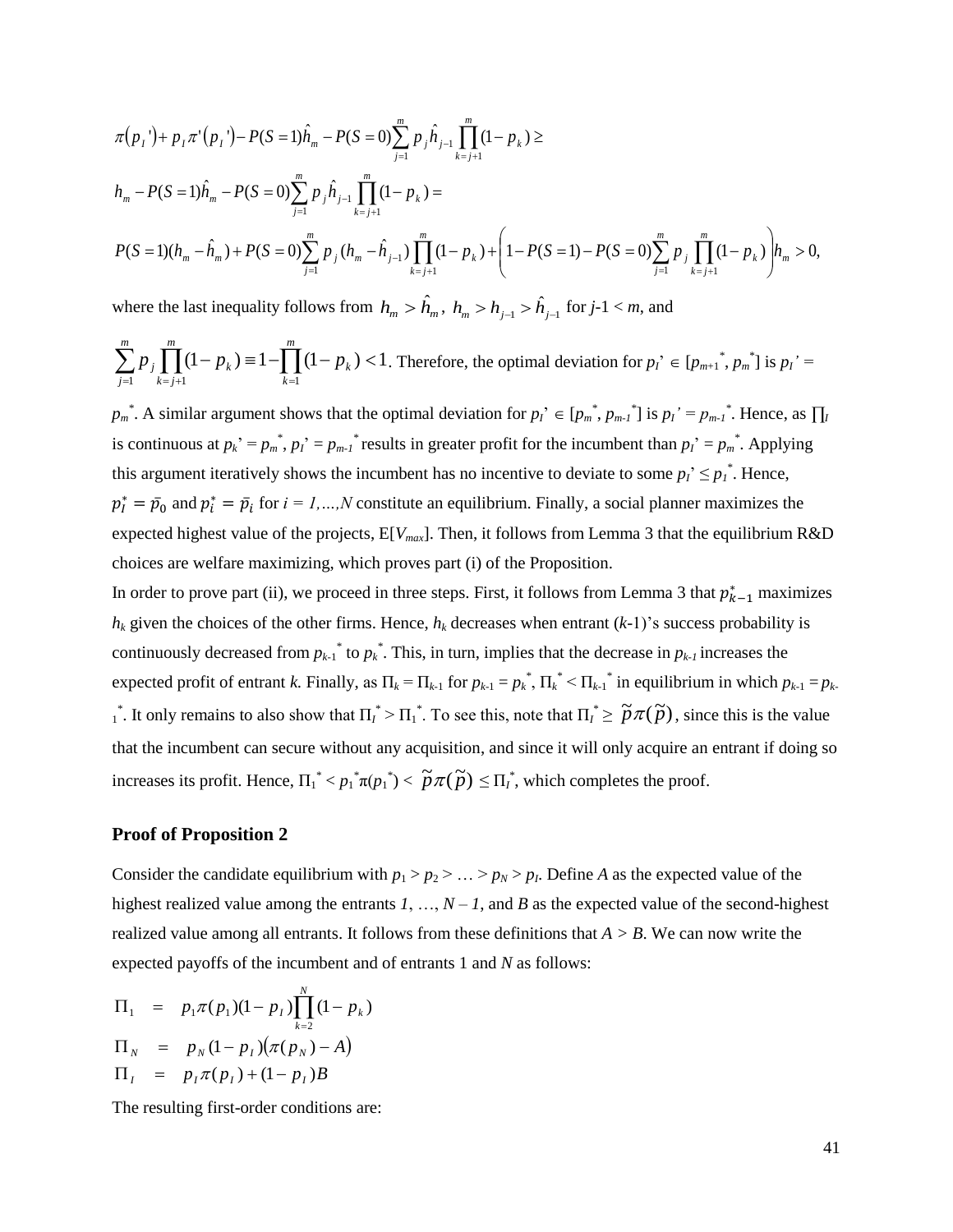$$
\pi(p_i^+) + p_i \pi'(p_i^-) - P(S=1)\hat{h}_m - P(S=0) \sum_{j=1}^m p_j \hat{h}_{j-1} \prod_{k=j+1}^m (1-p_k) \ge
$$
  
\n
$$
h_m - P(S=1)\hat{h}_m - P(S=0) \sum_{j=1}^m p_j \hat{h}_{j-1} \prod_{k=j+1}^m (1-p_k) =
$$
  
\n
$$
P(S=1)(h_m - \hat{h}_m) + P(S=0) \sum_{j=1}^m p_j (h_m - \hat{h}_{j-1}) \prod_{k=j+1}^m (1-p_k) + \left(1 - P(S=1) - P(S=0) \sum_{j=1}^m p_j \prod_{k=j+1}^m (1-p_k) \right) h_m > 0,
$$

where the last inequality follows from  $h_m > \hat{h}_m$ ,  $h_m > h_{j-1} > \hat{h}_{j-1}$  for  $j-1 < m$ , and

$$
\sum_{j=1}^{m} p_j \prod_{k=j+1}^{m} (1 - p_k) \equiv 1 - \prod_{k=1}^{m} (1 - p_k) < 1. \text{ Therefore, the optimal deviation for } p_i \in [p_{m+1}, p_m^*] \text{ is } p_i = 1 - \prod_{k=1}^{m} (1 - p_k) \equiv 1 - \prod_{k=1}^{m} (1 - p_k) \equiv 1 - \prod_{k=1}^{m} (1 - p_k) \equiv 1 - \prod_{k=1}^{m} (1 - p_k) \equiv 1 - \prod_{k=1}^{m} (1 - p_k) \equiv 1 - \prod_{k=1}^{m} (1 - p_k) \equiv 1 - \prod_{k=1}^{m} (1 - p_k) \equiv 1 - \prod_{k=1}^{m} (1 - p_k) \equiv 1 - \prod_{k=1}^{m} (1 - p_k) \equiv 1 - \prod_{k=1}^{m} (1 - p_k) \equiv 1 - \prod_{k=1}^{m} (1 - p_k) \equiv 1 - \prod_{k=1}^{m} (1 - p_k) \equiv 1 - \prod_{k=1}^{m} (1 - p_k) \equiv 1 - \prod_{k=1}^{m} (1 - p_k) \equiv 1 - \prod_{k=1}^{m} (1 - p_k) \equiv 1 - \prod_{k=1}^{m} (1 - p_k) \equiv 1 - \prod_{k=1}^{m} (1 - p_k) \equiv 1 - \prod_{k=1}^{m} (1 - p_k) \equiv 1 - \prod_{k=1}^{m} (1 - p_k) \equiv 1 - \prod_{k=1}^{m} (1 - p_k) \equiv 1 - \prod_{k=1}^{m} (1 - p_k) \equiv 1 - \prod_{k=1}^{m} (1 - p_k) \equiv 1 - \prod_{k=1}^{m} (1 - p_k) \equiv 1 - \prod_{k=1}^{m} (1 - p_k) \equiv 1 - \prod_{k=1}^{m} (1 - p_k) \equiv 1 - \prod_{k=1}^{m} (1 - p_k) \equiv 1 - \prod_{k=1}^{m} (1 - p_k) \equiv 1 - \prod_{k=1}^{m} (1 - p_k) \equiv 1 - \prod_{k=1}^{m} (1 - p_k) \equiv 1 - \prod_{k=1}^{m} (1 - p_k) \equiv 1 - \prod_{k=1}^{m} (1 - p_k) \equiv 1 - \prod_{k=1}^{m} (1 - p_k)
$$

 $p_m^*$ . A similar argument shows that the optimal deviation for  $p_l^* \in [p_m^*, p_{m-l}^*]$  is  $p_l^* = p_{m-l}^*$ . Hence, as  $\prod_l$ is continuous at  $p_k' = p_m^*$ ,  $p_l' = p_{m-l}^*$  results in greater profit for the incumbent than  $p_l' = p_m^*$ . Applying this argument iteratively shows the incumbent has no incentive to deviate to some  $p_l$ <sup>\*</sup>  $\leq p_l$ <sup>\*</sup>. Hence,  $p_l^* = \bar{p}_0$  and  $p_l^* = \bar{p}_l$  for  $i = 1,...,N$  constitute an equilibrium. Finally, a social planner maximizes the expected highest value of the projects, E[*Vmax*]. Then, it follows from Lemma 3 that the equilibrium R&D choices are welfare maximizing, which proves part (i) of the Proposition.

In order to prove part (ii), we proceed in three steps. First, it follows from Lemma 3 that  $p_{k-1}^*$  maximizes  $h_k$  given the choices of the other firms. Hence,  $h_k$  decreases when entrant  $(k-1)$ 's success probability is continuously decreased from  $p_{k-1}$ <sup>\*</sup> to  $p_k$ <sup>\*</sup>. This, in turn, implies that the decrease in  $p_{k-1}$  increases the expected profit of entrant *k*. Finally, as  $\Pi_k = \Pi_{k-1}$  for  $p_{k-1} = p_k^*$ ,  $\Pi_k^* \le \Pi_{k-1}^*$  in equilibrium in which  $p_{k-1} = p_k$ .  $\overline{\mathbf{u}}_1^*$ . It only remains to also show that  $\Pi_I^* > \Pi_I^*$ . To see this, note that  $\Pi_I^* \geq \tilde{p}\pi(\tilde{p})$ , since this is the value that the incumbent can secure without any acquisition, and since it will only acquire an entrant if doing so increases its profit. Hence,  $\Pi_1^* < p_1^* \pi(p_1^*) < \widetilde{p}\pi(\widetilde{p}) \le \Pi_i^*$ , which completes the proof.

### **Proof of Proposition 2**

Consider the candidate equilibrium with  $p_1 > p_2 > ... > p_N > p_I$ . Define *A* as the expected value of the highest realized value among the entrants  $1, \ldots, N-1$ , and  $B$  as the expected value of the second-highest realized value among all entrants. It follows from these definitions that  $A > B$ . We can now write the expected payoffs of the incumbent and of entrants 1 and *N* as follows:

$$
\Pi_1 = p_1 \pi(p_1)(1 - p_1) \prod_{k=2}^{N} (1 - p_k)
$$
  
\n
$$
\Pi_N = p_N (1 - p_1) (\pi(p_N) - A)
$$
  
\n
$$
\Pi_I = p_I \pi(p_I) + (1 - p_I)B
$$

The resulting first-order conditions are: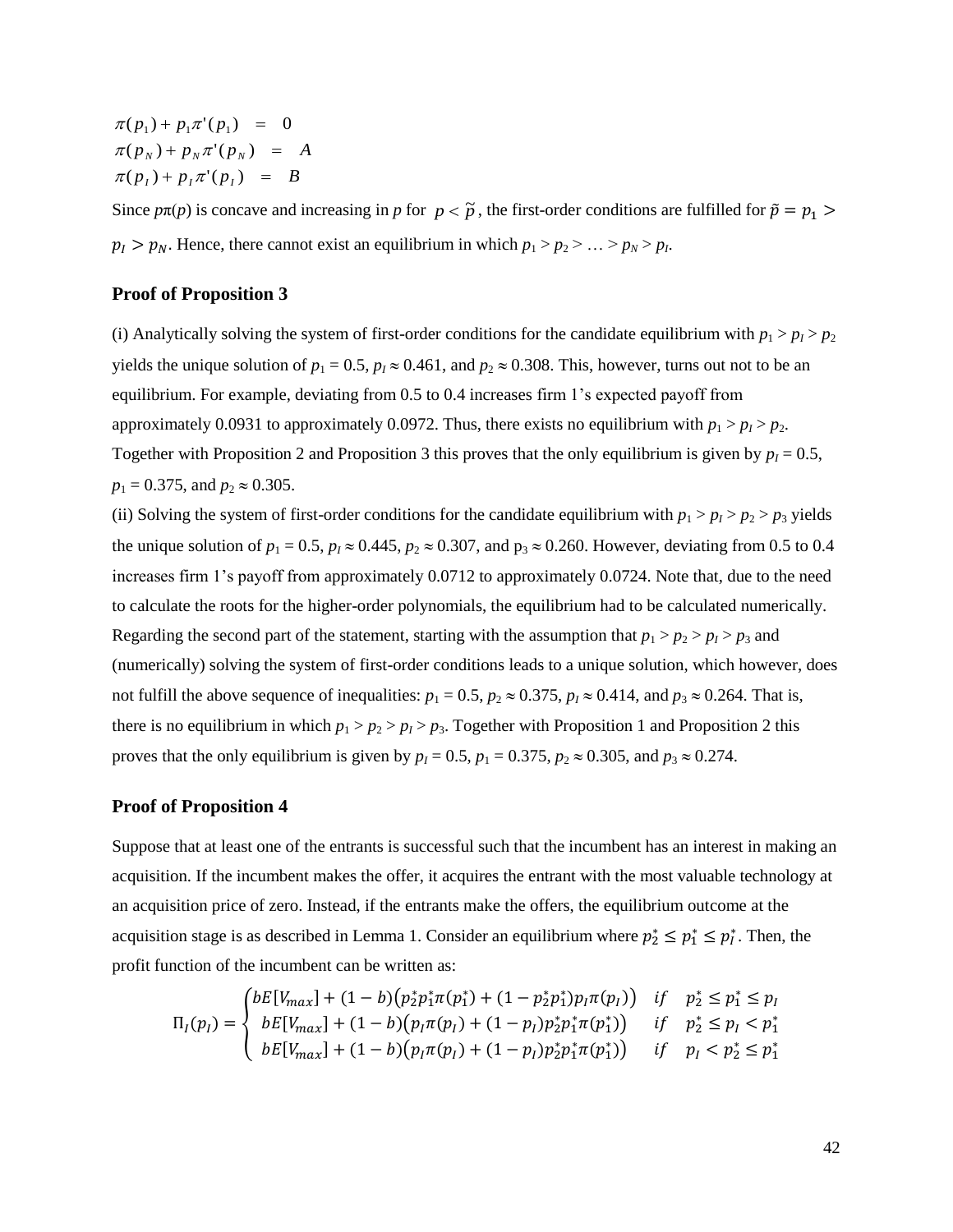$\pi(p_I) + p_I \pi'(p_I) = B$  $\pi(p_N) + p_N \pi'(p_N) = A$  $\pi(p_1) + p_1 \pi'(p_1) = 0$ 

Since  $p\pi(p)$  is concave and increasing in *p* for  $p < \tilde{p}$ , the first-order conditions are fulfilled for  $\tilde{p} =$  $p_I > p_N$ . Hence, there cannot exist an equilibrium in which  $p_1 > p_2 > ... > p_N > p_I$ .

## **Proof of Proposition 3**

(i) Analytically solving the system of first-order conditions for the candidate equilibrium with  $p_1 > p_2 > p_2$ yields the unique solution of  $p_1 = 0.5$ ,  $p_I \approx 0.461$ , and  $p_2 \approx 0.308$ . This, however, turns out not to be an equilibrium. For example, deviating from 0.5 to 0.4 increases firm 1's expected payoff from approximately 0.0931 to approximately 0.0972. Thus, there exists no equilibrium with  $p_1 > p_2 > p_2$ . Together with Proposition 2 and Proposition 3 this proves that the only equilibrium is given by  $p_I = 0.5$ ,  $p_1 = 0.375$ , and  $p_2 \approx 0.305$ .

(ii) Solving the system of first-order conditions for the candidate equilibrium with  $p_1 > p_1 > p_2 > p_3$  yields the unique solution of  $p_1 = 0.5$ ,  $p_I \approx 0.445$ ,  $p_2 \approx 0.307$ , and  $p_3 \approx 0.260$ . However, deviating from 0.5 to 0.4 increases firm 1's payoff from approximately 0.0712 to approximately 0.0724. Note that, due to the need to calculate the roots for the higher-order polynomials, the equilibrium had to be calculated numerically. Regarding the second part of the statement, starting with the assumption that  $p_1 > p_2 > p_1 > p_3$  and (numerically) solving the system of first-order conditions leads to a unique solution, which however, does not fulfill the above sequence of inequalities:  $p_1 = 0.5$ ,  $p_2 \approx 0.375$ ,  $p_I \approx 0.414$ , and  $p_3 \approx 0.264$ . That is, there is no equilibrium in which  $p_1 > p_2 > p_1 > p_3$ . Together with Proposition 1 and Proposition 2 this proves that the only equilibrium is given by  $p_1 = 0.5$ ,  $p_1 = 0.375$ ,  $p_2 \approx 0.305$ , and  $p_3 \approx 0.274$ .

## **Proof of Proposition 4**

Suppose that at least one of the entrants is successful such that the incumbent has an interest in making an acquisition. If the incumbent makes the offer, it acquires the entrant with the most valuable technology at an acquisition price of zero. Instead, if the entrants make the offers, the equilibrium outcome at the acquisition stage is as described in Lemma 1. Consider an equilibrium where  $p_2^* \leq p_1^* \leq p_1^*$ . Then, the profit function of the incumbent can be written as:

$$
\Pi_{I}(p_{I}) = \begin{cases} bE[V_{max}] + (1-b)(p_{2}^{*}p_{1}^{*}\pi(p_{1}^{*}) + (1-p_{2}^{*}p_{1}^{*})p_{I}\pi(p_{I})) & \text{if} \quad p_{2}^{*} \leq p_{1}^{*} \leq p_{I} \\ bE[V_{max}] + (1-b)(p_{I}\pi(p_{I}) + (1-p_{I})p_{2}^{*}p_{1}^{*}\pi(p_{1}^{*})) & \text{if} \quad p_{2}^{*} \leq p_{I} < p_{1}^{*} \\ bE[V_{max}] + (1-b)(p_{I}\pi(p_{I}) + (1-p_{I})p_{2}^{*}p_{1}^{*}\pi(p_{1}^{*})) & \text{if} \quad p_{I} < p_{2}^{*} \leq p_{1}^{*} \end{cases}
$$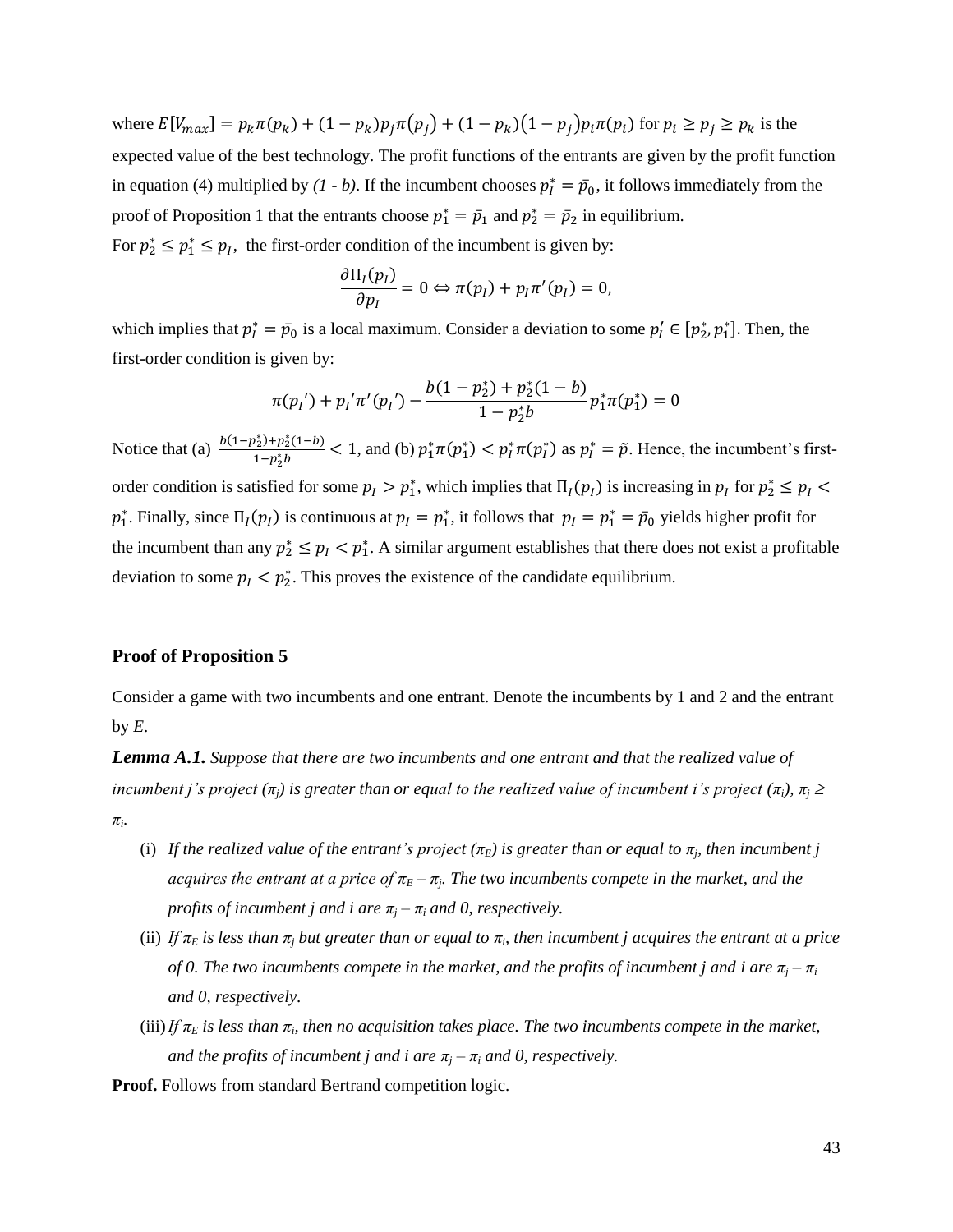where  $E[V_{max}] = p_k \pi(p_k) + (1 - p_k)p_i \pi(p_i) + (1 - p_k)(1 - p_i)p_i \pi(p_i)$  for  $p_i \ge p_i \ge p_k$  is the expected value of the best technology. The profit functions of the entrants are given by the profit function in equation (4) multiplied by  $(I - b)$ . If the incumbent chooses  $p_l^* = \bar{p}_0$ , it follows immediately from the proof of Proposition 1 that the entrants choose  $p_1^* = \bar{p}_1$  and  $p_2^* = \bar{p}_2$  in equilibrium. For  $p_2^* \leq p_1^* \leq p_1$ , the first-order condition of the incumbent is given by:

$$
\frac{\partial \Pi_I(p_I)}{\partial p_I} = 0 \Leftrightarrow \pi(p_I) + p_I \pi'(p_I) = 0,
$$

which implies that  $p_l^* = \bar{p}_0$  is a local maximum. Consider a deviation to some  $p_l' \in [p_2^*, p_1^*]$ . Then, the first-order condition is given by:

$$
\pi(p_1') + p_1'\pi'(p_1') - \frac{b(1-p_2^*) + p_2^*(1-b)}{1-p_2^*b}p_1^*\pi(p_1^*) = 0
$$

Notice that (a)  $\frac{b(1-p_2^*)+p_2^*(1-b)}{1-p_1^*b}$  $p_1^{(2)}+p_2^{(1-b)}$  < 1, and (b)  $p_1^*\pi(p_1^*) < p_I^*\pi(p_I^*)$  as  $p_I^* = \tilde{p}$ . Hence, the incumbent's firstorder condition is satisfied for some  $p_1 > p_1^*$ , which implies that  $\Pi_I(p_I)$  is increasing in  $p_I$  for  $p_2^*$  $p_1^*$ . Finally, since  $\Pi_l(p_l)$  is continuous at  $p_l = p_1^*$ , it follows that  $p_l = p_1^* = \bar{p}_0$  yields higher profit for the incumbent than any  $p_2^* \leq p_1 < p_1^*$ . A similar argument establishes that there does not exist a profitable deviation to some  $p_1 < p_2^*$ . This proves the existence of the candidate equilibrium.

#### **Proof of Proposition 5**

Consider a game with two incumbents and one entrant. Denote the incumbents by 1 and 2 and the entrant by  $E$ .

*Lemma A.1. Suppose that there are two incumbents and one entrant and that the realized value of incumbent j's project*  $(\pi_i)$  *is greater than or equal to the realized value of incumbent i's project*  $(\pi_i)$ ,  $\pi_i \geq$ 

- *πi .*
- (i) If the realized value of the entrant's project  $(\pi_E)$  is greater than or equal to  $\pi_j$ , then incumbent j *acquires the entrant at a price of π<sup>E</sup> – π<sup>j</sup> . The two incumbents compete in the market, and the profits of incumbent j and i are*  $\pi_i - \pi_i$  *and 0, respectively.*
- (ii) If  $\pi_E$  *is less than*  $\pi_j$  *but greater than or equal to*  $\pi_i$ , *then incumbent j acquires the entrant at a price of* 0. The two incumbents compete in the market, and the profits of incumbent j and *i* are  $\pi$ <sup>*j*</sup>  $-\pi$ <sup>*i*</sup> *and 0, respectively.*
- $(iii)$  *If*  $\pi_E$  *is less than*  $\pi_i$ , then no acquisition takes place. The two incumbents compete in the market, *and the profits of incumbent j and i are*  $\pi_i - \pi_i$  *and 0, respectively.*

**Proof.** Follows from standard Bertrand competition logic.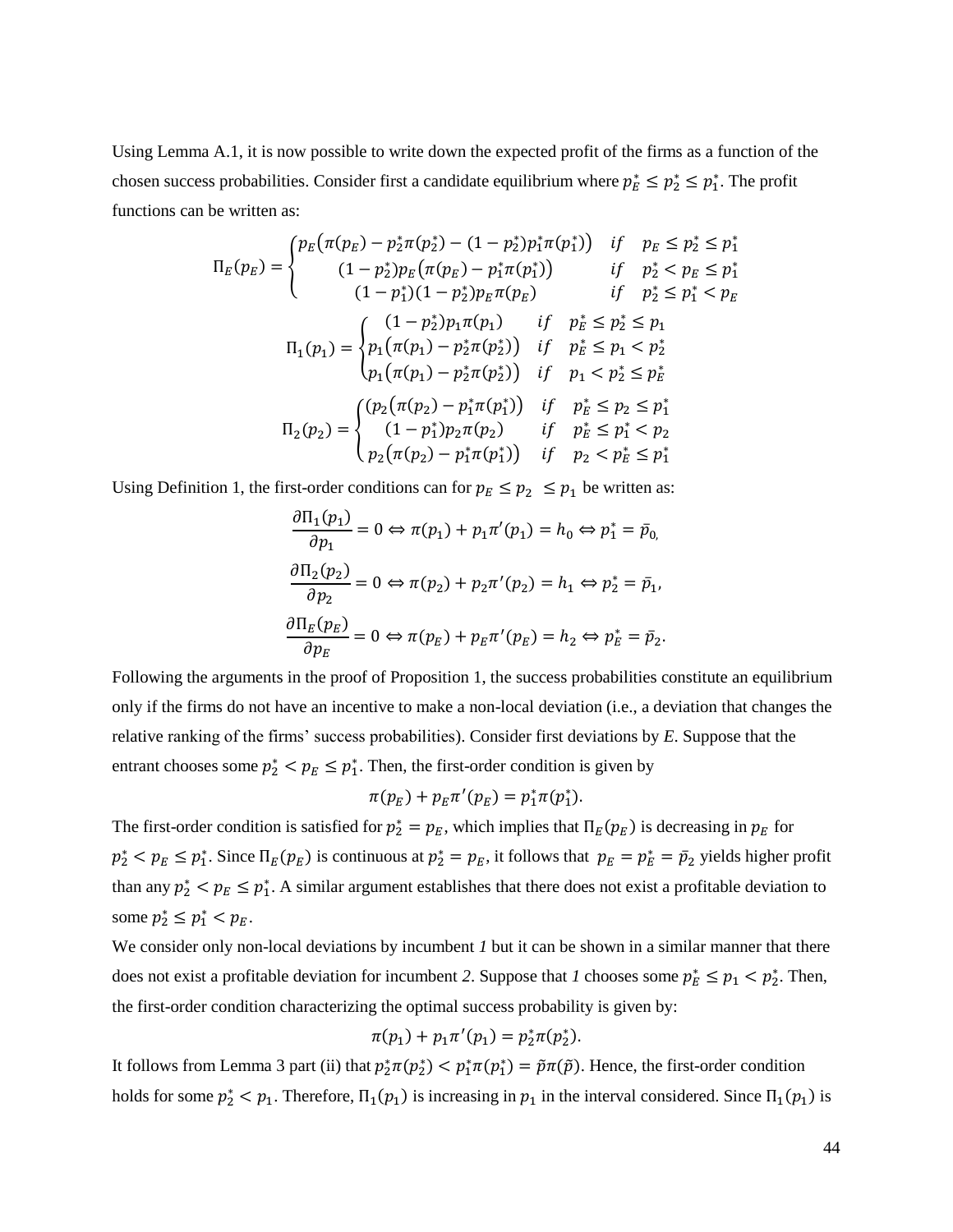Using Lemma A.1, it is now possible to write down the expected profit of the firms as a function of the chosen success probabilities. Consider first a candidate equilibrium where  $p_E^* \leq p_2^* \leq p_1^*$ . The profit functions can be written as:

$$
\Pi_E(p_E) = \begin{cases} p_E(\pi(p_E) - p_2^*\pi(p_2^*) - (1 - p_2^*)p_1^*\pi(p_1^*)) & \text{if } p_E \le p_2^* \le p_1^* \\ (1 - p_2^*)p_E(\pi(p_E) - p_1^*\pi(p_1^*)) & \text{if } p_2^* < p_E \le p_1^* \\ (1 - p_1^*)(1 - p_2^*)p_E\pi(p_E) & \text{if } p_2^* \le p_1^* < p_E \\ \Pi_1(p_1) = \begin{cases} (1 - p_2^*)p_1\pi(p_1) & \text{if } p_E^* \le p_2^* \le p_1 \\ p_1(\pi(p_1) - p_2^*\pi(p_2^*)) & \text{if } p_E^* \le p_1 < p_2^* \\ p_1(\pi(p_1) - p_2^*\pi(p_2^*)) & \text{if } p_1 < p_2^* \le p_E^* \end{cases} \\ \Pi_2(p_2) = \begin{cases} (p_2(\pi(p_2) - p_1^*\pi(p_1^*)) & \text{if } p_E^* \le p_2 \le p_1^* \\ (1 - p_1^*)p_2\pi(p_2) & \text{if } p_E^* \le p_1^* < p_2 \\ p_2(\pi(p_2) - p_1^*\pi(p_1^*)) & \text{if } p_2 < p_E^* \le p_1^* \end{cases} \end{cases}
$$

Using Definition 1, the first-order conditions can for  $p_E \le p_2 \le p_1$  be written as:

$$
\frac{\partial \Pi_1(p_1)}{\partial p_1} = 0 \Leftrightarrow \pi(p_1) + p_1 \pi'(p_1) = h_0 \Leftrightarrow p_1^* = \bar{p}_0,
$$
  

$$
\frac{\partial \Pi_2(p_2)}{\partial p_2} = 0 \Leftrightarrow \pi(p_2) + p_2 \pi'(p_2) = h_1 \Leftrightarrow p_2^* = \bar{p}_1,
$$
  

$$
\frac{\partial \Pi_E(p_E)}{\partial p_E} = 0 \Leftrightarrow \pi(p_E) + p_E \pi'(p_E) = h_2 \Leftrightarrow p_E^* = \bar{p}_2.
$$

Following the arguments in the proof of Proposition 1, the success probabilities constitute an equilibrium only if the firms do not have an incentive to make a non-local deviation (i.e., a deviation that changes the relative ranking of the firms' success probabilities). Consider first deviations by *E*. Suppose that the entrant chooses some  $p_2^* < p_E \le p_1^*$ . Then, the first-order condition is given by

$$
\pi(p_E) + p_E \pi'(p_E) = p_1^* \pi(p_1^*).
$$

The first-order condition is satisfied for  $p_2^* = p_E$ , which implies that  $\Pi_E(p_E)$  is decreasing in  $p_E$  for  $p_2^* < p_E \le p_1^*$ . Since  $\Pi_E(p_E)$  is continuous at  $p_2^* = p_E$ , it follows that  $p_E = p_E^* = \bar{p}_2$  yields higher profit than any  $p_2^* < p_E \leq p_1^*$ . A similar argument establishes that there does not exist a profitable deviation to some  $p_2^* \le p_1^* < p_E$ .

We consider only non-local deviations by incumbent *I* but it can be shown in a similar manner that there does not exist a profitable deviation for incumbent 2. Suppose that *l* chooses some  $p_E^* \leq p_1 < p_2^*$ . Then, the first-order condition characterizing the optimal success probability is given by:

$$
\pi(p_1) + p_1 \pi'(p_1) = p_2^* \pi(p_2^*).
$$

It follows from Lemma 3 part (ii) that  $p_2^*\pi(p_2^*) < p_1^*\pi(p_1^*) = \tilde{p}\pi(\tilde{p})$ . Hence, the first-order condition holds for some  $p_2^* < p_1$ . Therefore,  $\Pi_1(p_1)$  is increasing in  $p_1$  in the interval considered. Since  $\Pi_1(p_1)$  is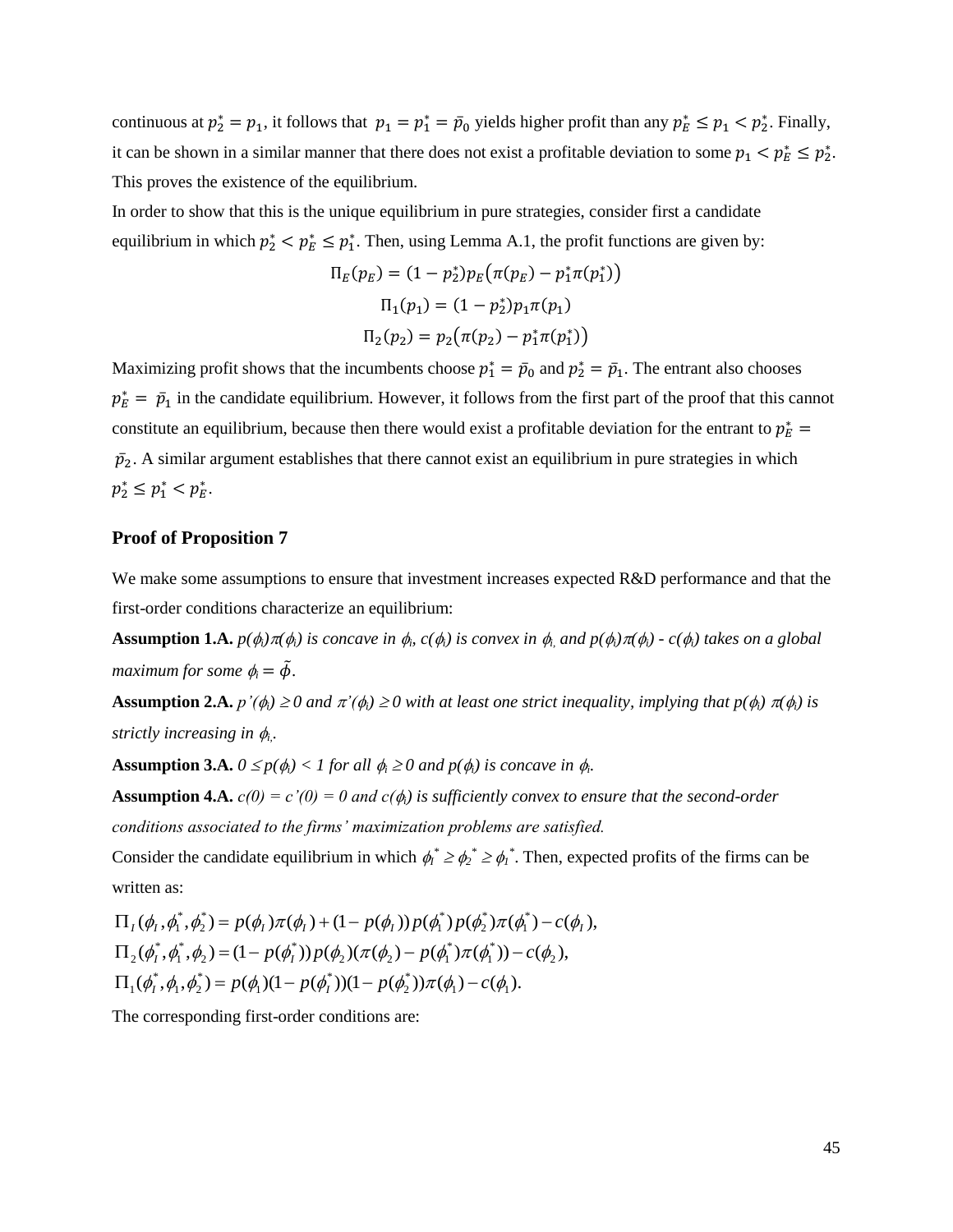continuous at  $p_2^* = p_1$ , it follows that  $p_1 = p_1^* = \bar{p}_0$  yields higher profit than any  $p_F^* \leq p_1 < p_2^*$ . Finally, it can be shown in a similar manner that there does not exist a profitable deviation to some  $p_1 < p_E^* \le p_2^*$ . This proves the existence of the equilibrium.

In order to show that this is the unique equilibrium in pure strategies, consider first a candidate equilibrium in which  $p_2^* < p_F^* \leq p_1^*$ . Then, using Lemma A.1, the profit functions are given by:

$$
\Pi_E(p_E) = (1 - p_2^*) p_E (\pi(p_E) - p_1^* \pi(p_1^*))
$$
  

$$
\Pi_1(p_1) = (1 - p_2^*) p_1 \pi(p_1)
$$
  

$$
\Pi_2(p_2) = p_2 (\pi(p_2) - p_1^* \pi(p_1^*))
$$

Maximizing profit shows that the incumbents choose  $p_1^* = \bar{p}_0$  and  $p_2^* = \bar{p}_1$ . The entrant also chooses  $p_E^* = \bar{p}_1$  in the candidate equilibrium. However, it follows from the first part of the proof that this cannot constitute an equilibrium, because then there would exist a profitable deviation for the entrant to  $p_E^*$  $\bar{p}_2$ . A similar argument establishes that there cannot exist an equilibrium in pure strategies in which  $p_2^* \leq p_1^* < p_F^*$ .

## **Proof of Proposition 7**

We make some assumptions to ensure that investment increases expected R&D performance and that the first-order conditions characterize an equilibrium:

**Assumption 1.A.**  $p(\phi_i)\pi(\phi_i)$  is concave in  $\phi_i$ ,  $c(\phi_i)$  is convex in  $\phi_i$ , and  $p(\phi_i)\pi(\phi_i)$  -  $c(\phi_i)$  takes on a global *maximum for some*  $\phi_i = \tilde{\phi}$ .

**Assumption 2.A.**  $p'(\phi_i) \ge 0$  and  $\pi'(\phi_i) \ge 0$  with at least one strict inequality, implying that  $p(\phi_i)$   $\pi(\phi_i)$  is *strictly increasing in*  $\phi_i$ .

**Assumption 3.A.**  $0 \le p(\phi_i) < 1$  for all  $\phi_i \ge 0$  and  $p(\phi_i)$  is concave in  $\phi_i$ .

**Assumption 4.A.**  $c(0) = c'(0) = 0$  and  $c(\phi_i)$  is sufficiently convex to ensure that the second-order *conditions associated to the firms' maximization problems are satisfied.* 

Consider the candidate equilibrium in which  $\phi_l^* \geq \phi_l^* \geq \phi_l^*$ . Then, expected profits of the firms can be written as:

$$
\Pi_{1}(\phi_{1}, \phi_{1}^{*}, \phi_{2}^{*}) = p(\phi_{1})\pi(\phi_{1}) + (1 - p(\phi_{1}))p(\phi_{1}^{*})p(\phi_{2}^{*})\pi(\phi_{1}^{*}) - c(\phi_{1}),
$$
\n
$$
\Pi_{2}(\phi_{1}^{*}, \phi_{1}^{*}, \phi_{2}) = (1 - p(\phi_{1}^{*}))p(\phi_{2})(\pi(\phi_{2}) - p(\phi_{1}^{*})\pi(\phi_{1}^{*})) - c(\phi_{2}),
$$
\n
$$
\Pi_{1}(\phi_{1}^{*}, \phi_{1}, \phi_{2}^{*}) = p(\phi_{1})(1 - p(\phi_{1}^{*}))(1 - p(\phi_{2}^{*}))\pi(\phi_{1}) - c(\phi_{1}).
$$

The corresponding first-order conditions are: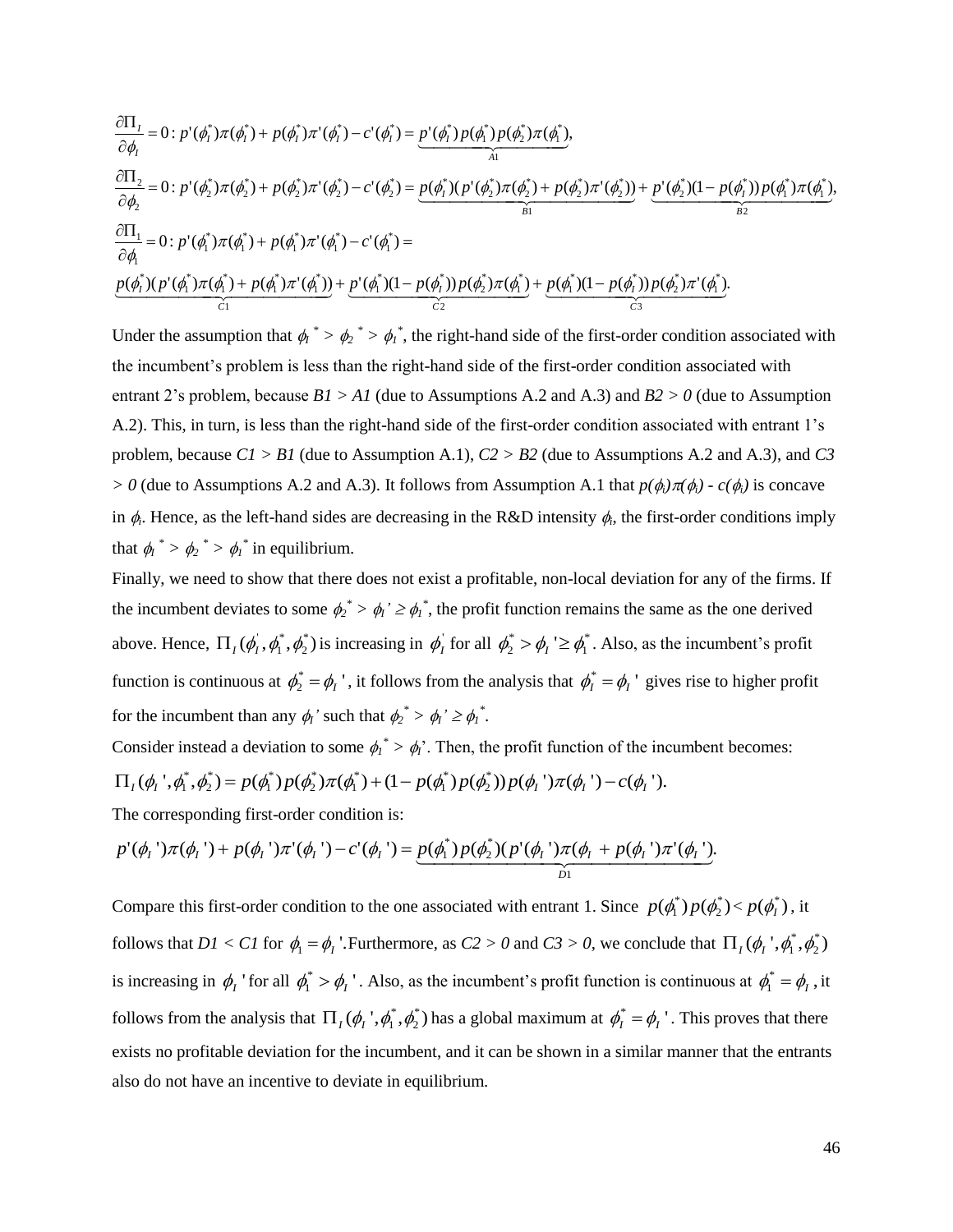$$
\frac{\partial\Pi_{I}}{\partial\phi_{I}} = 0: p'(\phi_{I}^{*})\pi(\phi_{I}^{*}) + p(\phi_{I}^{*})\pi'(\phi_{I}^{*}) - c'(\phi_{I}^{*}) = \underbrace{p'(\phi_{I}^{*})p(\phi_{I}^{*})p(\phi_{I}^{*})\pi(\phi_{I}^{*})}_{\widehat{A_{I}}}.
$$
\n
$$
\frac{\partial\Pi_{2}}{\partial\phi_{2}} = 0: p'(\phi_{2}^{*})\pi(\phi_{2}^{*}) + p(\phi_{2}^{*})\pi'(\phi_{2}^{*}) - c'(\phi_{2}^{*}) = \underbrace{p(\phi_{I}^{*})(p'(\phi_{2}^{*})\pi(\phi_{2}^{*}) + p(\phi_{2}^{*})\pi'(\phi_{2}^{*})}_{\widehat{B_{I}}} + \underbrace{p'(\phi_{2}^{*})(1 - p(\phi_{I}^{*}))p(\phi_{I}^{*})\pi(\phi_{I}^{*})}_{\widehat{B_{2}}}.
$$
\n
$$
\frac{\partial\Pi_{I}}{\partial\phi_{I}} = 0: p'(\phi_{I}^{*})\pi(\phi_{I}^{*}) + p(\phi_{I}^{*})\pi'(\phi_{I}^{*}) - c'(\phi_{I}^{*}) = \underbrace{p(\phi_{I}^{*})(p'(\phi_{2}^{*})\pi(\phi_{I}^{*}) + p(\phi_{I}^{*})\pi'(\phi_{I}^{*})}_{\widehat{C_{I}}} + \underbrace{p(\phi_{I}^{*})(p'(\phi_{2}^{*})\pi(\phi_{I}^{*}) + p(\phi_{I}^{*})\pi'(\phi_{I}^{*})}_{\widehat{C_{2}}}.
$$

Under the assumption that  $\phi_1^* > \phi_2^* > \phi_1^*$ , the right-hand side of the first-order condition associated with the incumbent's problem is less than the right-hand side of the first-order condition associated with entrant 2's problem, because *B1 > A1* (due to Assumptions A.2 and A.3) and *B2 > 0* (due to Assumption A.2). This, in turn, is less than the right-hand side of the first-order condition associated with entrant 1's problem, because *C1 > B1* (due to Assumption A.1), *C2 > B2* (due to Assumptions A.2 and A.3), and *C3*   $> 0$  (due to Assumptions A.2 and A.3). It follows from Assumption A.1 that  $p(\phi_i)\pi(\phi_i)$  -  $c(\phi_i)$  is concave in  $\phi$ . Hence, as the left-hand sides are decreasing in the R&D intensity  $\phi$ , the first-order conditions imply that  $\phi_I^*$  >  $\phi_2^*$  >  $\phi_I^*$  in equilibrium.

Finally, we need to show that there does not exist a profitable, non-local deviation for any of the firms. If the incumbent deviates to some  $\phi_2^* > \phi_1 \ge \phi_1^*$ , the profit function remains the same as the one derived above. Hence,  $\Pi_I(\phi_I^{\dagger}, \phi_I^*, \phi_I^*)$  $\overline{c}$ \*  $\Pi_I(\phi_I, \phi_1^*, \phi_2^*)$  is increasing in  $\phi_I$  for all  $\phi_2^* > \phi_I \ge \phi_1^*$ 1  $\phi_2^* > \phi_1 \ge \phi_1^*$ . Also, as the incumbent's profit function is continuous at  $\phi_2^* = \phi_1$ , it follows from the analysis that  $\phi_1^* = \phi_1$ , gives rise to higher profit for the incumbent than any  $\phi_I$ ' such that  $\phi_2^* > \phi_I' \geq \phi_I^*$ .

Consider instead a deviation to some  $\phi_l^* > \phi_l$ . Then, the profit function of the incumbent becomes:  $(\phi_l^{\prime\prime}, \phi_l^*, \phi_2^*) = p(\phi_1^*) p(\phi_2^*) \pi(\phi_1^*) + (1 - p(\phi_1^*) p(\phi_2^*)) p(\phi_l^{\prime\prime}) \pi(\phi_l^{\prime\prime}) - c(\phi_l^{\prime\prime}).$ \* 1 \* 1 \*  $\overline{c}$ \* 1 \*  $\overline{c}$  $\Pi_I(\phi_I^{\dagger}, \phi_I^*, \phi_2^*) = p(\phi_1^*) p(\phi_2^*) \pi(\phi_1^*) + (1 - p(\phi_1^*) p(\phi_2^*)) p(\phi_I^{\dagger}) \pi(\phi_I^{\dagger}) - c(\phi_I^*)$ 

The corresponding first-order condition is:

$$
p'(\phi_{I})\pi(\phi_{I}) + p(\phi_{I})\pi'(\phi_{I}) - c'(\phi_{I}) = \underbrace{p(\phi_{I}^{*})p(\phi_{2}^{*})(p'(\phi_{I})\pi(\phi_{I} + p(\phi_{I})\pi'(\phi_{I})).}_{D1}
$$

Compare this first-order condition to the one associated with entrant 1. Since  $p(\phi_1^*)p(\phi_2^*)$  $\overline{c}$  $p(\phi_1^*) p(\phi_2^*)$  <  $p(\phi_1^*)$ , it follows that  $DI < CI$  for  $\phi_1 = \phi_1$ . Furthermore, as  $C2 > 0$  and  $C3 > 0$ , we conclude that  $\Pi_I(\phi_I^+, \phi_1^*, \phi_2^*)$  $\Pi_{I}(\phi_{I}^{\phantom{\dag}},\phi_{\hskip-1.2pt1}^{\dag},\phi_{\hskip-1.2pt2}^{\dag}% )$ is increasing in  $\phi_I$  'for all  $\phi_I^* > \phi_I$ '. Also, as the incumbent's profit function is continuous at  $\phi_I^* = \phi_I$ , it follows from the analysis that  $\Pi_I(\phi_I^{\dagger}, \phi_I^*, \phi_I^*)$  $\Pi_I(\phi_I^*, \phi_I^*, \phi_2^*)$  has a global maximum at  $\phi_I^* = \phi_I^*$ . This proves that there exists no profitable deviation for the incumbent, and it can be shown in a similar manner that the entrants also do not have an incentive to deviate in equilibrium.